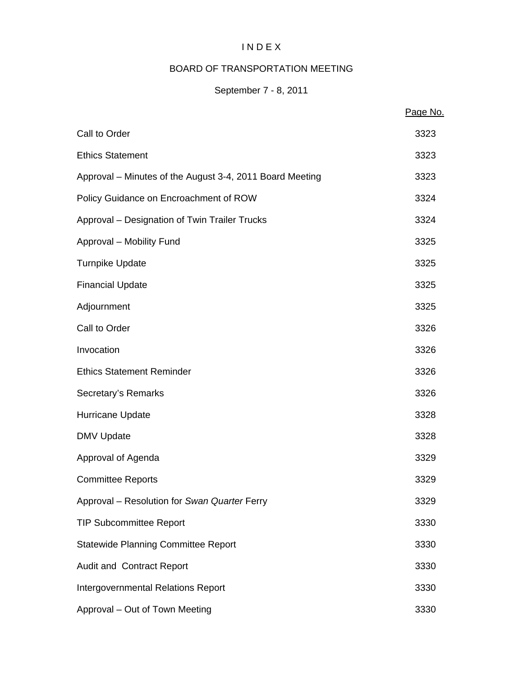# I N D E X

# BOARD OF TRANSPORTATION MEETING

# September 7 - 8, 2011

|                                                          | Page No. |
|----------------------------------------------------------|----------|
| Call to Order                                            | 3323     |
| <b>Ethics Statement</b>                                  | 3323     |
| Approval – Minutes of the August 3-4, 2011 Board Meeting | 3323     |
| Policy Guidance on Encroachment of ROW                   | 3324     |
| Approval - Designation of Twin Trailer Trucks            | 3324     |
| Approval - Mobility Fund                                 | 3325     |
| <b>Turnpike Update</b>                                   | 3325     |
| <b>Financial Update</b>                                  | 3325     |
| Adjournment                                              | 3325     |
| Call to Order                                            | 3326     |
| Invocation                                               | 3326     |
| <b>Ethics Statement Reminder</b>                         | 3326     |
| Secretary's Remarks                                      | 3326     |
| Hurricane Update                                         | 3328     |
| <b>DMV Update</b>                                        | 3328     |
| Approval of Agenda                                       | 3329     |
| <b>Committee Reports</b>                                 | 3329     |
| Approval - Resolution for Swan Quarter Ferry             | 3329     |
| <b>TIP Subcommittee Report</b>                           | 3330     |
| <b>Statewide Planning Committee Report</b>               | 3330     |
| Audit and Contract Report                                | 3330     |
| <b>Intergovernmental Relations Report</b>                | 3330     |
| Approval - Out of Town Meeting                           | 3330     |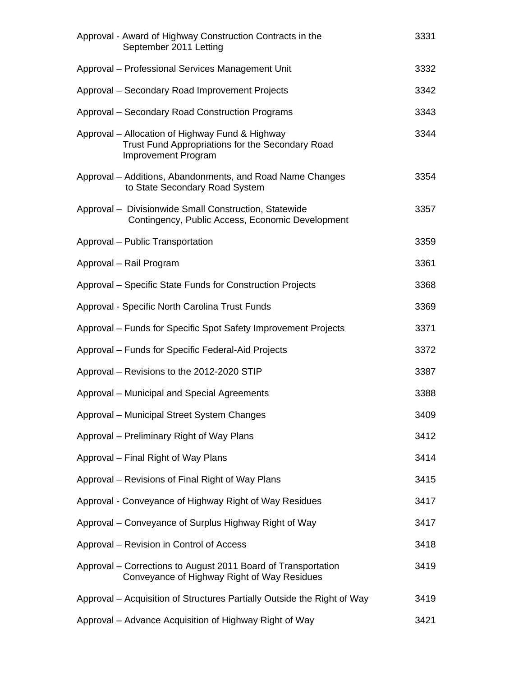| Approval - Award of Highway Construction Contracts in the<br>September 2011 Letting                                               | 3331 |
|-----------------------------------------------------------------------------------------------------------------------------------|------|
| Approval - Professional Services Management Unit                                                                                  | 3332 |
| Approval - Secondary Road Improvement Projects                                                                                    | 3342 |
| Approval - Secondary Road Construction Programs                                                                                   | 3343 |
| Approval – Allocation of Highway Fund & Highway<br>Trust Fund Appropriations for the Secondary Road<br><b>Improvement Program</b> | 3344 |
| Approval – Additions, Abandonments, and Road Name Changes<br>to State Secondary Road System                                       | 3354 |
| Approval - Divisionwide Small Construction, Statewide<br>Contingency, Public Access, Economic Development                         | 3357 |
| Approval - Public Transportation                                                                                                  | 3359 |
| Approval - Rail Program                                                                                                           | 3361 |
| Approval – Specific State Funds for Construction Projects                                                                         | 3368 |
| Approval - Specific North Carolina Trust Funds                                                                                    | 3369 |
| Approval – Funds for Specific Spot Safety Improvement Projects                                                                    | 3371 |
| Approval – Funds for Specific Federal-Aid Projects                                                                                | 3372 |
| Approval - Revisions to the 2012-2020 STIP                                                                                        | 3387 |
| Approval – Municipal and Special Agreements                                                                                       | 3388 |
| Approval - Municipal Street System Changes                                                                                        | 3409 |
| Approval – Preliminary Right of Way Plans                                                                                         | 3412 |
| Approval – Final Right of Way Plans                                                                                               | 3414 |
| Approval – Revisions of Final Right of Way Plans                                                                                  | 3415 |
| Approval - Conveyance of Highway Right of Way Residues                                                                            | 3417 |
| Approval – Conveyance of Surplus Highway Right of Way                                                                             | 3417 |
| Approval – Revision in Control of Access                                                                                          | 3418 |
| Approval – Corrections to August 2011 Board of Transportation<br>Conveyance of Highway Right of Way Residues                      | 3419 |
| Approval – Acquisition of Structures Partially Outside the Right of Way                                                           | 3419 |
| Approval – Advance Acquisition of Highway Right of Way                                                                            | 3421 |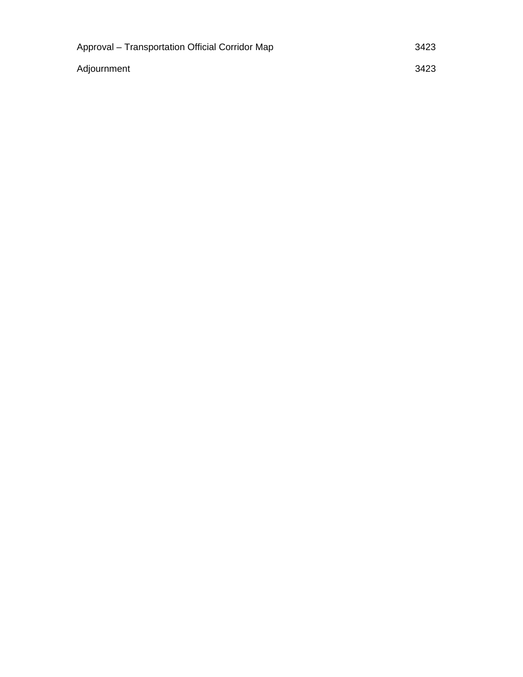| Approval – Transportation Official Corridor Map | 3423 |
|-------------------------------------------------|------|
| Adjournment                                     | 3423 |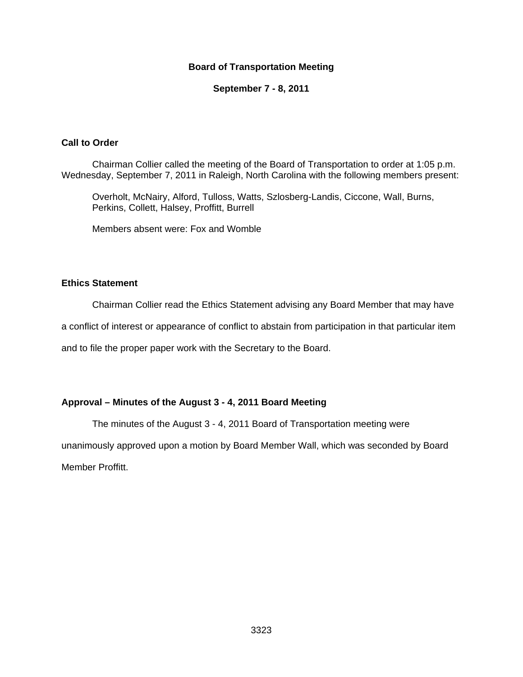## **Board of Transportation Meeting**

#### **September 7 - 8, 2011**

#### **Call to Order**

Chairman Collier called the meeting of the Board of Transportation to order at 1:05 p.m. Wednesday, September 7, 2011 in Raleigh, North Carolina with the following members present:

Overholt, McNairy, Alford, Tulloss, Watts, Szlosberg-Landis, Ciccone, Wall, Burns, Perkins, Collett, Halsey, Proffitt, Burrell

Members absent were: Fox and Womble

## **Ethics Statement**

Chairman Collier read the Ethics Statement advising any Board Member that may have

a conflict of interest or appearance of conflict to abstain from participation in that particular item

and to file the proper paper work with the Secretary to the Board.

## **Approval – Minutes of the August 3 - 4, 2011 Board Meeting**

The minutes of the August 3 - 4, 2011 Board of Transportation meeting were

unanimously approved upon a motion by Board Member Wall, which was seconded by Board Member Proffitt.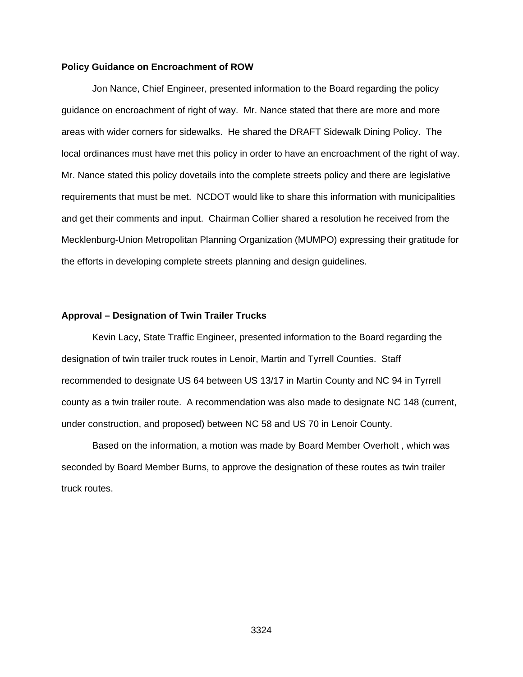#### **Policy Guidance on Encroachment of ROW**

Jon Nance, Chief Engineer, presented information to the Board regarding the policy guidance on encroachment of right of way. Mr. Nance stated that there are more and more areas with wider corners for sidewalks. He shared the DRAFT Sidewalk Dining Policy. The local ordinances must have met this policy in order to have an encroachment of the right of way. Mr. Nance stated this policy dovetails into the complete streets policy and there are legislative requirements that must be met. NCDOT would like to share this information with municipalities and get their comments and input. Chairman Collier shared a resolution he received from the Mecklenburg-Union Metropolitan Planning Organization (MUMPO) expressing their gratitude for the efforts in developing complete streets planning and design guidelines.

#### **Approval – Designation of Twin Trailer Trucks**

Kevin Lacy, State Traffic Engineer, presented information to the Board regarding the designation of twin trailer truck routes in Lenoir, Martin and Tyrrell Counties. Staff recommended to designate US 64 between US 13/17 in Martin County and NC 94 in Tyrrell county as a twin trailer route. A recommendation was also made to designate NC 148 (current, under construction, and proposed) between NC 58 and US 70 in Lenoir County.

Based on the information, a motion was made by Board Member Overholt , which was seconded by Board Member Burns, to approve the designation of these routes as twin trailer truck routes.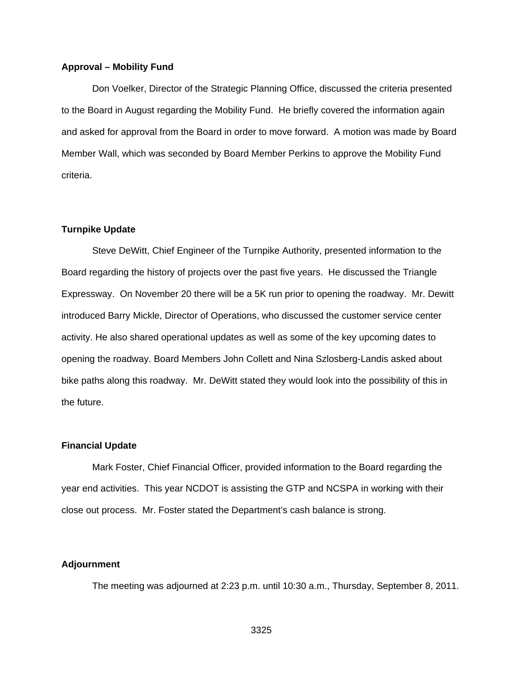#### **Approval – Mobility Fund**

 Don Voelker, Director of the Strategic Planning Office, discussed the criteria presented to the Board in August regarding the Mobility Fund. He briefly covered the information again and asked for approval from the Board in order to move forward. A motion was made by Board Member Wall, which was seconded by Board Member Perkins to approve the Mobility Fund criteria.

#### **Turnpike Update**

 Steve DeWitt, Chief Engineer of the Turnpike Authority, presented information to the Board regarding the history of projects over the past five years. He discussed the Triangle Expressway. On November 20 there will be a 5K run prior to opening the roadway. Mr. Dewitt introduced Barry Mickle, Director of Operations, who discussed the customer service center activity. He also shared operational updates as well as some of the key upcoming dates to opening the roadway. Board Members John Collett and Nina Szlosberg-Landis asked about bike paths along this roadway. Mr. DeWitt stated they would look into the possibility of this in the future.

#### **Financial Update**

Mark Foster, Chief Financial Officer, provided information to the Board regarding the year end activities. This year NCDOT is assisting the GTP and NCSPA in working with their close out process. Mr. Foster stated the Department's cash balance is strong.

#### **Adjournment**

The meeting was adjourned at 2:23 p.m. until 10:30 a.m., Thursday, September 8, 2011.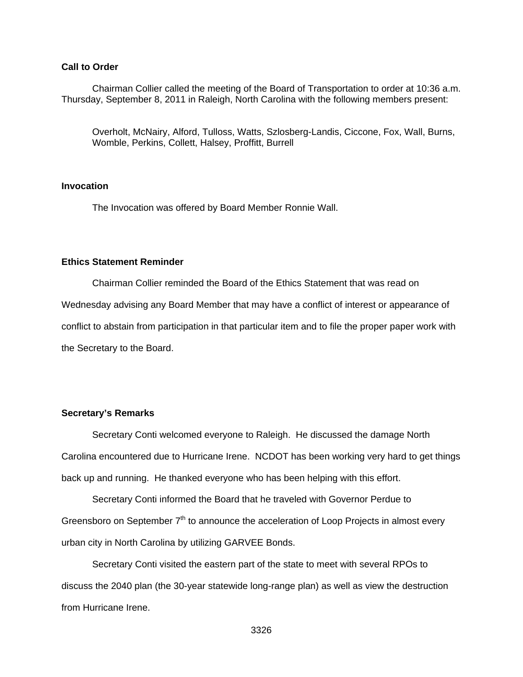## **Call to Order**

Chairman Collier called the meeting of the Board of Transportation to order at 10:36 a.m. Thursday, September 8, 2011 in Raleigh, North Carolina with the following members present:

Overholt, McNairy, Alford, Tulloss, Watts, Szlosberg-Landis, Ciccone, Fox, Wall, Burns, Womble, Perkins, Collett, Halsey, Proffitt, Burrell

#### **Invocation**

The Invocation was offered by Board Member Ronnie Wall.

#### **Ethics Statement Reminder**

 Chairman Collier reminded the Board of the Ethics Statement that was read on Wednesday advising any Board Member that may have a conflict of interest or appearance of conflict to abstain from participation in that particular item and to file the proper paper work with the Secretary to the Board.

#### **Secretary's Remarks**

Secretary Conti welcomed everyone to Raleigh. He discussed the damage North Carolina encountered due to Hurricane Irene. NCDOT has been working very hard to get things back up and running. He thanked everyone who has been helping with this effort.

Secretary Conti informed the Board that he traveled with Governor Perdue to Greensboro on September  $7<sup>th</sup>$  to announce the acceleration of Loop Projects in almost every urban city in North Carolina by utilizing GARVEE Bonds.

Secretary Conti visited the eastern part of the state to meet with several RPOs to discuss the 2040 plan (the 30-year statewide long-range plan) as well as view the destruction from Hurricane Irene.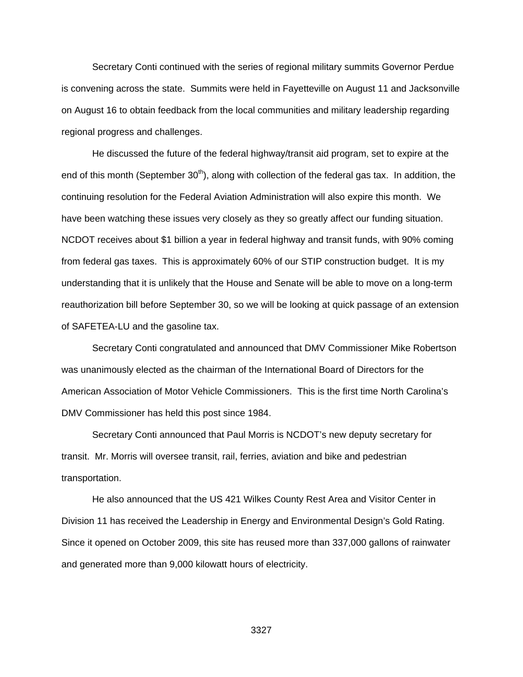Secretary Conti continued with the series of regional military summits Governor Perdue is convening across the state. Summits were held in Fayetteville on August 11 and Jacksonville on August 16 to obtain feedback from the local communities and military leadership regarding regional progress and challenges.

 He discussed the future of the federal highway/transit aid program, set to expire at the end of this month (September  $30<sup>th</sup>$ ), along with collection of the federal gas tax. In addition, the continuing resolution for the Federal Aviation Administration will also expire this month. We have been watching these issues very closely as they so greatly affect our funding situation. NCDOT receives about \$1 billion a year in federal highway and transit funds, with 90% coming from federal gas taxes. This is approximately 60% of our STIP construction budget. It is my understanding that it is unlikely that the House and Senate will be able to move on a long-term reauthorization bill before September 30, so we will be looking at quick passage of an extension of SAFETEA-LU and the gasoline tax.

 Secretary Conti congratulated and announced that DMV Commissioner Mike Robertson was unanimously elected as the chairman of the International Board of Directors for the American Association of Motor Vehicle Commissioners. This is the first time North Carolina's DMV Commissioner has held this post since 1984.

 Secretary Conti announced that Paul Morris is NCDOT's new deputy secretary for transit. Mr. Morris will oversee transit, rail, ferries, aviation and bike and pedestrian transportation.

 He also announced that the US 421 Wilkes County Rest Area and Visitor Center in Division 11 has received the Leadership in Energy and Environmental Design's Gold Rating. Since it opened on October 2009, this site has reused more than 337,000 gallons of rainwater and generated more than 9,000 kilowatt hours of electricity.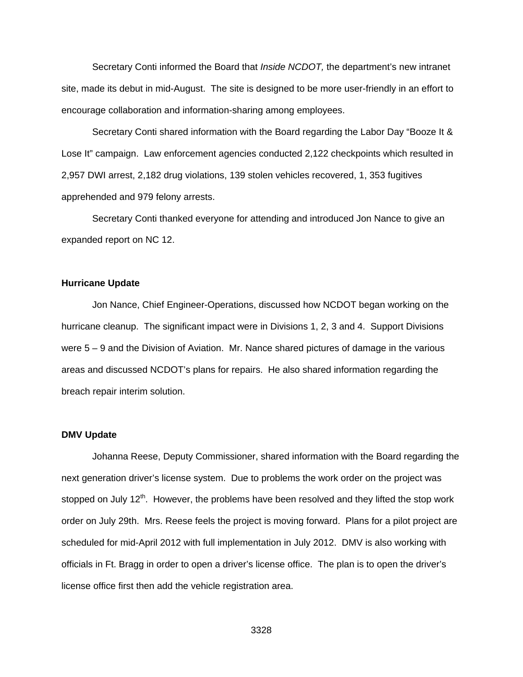Secretary Conti informed the Board that *Inside NCDOT,* the department's new intranet site, made its debut in mid-August. The site is designed to be more user-friendly in an effort to encourage collaboration and information-sharing among employees.

Secretary Conti shared information with the Board regarding the Labor Day "Booze It & Lose It" campaign. Law enforcement agencies conducted 2,122 checkpoints which resulted in 2,957 DWI arrest, 2,182 drug violations, 139 stolen vehicles recovered, 1, 353 fugitives apprehended and 979 felony arrests.

 Secretary Conti thanked everyone for attending and introduced Jon Nance to give an expanded report on NC 12.

#### **Hurricane Update**

 Jon Nance, Chief Engineer-Operations, discussed how NCDOT began working on the hurricane cleanup. The significant impact were in Divisions 1, 2, 3 and 4. Support Divisions were 5 – 9 and the Division of Aviation. Mr. Nance shared pictures of damage in the various areas and discussed NCDOT's plans for repairs. He also shared information regarding the breach repair interim solution.

#### **DMV Update**

Johanna Reese, Deputy Commissioner, shared information with the Board regarding the next generation driver's license system. Due to problems the work order on the project was stopped on July 12<sup>th</sup>. However, the problems have been resolved and they lifted the stop work order on July 29th. Mrs. Reese feels the project is moving forward. Plans for a pilot project are scheduled for mid-April 2012 with full implementation in July 2012. DMV is also working with officials in Ft. Bragg in order to open a driver's license office. The plan is to open the driver's license office first then add the vehicle registration area.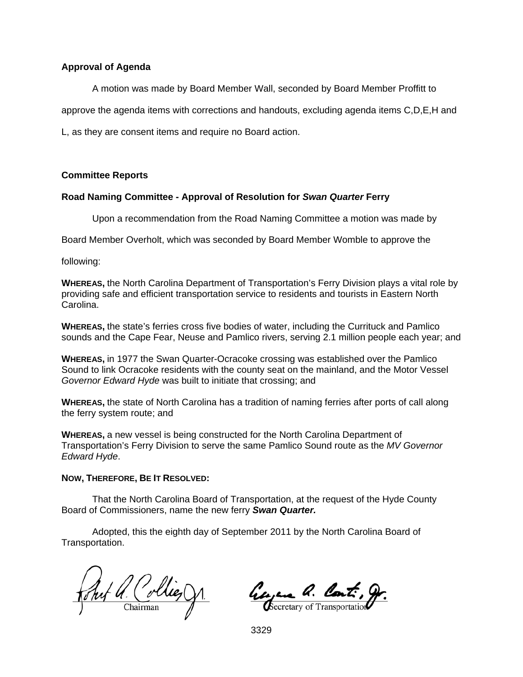#### **Approval of Agenda**

A motion was made by Board Member Wall, seconded by Board Member Proffitt to

approve the agenda items with corrections and handouts, excluding agenda items C,D,E,H and

L, as they are consent items and require no Board action.

#### **Committee Reports**

## **Road Naming Committee - Approval of Resolution for** *Swan Quarter* **Ferry**

Upon a recommendation from the Road Naming Committee a motion was made by

Board Member Overholt, which was seconded by Board Member Womble to approve the

following:

**WHEREAS,** the North Carolina Department of Transportation's Ferry Division plays a vital role by providing safe and efficient transportation service to residents and tourists in Eastern North Carolina.

**WHEREAS,** the state's ferries cross five bodies of water, including the Currituck and Pamlico sounds and the Cape Fear, Neuse and Pamlico rivers, serving 2.1 million people each year; and

**WHEREAS,** in 1977 the Swan Quarter-Ocracoke crossing was established over the Pamlico Sound to link Ocracoke residents with the county seat on the mainland, and the Motor Vessel *Governor Edward Hyde* was built to initiate that crossing; and

**WHEREAS,** the state of North Carolina has a tradition of naming ferries after ports of call along the ferry system route; and

**WHEREAS,** a new vessel is being constructed for the North Carolina Department of Transportation's Ferry Division to serve the same Pamlico Sound route as the *MV Governor Edward Hyde*.

#### **NOW, THEREFORE, BE IT RESOLVED:**

That the North Carolina Board of Transportation, at the request of the Hyde County Board of Commissioners, name the new ferry *Swan Quarter.* 

 Adopted, this the eighth day of September 2011 by the North Carolina Board of Transportation.

Fret Q. Collie, D.

Georgene a. Cont. g.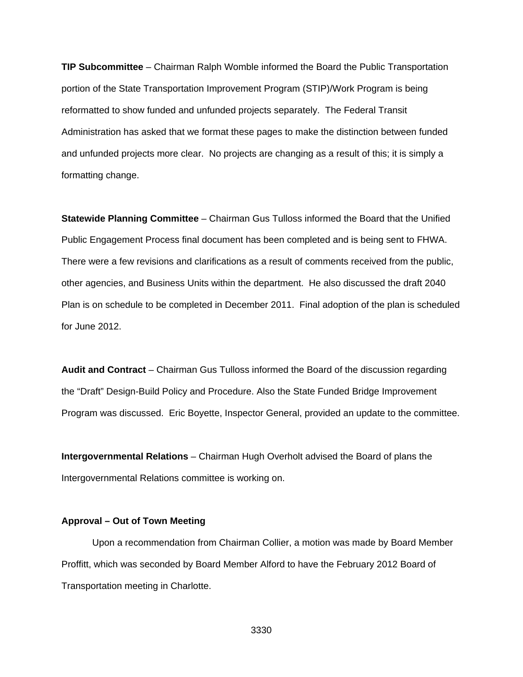**TIP Subcommittee** – Chairman Ralph Womble informed the Board the Public Transportation portion of the State Transportation Improvement Program (STIP)/Work Program is being reformatted to show funded and unfunded projects separately. The Federal Transit Administration has asked that we format these pages to make the distinction between funded and unfunded projects more clear. No projects are changing as a result of this; it is simply a formatting change.

**Statewide Planning Committee** – Chairman Gus Tulloss informed the Board that the Unified Public Engagement Process final document has been completed and is being sent to FHWA. There were a few revisions and clarifications as a result of comments received from the public, other agencies, and Business Units within the department. He also discussed the draft 2040 Plan is on schedule to be completed in December 2011. Final adoption of the plan is scheduled for June 2012.

**Audit and Contract** – Chairman Gus Tulloss informed the Board of the discussion regarding the "Draft" Design-Build Policy and Procedure. Also the State Funded Bridge Improvement Program was discussed. Eric Boyette, Inspector General, provided an update to the committee.

**Intergovernmental Relations** – Chairman Hugh Overholt advised the Board of plans the Intergovernmental Relations committee is working on.

#### **Approval – Out of Town Meeting**

Upon a recommendation from Chairman Collier, a motion was made by Board Member Proffitt, which was seconded by Board Member Alford to have the February 2012 Board of Transportation meeting in Charlotte.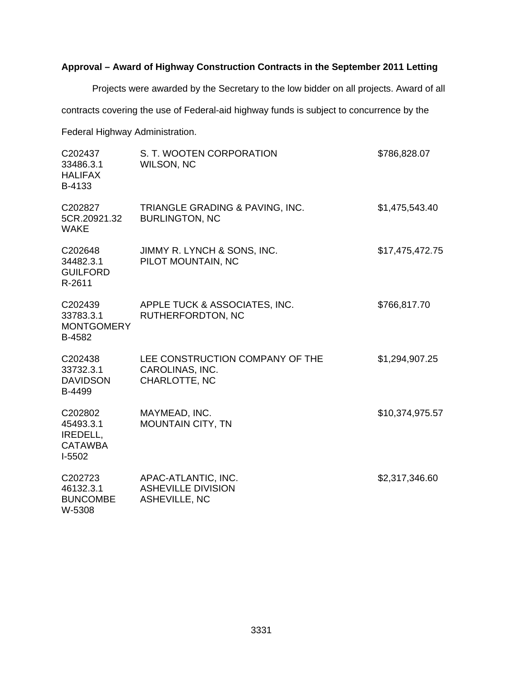# **Approval – Award of Highway Construction Contracts in the September 2011 Letting**

Projects were awarded by the Secretary to the low bidder on all projects. Award of all

contracts covering the use of Federal-aid highway funds is subject to concurrence by the

Federal Highway Administration.

| C202437<br>33486.3.1<br><b>HALIFAX</b><br>B-4133             | S. T. WOOTEN CORPORATION<br>WILSON, NC                                   | \$786,828.07    |
|--------------------------------------------------------------|--------------------------------------------------------------------------|-----------------|
| C202827<br>5CR.20921.32<br><b>WAKE</b>                       | TRIANGLE GRADING & PAVING, INC.<br><b>BURLINGTON, NC</b>                 | \$1,475,543.40  |
| C202648<br>34482.3.1<br><b>GUILFORD</b><br>R-2611            | JIMMY R. LYNCH & SONS, INC.<br>PILOT MOUNTAIN, NC                        | \$17,475,472.75 |
| C202439<br>33783.3.1<br><b>MONTGOMERY</b><br>B-4582          | APPLE TUCK & ASSOCIATES, INC.<br>RUTHERFORDTON, NC                       | \$766,817.70    |
| C202438<br>33732.3.1<br><b>DAVIDSON</b><br>B-4499            | LEE CONSTRUCTION COMPANY OF THE<br>CAROLINAS, INC.<br>CHARLOTTE, NC      | \$1,294,907.25  |
| C202802<br>45493.3.1<br>IREDELL,<br><b>CATAWBA</b><br>I-5502 | MAYMEAD, INC.<br><b>MOUNTAIN CITY, TN</b>                                | \$10,374,975.57 |
| C202723<br>46132.3.1<br><b>BUNCOMBE</b><br>W-5308            | APAC-ATLANTIC, INC.<br><b>ASHEVILLE DIVISION</b><br><b>ASHEVILLE, NC</b> | \$2,317,346.60  |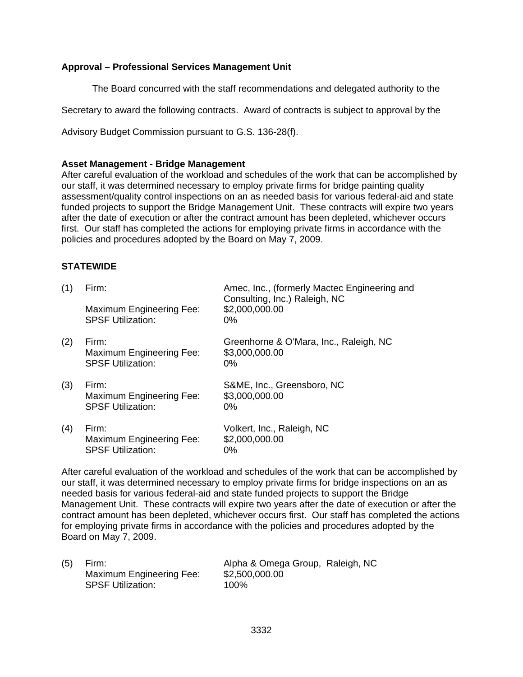# **Approval – Professional Services Management Unit**

The Board concurred with the staff recommendations and delegated authority to the

Secretary to award the following contracts. Award of contracts is subject to approval by the

Advisory Budget Commission pursuant to G.S. 136-28(f).

#### **Asset Management - Bridge Management**

After careful evaluation of the workload and schedules of the work that can be accomplished by our staff, it was determined necessary to employ private firms for bridge painting quality assessment/quality control inspections on an as needed basis for various federal-aid and state funded projects to support the Bridge Management Unit. These contracts will expire two years after the date of execution or after the contract amount has been depleted, whichever occurs first. Our staff has completed the actions for employing private firms in accordance with the policies and procedures adopted by the Board on May 7, 2009.

## **STATEWIDE**

| (1) | Firm:                                                         | Amec, Inc., (formerly Mactec Engineering and<br>Consulting, Inc.) Raleigh, NC |
|-----|---------------------------------------------------------------|-------------------------------------------------------------------------------|
|     | Maximum Engineering Fee:<br><b>SPSF Utilization:</b>          | \$2,000,000.00<br>$0\%$                                                       |
| (2) | Firm:<br>Maximum Engineering Fee:<br><b>SPSF Utilization:</b> | Greenhorne & O'Mara, Inc., Raleigh, NC<br>\$3,000,000.00<br>$0\%$             |
| (3) | Firm:<br>Maximum Engineering Fee:<br><b>SPSF Utilization:</b> | S&ME, Inc., Greensboro, NC<br>\$3,000,000.00<br>0%                            |
| (4) | Firm:<br>Maximum Engineering Fee:<br><b>SPSF Utilization:</b> | Volkert, Inc., Raleigh, NC<br>\$2,000,000.00<br>0%                            |

After careful evaluation of the workload and schedules of the work that can be accomplished by our staff, it was determined necessary to employ private firms for bridge inspections on an as needed basis for various federal-aid and state funded projects to support the Bridge Management Unit. These contracts will expire two years after the date of execution or after the contract amount has been depleted, whichever occurs first. Our staff has completed the actions for employing private firms in accordance with the policies and procedures adopted by the Board on May 7, 2009.

| (5) | Firm:                    | Alpha & Omega Group, Raleigh, NC |  |
|-----|--------------------------|----------------------------------|--|
|     | Maximum Engineering Fee: | \$2,500,000.00                   |  |
|     | <b>SPSF Utilization:</b> | 100%                             |  |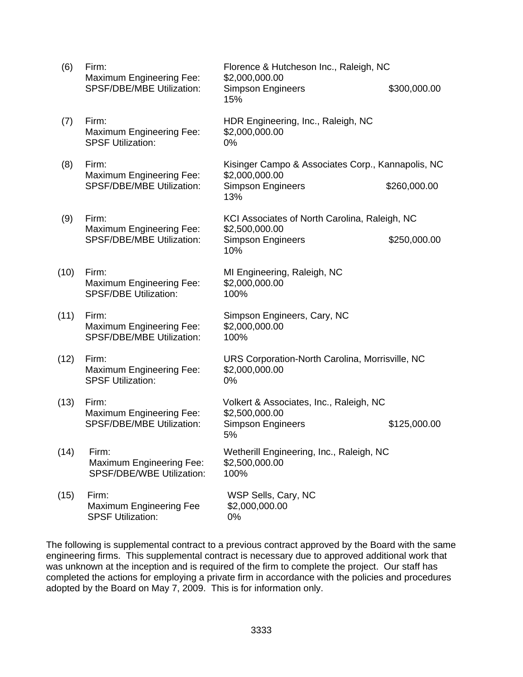| (6)  | Firm:<br>Maximum Engineering Fee:                                        | Florence & Hutcheson Inc., Raleigh, NC<br>\$2,000,000.00                                               |              |
|------|--------------------------------------------------------------------------|--------------------------------------------------------------------------------------------------------|--------------|
|      | <b>SPSF/DBE/MBE Utilization:</b>                                         | <b>Simpson Engineers</b><br>15%                                                                        | \$300,000.00 |
| (7)  | Firm:<br>Maximum Engineering Fee:<br><b>SPSF Utilization:</b>            | HDR Engineering, Inc., Raleigh, NC<br>\$2,000,000.00<br>0%                                             |              |
| (8)  | Firm:<br>Maximum Engineering Fee:<br>SPSF/DBE/MBE Utilization:           | Kisinger Campo & Associates Corp., Kannapolis, NC<br>\$2,000,000.00<br><b>Simpson Engineers</b><br>13% | \$260,000.00 |
| (9)  | Firm:                                                                    | KCI Associates of North Carolina, Raleigh, NC                                                          |              |
|      | Maximum Engineering Fee:<br>SPSF/DBE/MBE Utilization:                    | \$2,500,000.00<br><b>Simpson Engineers</b><br>10%                                                      | \$250,000.00 |
| (10) | Firm:<br><b>Maximum Engineering Fee:</b><br><b>SPSF/DBE Utilization:</b> | MI Engineering, Raleigh, NC<br>\$2,000,000.00<br>100%                                                  |              |
| (11) | Firm:<br>Maximum Engineering Fee:<br>SPSF/DBE/MBE Utilization:           | Simpson Engineers, Cary, NC<br>\$2,000,000.00<br>100%                                                  |              |
| (12) | Firm:<br>Maximum Engineering Fee:<br><b>SPSF Utilization:</b>            | URS Corporation-North Carolina, Morrisville, NC<br>\$2,000,000.00<br>0%                                |              |
| (13) | Firm:<br>Maximum Engineering Fee:<br>SPSF/DBE/MBE Utilization:           | Volkert & Associates, Inc., Raleigh, NC<br>\$2,500,000.00<br><b>Simpson Engineers</b><br>5%            | \$125,000.00 |
| (14) | Firm:<br><b>Maximum Engineering Fee:</b><br>SPSF/DBE/WBE Utilization:    | Wetherill Engineering, Inc., Raleigh, NC<br>\$2,500,000.00<br>100%                                     |              |
| (15) | Firm:<br>Maximum Engineering Fee<br><b>SPSF Utilization:</b>             | WSP Sells, Cary, NC<br>\$2,000,000.00<br>0%                                                            |              |

The following is supplemental contract to a previous contract approved by the Board with the same engineering firms. This supplemental contract is necessary due to approved additional work that was unknown at the inception and is required of the firm to complete the project. Our staff has completed the actions for employing a private firm in accordance with the policies and procedures adopted by the Board on May 7, 2009. This is for information only.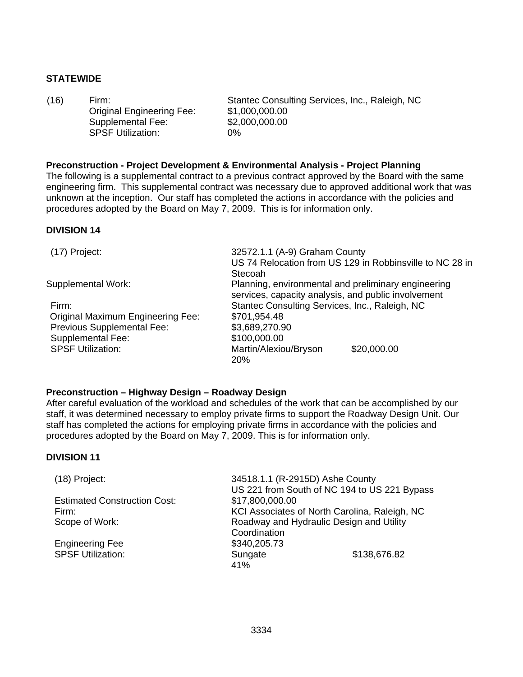# **STATEWIDE**

 Original Engineering Fee: Supplemental Fee: SPSF Utilization: 0%

(16) Firm: Stantec Consulting Services, Inc., Raleigh, NC \$1,000,000.00 \$2,000,000.00

#### **Preconstruction - Project Development & Environmental Analysis - Project Planning**

The following is a supplemental contract to a previous contract approved by the Board with the same engineering firm. This supplemental contract was necessary due to approved additional work that was unknown at the inception. Our staff has completed the actions in accordance with the policies and procedures adopted by the Board on May 7, 2009. This is for information only.

## **DIVISION 14**

| 32572.1.1 (A-9) Graham County                  | US 74 Relocation from US 129 in Robbinsville to NC 28 in       |
|------------------------------------------------|----------------------------------------------------------------|
|                                                | Planning, environmental and preliminary engineering            |
| Stantec Consulting Services, Inc., Raleigh, NC |                                                                |
| \$701,954.48                                   |                                                                |
| \$3,689,270.90                                 |                                                                |
| \$100,000.00                                   |                                                                |
| Martin/Alexiou/Bryson<br><b>20%</b>            | \$20,000.00                                                    |
|                                                | Stecoah<br>services, capacity analysis, and public involvement |

#### **Preconstruction – Highway Design – Roadway Design**

After careful evaluation of the workload and schedules of the work that can be accomplished by our staff, it was determined necessary to employ private firms to support the Roadway Design Unit. Our staff has completed the actions for employing private firms in accordance with the policies and procedures adopted by the Board on May 7, 2009. This is for information only.

#### **DIVISION 11**

| (18) Project:                       | 34518.1.1 (R-2915D) Ashe County<br>US 221 from South of NC 194 to US 221 Bypass |
|-------------------------------------|---------------------------------------------------------------------------------|
| <b>Estimated Construction Cost:</b> | \$17,800,000.00                                                                 |
| Firm:                               | KCI Associates of North Carolina, Raleigh, NC                                   |
| Scope of Work:                      | Roadway and Hydraulic Design and Utility                                        |
|                                     | Coordination                                                                    |
| <b>Engineering Fee</b>              | \$340,205.73                                                                    |
| <b>SPSF Utilization:</b>            | \$138,676.82<br>Sungate                                                         |
|                                     | 41%                                                                             |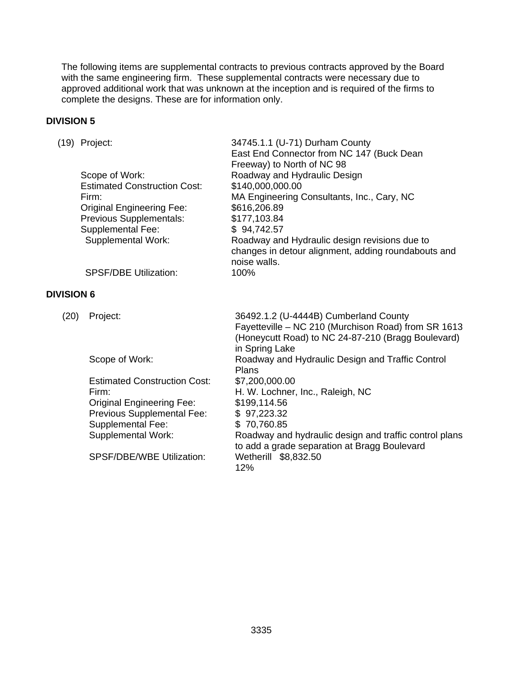The following items are supplemental contracts to previous contracts approved by the Board with the same engineering firm. These supplemental contracts were necessary due to approved additional work that was unknown at the inception and is required of the firms to complete the designs. These are for information only.

# **DIVISION 5**

|                   | (19) Project:<br>Scope of Work:<br><b>Estimated Construction Cost:</b><br>Firm:<br><b>Original Engineering Fee:</b><br>Previous Supplementals:<br>Supplemental Fee:<br><b>Supplemental Work:</b>            | 34745.1.1 (U-71) Durham County<br>East End Connector from NC 147 (Buck Dean<br>Freeway) to North of NC 98<br>Roadway and Hydraulic Design<br>\$140,000,000.00<br>MA Engineering Consultants, Inc., Cary, NC<br>\$616,206.89<br>\$177,103.84<br>\$94,742.57<br>Roadway and Hydraulic design revisions due to<br>changes in detour alignment, adding roundabouts and<br>noise walls. |
|-------------------|-------------------------------------------------------------------------------------------------------------------------------------------------------------------------------------------------------------|------------------------------------------------------------------------------------------------------------------------------------------------------------------------------------------------------------------------------------------------------------------------------------------------------------------------------------------------------------------------------------|
|                   | <b>SPSF/DBE Utilization:</b>                                                                                                                                                                                | 100%                                                                                                                                                                                                                                                                                                                                                                               |
| <b>DIVISION 6</b> |                                                                                                                                                                                                             |                                                                                                                                                                                                                                                                                                                                                                                    |
| (20)              | Project:                                                                                                                                                                                                    | 36492.1.2 (U-4444B) Cumberland County<br>Fayetteville - NC 210 (Murchison Road) from SR 1613<br>(Honeycutt Road) to NC 24-87-210 (Bragg Boulevard)<br>in Spring Lake                                                                                                                                                                                                               |
|                   | Scope of Work:                                                                                                                                                                                              | Roadway and Hydraulic Design and Traffic Control<br>Plans                                                                                                                                                                                                                                                                                                                          |
|                   | <b>Estimated Construction Cost:</b><br>Firm:<br><b>Original Engineering Fee:</b><br>Previous Supplemental Fee:<br><b>Supplemental Fee:</b><br><b>Supplemental Work:</b><br><b>SPSF/DBE/WBE Utilization:</b> | \$7,200,000.00<br>H. W. Lochner, Inc., Raleigh, NC<br>\$199,114.56<br>\$97,223.32<br>\$70,760.85<br>Roadway and hydraulic design and traffic control plans<br>to add a grade separation at Bragg Boulevard<br>Wetherill \$8,832.50<br>12%                                                                                                                                          |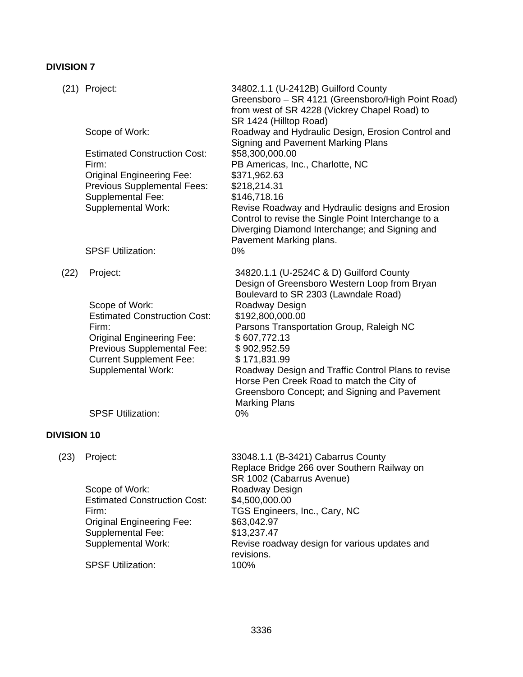# **DIVISION 7**

|                    | (21) Project:                                               | 34802.1.1 (U-2412B) Guilford County<br>Greensboro - SR 4121 (Greensboro/High Point Road)                                                                  |
|--------------------|-------------------------------------------------------------|-----------------------------------------------------------------------------------------------------------------------------------------------------------|
|                    |                                                             | from west of SR 4228 (Vickrey Chapel Road) to<br>SR 1424 (Hilltop Road)                                                                                   |
|                    | Scope of Work:                                              | Roadway and Hydraulic Design, Erosion Control and<br>Signing and Pavement Marking Plans                                                                   |
|                    | <b>Estimated Construction Cost:</b>                         | \$58,300,000.00                                                                                                                                           |
|                    | Firm:<br><b>Original Engineering Fee:</b>                   | PB Americas, Inc., Charlotte, NC<br>\$371,962.63                                                                                                          |
|                    | <b>Previous Supplemental Fees:</b>                          | \$218,214.31                                                                                                                                              |
|                    | Supplemental Fee:                                           | \$146,718.16                                                                                                                                              |
|                    | <b>Supplemental Work:</b>                                   | Revise Roadway and Hydraulic designs and Erosion<br>Control to revise the Single Point Interchange to a<br>Diverging Diamond Interchange; and Signing and |
|                    |                                                             | Pavement Marking plans.                                                                                                                                   |
|                    | <b>SPSF Utilization:</b>                                    | 0%                                                                                                                                                        |
| (22)               | Project:                                                    | 34820.1.1 (U-2524C & D) Guilford County<br>Design of Greensboro Western Loop from Bryan<br>Boulevard to SR 2303 (Lawndale Road)                           |
|                    | Scope of Work:                                              | Roadway Design                                                                                                                                            |
|                    | <b>Estimated Construction Cost:</b>                         | \$192,800,000.00                                                                                                                                          |
|                    | Firm:<br><b>Original Engineering Fee:</b>                   | Parsons Transportation Group, Raleigh NC<br>\$607,772.13                                                                                                  |
|                    | Previous Supplemental Fee:                                  | \$902,952.59                                                                                                                                              |
|                    | <b>Current Supplement Fee:</b><br><b>Supplemental Work:</b> | \$171,831.99<br>Roadway Design and Traffic Control Plans to revise                                                                                        |
|                    |                                                             | Horse Pen Creek Road to match the City of                                                                                                                 |
|                    |                                                             | Greensboro Concept; and Signing and Pavement                                                                                                              |
|                    | <b>SPSF Utilization:</b>                                    | <b>Marking Plans</b><br>0%                                                                                                                                |
| <b>DIVISION 10</b> |                                                             |                                                                                                                                                           |
|                    |                                                             |                                                                                                                                                           |
| (23)               | Project:                                                    | 33048.1.1 (B-3421) Cabarrus County<br>Replace Bridge 266 over Southern Railway on                                                                         |
|                    |                                                             | SR 1002 (Cabarrus Avenue)                                                                                                                                 |
|                    | Scope of Work:<br><b>Estimated Construction Cost:</b>       | Roadway Design<br>\$4,500,000.00                                                                                                                          |

Firm: TGS Engineers, Inc., Cary, NC Original Engineering Fee: Supplemental Fee: Supplemental Work:

**SPSF Utilization:** 

3336

\$63,042.97  $$13,237.47$ 

revisions.<br>100%

Revise roadway design for various updates and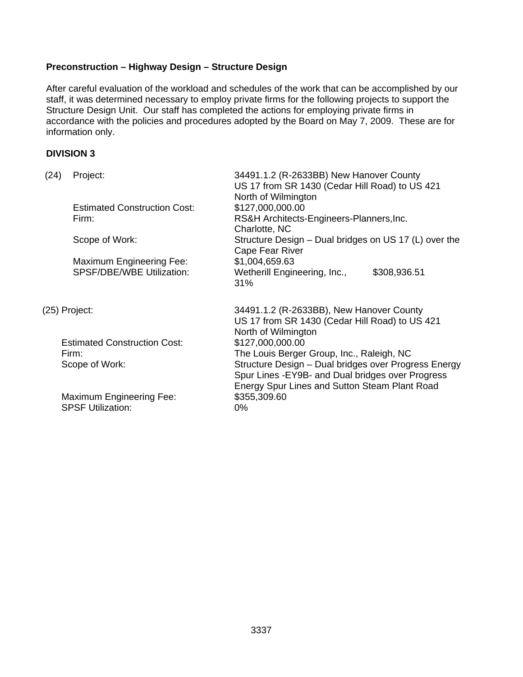# **Preconstruction – Highway Design – Structure Design**

After careful evaluation of the workload and schedules of the work that can be accomplished by our staff, it was determined necessary to employ private firms for the following projects to support the Structure Design Unit. Our staff has completed the actions for employing private firms in accordance with the policies and procedures adopted by the Board on May 7, 2009. These are for information only.

## **DIVISION 3**

| (24) | Project:                                                            | 34491.1.2 (R-2633BB) New Hanover County<br>US 17 from SR 1430 (Cedar Hill Road) to US 421<br>North of Wilmington                                                                                        |
|------|---------------------------------------------------------------------|---------------------------------------------------------------------------------------------------------------------------------------------------------------------------------------------------------|
|      | <b>Estimated Construction Cost:</b><br>Firm:                        | \$127,000,000.00<br>RS&H Architects-Engineers-Planners, Inc.<br>Charlotte, NC                                                                                                                           |
|      | Scope of Work:                                                      | Structure Design – Dual bridges on US 17 (L) over the<br>Cape Fear River                                                                                                                                |
|      | <b>Maximum Engineering Fee:</b><br><b>SPSF/DBE/WBE Utilization:</b> | \$1,004,659.63<br>Wetherill Engineering, Inc.,<br>\$308,936.51<br>31%                                                                                                                                   |
|      | (25) Project:                                                       | 34491.1.2 (R-2633BB), New Hanover County<br>US 17 from SR 1430 (Cedar Hill Road) to US 421<br>North of Wilmington                                                                                       |
|      | <b>Estimated Construction Cost:</b>                                 | \$127,000,000.00                                                                                                                                                                                        |
|      | Firm:<br>Scope of Work:                                             | The Louis Berger Group, Inc., Raleigh, NC<br>Structure Design - Dual bridges over Progress Energy<br>Spur Lines - EY9B- and Dual bridges over Progress<br>Energy Spur Lines and Sutton Steam Plant Road |
|      | <b>Maximum Engineering Fee:</b><br><b>SPSF Utilization:</b>         | \$355,309.60<br>$0\%$                                                                                                                                                                                   |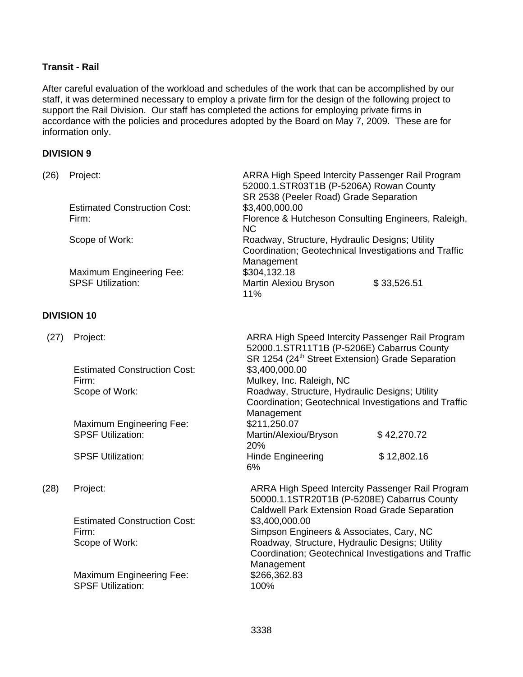# **Transit - Rail**

After careful evaluation of the workload and schedules of the work that can be accomplished by our staff, it was determined necessary to employ a private firm for the design of the following project to support the Rail Division. Our staff has completed the actions for employing private firms in accordance with the policies and procedures adopted by the Board on May 7, 2009. These are for information only.

#### **DIVISION 9**

| (26) | Project:                            | ARRA High Speed Intercity Passenger Rail Program<br>52000.1.STR03T1B (P-5206A) Rowan County<br>SR 2538 (Peeler Road) Grade Separation |  |  |
|------|-------------------------------------|---------------------------------------------------------------------------------------------------------------------------------------|--|--|
|      | <b>Estimated Construction Cost:</b> | \$3,400,000.00                                                                                                                        |  |  |
|      | Firm:                               | Florence & Hutcheson Consulting Engineers, Raleigh,<br>NC.                                                                            |  |  |
|      | Scope of Work:                      | Roadway, Structure, Hydraulic Designs; Utility<br>Coordination; Geotechnical Investigations and Traffic<br>Management                 |  |  |
|      | <b>Maximum Engineering Fee:</b>     | \$304,132.18                                                                                                                          |  |  |
|      | <b>SPSF Utilization:</b>            | \$33,526.51<br><b>Martin Alexiou Bryson</b><br>11%                                                                                    |  |  |
|      | <b>DIVISION 10</b>                  |                                                                                                                                       |  |  |
| (27) | Project:                            | ARRA High Speed Intercity Passenger Rail Program<br>52000.1.STR11T1B (P-5206E) Cabarrus County                                        |  |  |

|      | <b>Estimated Construction Cost:</b><br>Firm:<br>Scope of Work: | SR 1254 (24 <sup>th</sup> Street Extension) Grade Separation<br>\$3,400,000.00<br>Mulkey, Inc. Raleigh, NC<br>Roadway, Structure, Hydraulic Designs; Utility<br>Coordination; Geotechnical Investigations and Traffic<br>Management |             |
|------|----------------------------------------------------------------|-------------------------------------------------------------------------------------------------------------------------------------------------------------------------------------------------------------------------------------|-------------|
|      | <b>Maximum Engineering Fee:</b>                                | \$211,250.07                                                                                                                                                                                                                        |             |
|      | <b>SPSF Utilization:</b>                                       | Martin/Alexiou/Bryson<br><b>20%</b>                                                                                                                                                                                                 | \$42,270.72 |
|      | <b>SPSF Utilization:</b>                                       | <b>Hinde Engineering</b>                                                                                                                                                                                                            | \$12,802.16 |
|      |                                                                | 6%                                                                                                                                                                                                                                  |             |
| (28) | Project:                                                       | ARRA High Speed Intercity Passenger Rail Program<br>50000.1.1STR20T1B (P-5208E) Cabarrus County<br><b>Caldwell Park Extension Road Grade Separation</b>                                                                             |             |
|      | <b>Estimated Construction Cost:</b>                            | \$3,400,000.00                                                                                                                                                                                                                      |             |
|      | Firm:                                                          | Simpson Engineers & Associates, Cary, NC                                                                                                                                                                                            |             |
|      | Scope of Work:                                                 | Roadway, Structure, Hydraulic Designs; Utility                                                                                                                                                                                      |             |
|      |                                                                | Coordination; Geotechnical Investigations and Traffic<br>Management                                                                                                                                                                 |             |
|      | <b>Maximum Engineering Fee:</b>                                | \$266,362.83                                                                                                                                                                                                                        |             |
|      | <b>SPSF Utilization:</b>                                       | 100%                                                                                                                                                                                                                                |             |
|      |                                                                |                                                                                                                                                                                                                                     |             |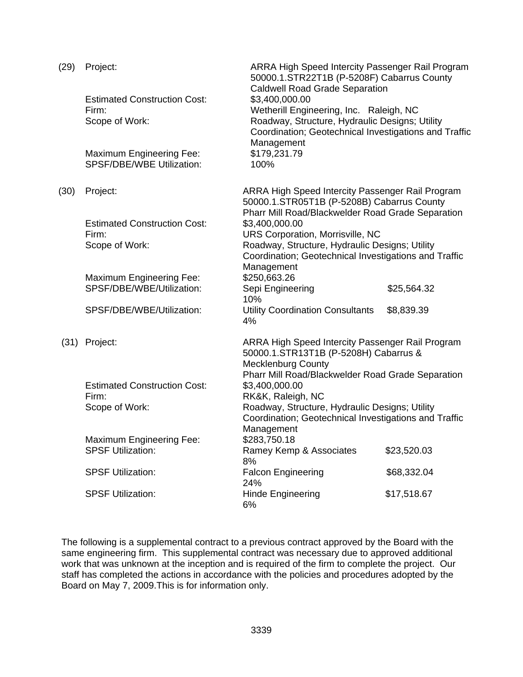| (29) | Project:                                                            | ARRA High Speed Intercity Passenger Rail Program<br>50000.1.STR22T1B (P-5208F) Cabarrus County                                                                   |             |  |
|------|---------------------------------------------------------------------|------------------------------------------------------------------------------------------------------------------------------------------------------------------|-------------|--|
|      | <b>Estimated Construction Cost:</b>                                 | <b>Caldwell Road Grade Separation</b><br>\$3,400,000.00                                                                                                          |             |  |
|      | Firm:<br>Scope of Work:                                             | Wetherill Engineering, Inc. Raleigh, NC<br>Roadway, Structure, Hydraulic Designs; Utility<br>Coordination; Geotechnical Investigations and Traffic<br>Management |             |  |
|      | <b>Maximum Engineering Fee:</b><br><b>SPSF/DBE/WBE Utilization:</b> | \$179,231.79<br>100%                                                                                                                                             |             |  |
| (30) | Project:                                                            | ARRA High Speed Intercity Passenger Rail Program<br>50000.1.STR05T1B (P-5208B) Cabarrus County<br>Pharr Mill Road/Blackwelder Road Grade Separation              |             |  |
|      | <b>Estimated Construction Cost:</b>                                 | \$3,400,000.00                                                                                                                                                   |             |  |
|      | Firm:                                                               | URS Corporation, Morrisville, NC                                                                                                                                 |             |  |
|      | Scope of Work:                                                      | Roadway, Structure, Hydraulic Designs; Utility<br>Coordination; Geotechnical Investigations and Traffic<br>Management                                            |             |  |
|      | <b>Maximum Engineering Fee:</b>                                     | \$250,663.26                                                                                                                                                     |             |  |
|      | SPSF/DBE/WBE/Utilization:                                           | Sepi Engineering<br>10%                                                                                                                                          | \$25,564.32 |  |
|      | SPSF/DBE/WBE/Utilization:                                           | <b>Utility Coordination Consultants</b><br>4%                                                                                                                    | \$8,839.39  |  |
|      | (31) Project:                                                       | ARRA High Speed Intercity Passenger Rail Program<br>50000.1.STR13T1B (P-5208H) Cabarrus &<br><b>Mecklenburg County</b>                                           |             |  |
|      |                                                                     | Pharr Mill Road/Blackwelder Road Grade Separation                                                                                                                |             |  |
|      | <b>Estimated Construction Cost:</b>                                 | \$3,400,000.00                                                                                                                                                   |             |  |
|      | Firm:<br>Scope of Work:                                             | RK&K, Raleigh, NC<br>Roadway, Structure, Hydraulic Designs; Utility<br>Coordination; Geotechnical Investigations and Traffic                                     |             |  |
|      |                                                                     | Management                                                                                                                                                       |             |  |
|      | <b>Maximum Engineering Fee:</b><br><b>SPSF Utilization:</b>         | \$283,750.18<br>Ramey Kemp & Associates<br>8%                                                                                                                    | \$23,520.03 |  |
|      | <b>SPSF Utilization:</b>                                            | <b>Falcon Engineering</b><br>24%                                                                                                                                 | \$68,332.04 |  |
|      | <b>SPSF Utilization:</b>                                            | <b>Hinde Engineering</b><br>6%                                                                                                                                   | \$17,518.67 |  |

The following is a supplemental contract to a previous contract approved by the Board with the same engineering firm. This supplemental contract was necessary due to approved additional work that was unknown at the inception and is required of the firm to complete the project. Our staff has completed the actions in accordance with the policies and procedures adopted by the Board on May 7, 2009.This is for information only.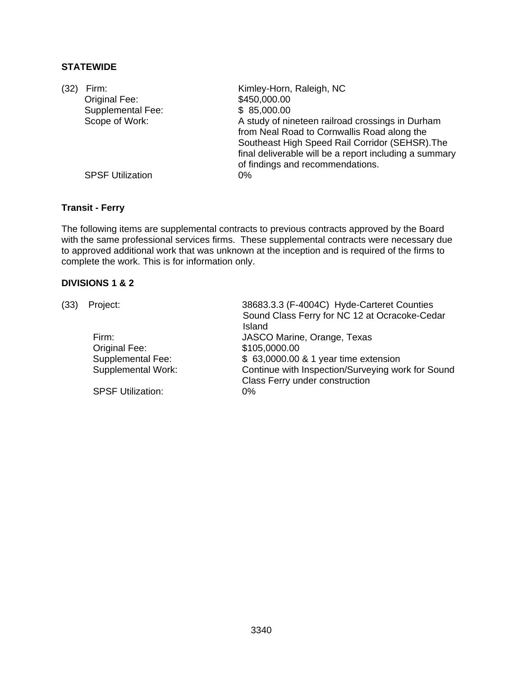# **STATEWIDE**

| (32) | Firm:                   | Kimley-Horn, Raleigh, NC                                                                                                                                                                                                                         |
|------|-------------------------|--------------------------------------------------------------------------------------------------------------------------------------------------------------------------------------------------------------------------------------------------|
|      | Original Fee:           | \$450,000.00                                                                                                                                                                                                                                     |
|      | Supplemental Fee:       | \$85,000.00                                                                                                                                                                                                                                      |
|      | Scope of Work:          | A study of nineteen railroad crossings in Durham<br>from Neal Road to Cornwallis Road along the<br>Southeast High Speed Rail Corridor (SEHSR). The<br>final deliverable will be a report including a summary<br>of findings and recommendations. |
|      | <b>SPSF Utilization</b> | 0%                                                                                                                                                                                                                                               |

## **Transit - Ferry**

The following items are supplemental contracts to previous contracts approved by the Board with the same professional services firms. These supplemental contracts were necessary due to approved additional work that was unknown at the inception and is required of the firms to complete the work. This is for information only.

# **DIVISIONS 1 & 2**

| (33) | Project:                 | 38683.3.3 (F-4004C) Hyde-Carteret Counties        |
|------|--------------------------|---------------------------------------------------|
|      |                          | Sound Class Ferry for NC 12 at Ocracoke-Cedar     |
|      |                          | Island                                            |
|      | Firm:                    | JASCO Marine, Orange, Texas                       |
|      | Original Fee:            | \$105,0000.00                                     |
|      | Supplemental Fee:        | \$ 63,0000.00 & 1 year time extension             |
|      | Supplemental Work:       | Continue with Inspection/Surveying work for Sound |
|      |                          | Class Ferry under construction                    |
|      | <b>SPSF Utilization:</b> | 0%                                                |
|      |                          |                                                   |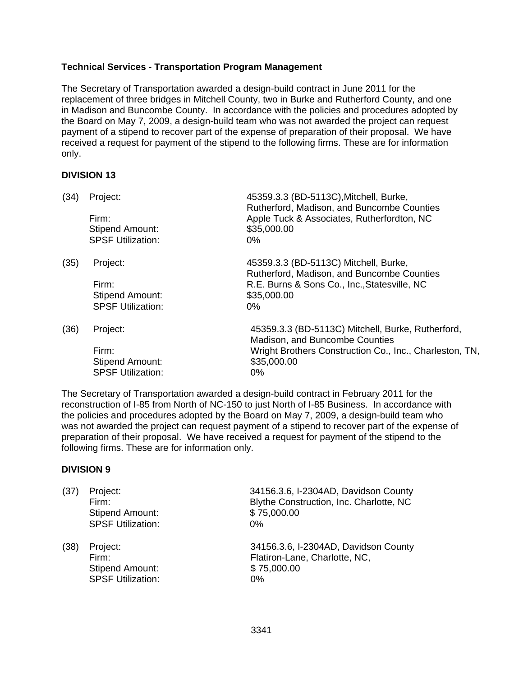# **Technical Services - Transportation Program Management**

The Secretary of Transportation awarded a design-build contract in June 2011 for the replacement of three bridges in Mitchell County, two in Burke and Rutherford County, and one in Madison and Buncombe County. In accordance with the policies and procedures adopted by the Board on May 7, 2009, a design-build team who was not awarded the project can request payment of a stipend to recover part of the expense of preparation of their proposal. We have received a request for payment of the stipend to the following firms. These are for information only.

## **DIVISION 13**

| (34) | Project:                 | 45359.3.3 (BD-5113C), Mitchell, Burke,<br>Rutherford, Madison, and Buncombe Counties |
|------|--------------------------|--------------------------------------------------------------------------------------|
|      | Firm:                    | Apple Tuck & Associates, Rutherfordton, NC                                           |
|      | <b>Stipend Amount:</b>   | \$35,000.00                                                                          |
|      | <b>SPSF Utilization:</b> | $0\%$                                                                                |
| (35) | Project:                 | 45359.3.3 (BD-5113C) Mitchell, Burke,<br>Rutherford, Madison, and Buncombe Counties  |
|      | Firm:                    | R.E. Burns & Sons Co., Inc., Statesville, NC                                         |
|      | <b>Stipend Amount:</b>   | \$35,000.00                                                                          |
|      | <b>SPSF Utilization:</b> | 0%                                                                                   |
| (36) | Project:                 | 45359.3.3 (BD-5113C) Mitchell, Burke, Rutherford,<br>Madison, and Buncombe Counties  |
|      | Firm:                    | Wright Brothers Construction Co., Inc., Charleston, TN,                              |
|      | <b>Stipend Amount:</b>   | \$35,000.00                                                                          |
|      | <b>SPSF Utilization:</b> | 0%                                                                                   |

The Secretary of Transportation awarded a design-build contract in February 2011 for the reconstruction of I-85 from North of NC-150 to just North of I-85 Business. In accordance with the policies and procedures adopted by the Board on May 7, 2009, a design-build team who was not awarded the project can request payment of a stipend to recover part of the expense of preparation of their proposal. We have received a request for payment of the stipend to the following firms. These are for information only.

## **DIVISION 9**

| (37) | Project:<br>Firm:<br><b>Stipend Amount:</b><br><b>SPSF Utilization:</b> | 34156.3.6, I-2304AD, Davidson County<br>Blythe Construction, Inc. Charlotte, NC<br>\$75,000.00<br>$0\%$ |
|------|-------------------------------------------------------------------------|---------------------------------------------------------------------------------------------------------|
| (38) | Project:<br>Firm:<br>Stipend Amount:                                    | 34156.3.6, I-2304AD, Davidson County<br>Flatiron-Lane, Charlotte, NC,<br>\$75,000.00                    |

SPSF Utilization: 0%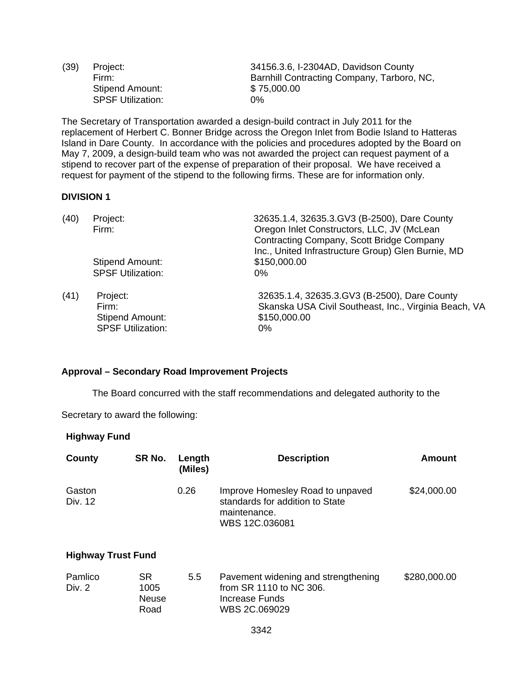Stipend Amount: \$75,000.00 SPSF Utilization: 0%

(39) Project: 34156.3.6, I-2304AD, Davidson County Firm: Barnhill Contracting Company, Tarboro, NC,

The Secretary of Transportation awarded a design-build contract in July 2011 for the replacement of Herbert C. Bonner Bridge across the Oregon Inlet from Bodie Island to Hatteras Island in Dare County. In accordance with the policies and procedures adopted by the Board on May 7, 2009, a design-build team who was not awarded the project can request payment of a stipend to recover part of the expense of preparation of their proposal. We have received a request for payment of the stipend to the following firms. These are for information only.

## **DIVISION 1**

| (40) | Project:                 | 32635.1.4, 32635.3.GV3 (B-2500), Dare County          |  |  |
|------|--------------------------|-------------------------------------------------------|--|--|
|      | Firm:                    | Oregon Inlet Constructors, LLC, JV (McLean            |  |  |
|      |                          | Contracting Company, Scott Bridge Company             |  |  |
|      |                          | Inc., United Infrastructure Group) Glen Burnie, MD    |  |  |
|      | <b>Stipend Amount:</b>   | \$150,000.00                                          |  |  |
|      | <b>SPSF Utilization:</b> | $0\%$                                                 |  |  |
| (41) | Project:                 | 32635.1.4, 32635.3.GV3 (B-2500), Dare County          |  |  |
|      | Firm:                    | Skanska USA Civil Southeast, Inc., Virginia Beach, VA |  |  |
|      | <b>Stipend Amount:</b>   | \$150,000.00                                          |  |  |
|      | <b>SPSF Utilization:</b> | 0%                                                    |  |  |

#### **Approval – Secondary Road Improvement Projects**

The Board concurred with the staff recommendations and delegated authority to the

Secretary to award the following:

#### **Highway Fund**

| County            | SR No. | Length<br>(Miles) | <b>Description</b>                                                                                    | Amount      |
|-------------------|--------|-------------------|-------------------------------------------------------------------------------------------------------|-------------|
| Gaston<br>Div. 12 |        | 0.26              | Improve Homesley Road to unpaved<br>standards for addition to State<br>maintenance.<br>WBS 12C.036081 | \$24,000.00 |

## **Highway Trust Fund**

| Pamlico | SR.          | 5.5 | Pavement widening and strengthening | \$280,000.00 |
|---------|--------------|-----|-------------------------------------|--------------|
| Div. 2  | 1005         |     | from SR 1110 to NC 306.             |              |
|         | <b>Neuse</b> |     | Increase Funds                      |              |
|         | Road         |     | WBS 2C.069029                       |              |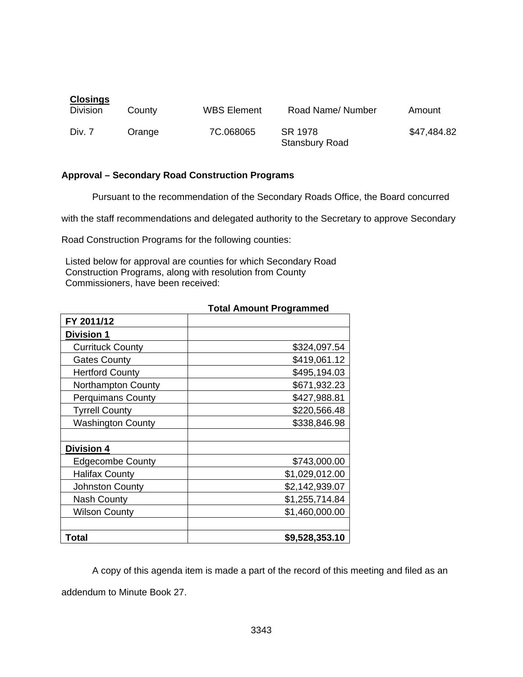| <b>Closings</b><br><b>Division</b> | County | <b>WBS Element</b> | Road Name/Number                 | Amount      |
|------------------------------------|--------|--------------------|----------------------------------|-------------|
| Div. 7                             | Orange | 7C.068065          | SR 1978<br><b>Stansbury Road</b> | \$47,484.82 |

## **Approval – Secondary Road Construction Programs**

Pursuant to the recommendation of the Secondary Roads Office, the Board concurred

with the staff recommendations and delegated authority to the Secretary to approve Secondary

Road Construction Programs for the following counties:

Listed below for approval are counties for which Secondary Road Construction Programs, along with resolution from County Commissioners, have been received:

| FY 2011/12                |                |
|---------------------------|----------------|
| <b>Division 1</b>         |                |
| <b>Currituck County</b>   | \$324,097.54   |
| <b>Gates County</b>       | \$419,061.12   |
| <b>Hertford County</b>    | \$495,194.03   |
| <b>Northampton County</b> | \$671,932.23   |
| <b>Perquimans County</b>  | \$427,988.81   |
| <b>Tyrrell County</b>     | \$220,566.48   |
| <b>Washington County</b>  | \$338,846.98   |
|                           |                |
| Division 4                |                |
| <b>Edgecombe County</b>   | \$743,000.00   |
| <b>Halifax County</b>     | \$1,029,012.00 |
| <b>Johnston County</b>    | \$2,142,939.07 |
| <b>Nash County</b>        | \$1,255,714.84 |
| <b>Wilson County</b>      | \$1,460,000.00 |
|                           |                |
| Total                     | \$9,528,353.10 |

# **Total Amount Programmed**

A copy of this agenda item is made a part of the record of this meeting and filed as an addendum to Minute Book 27.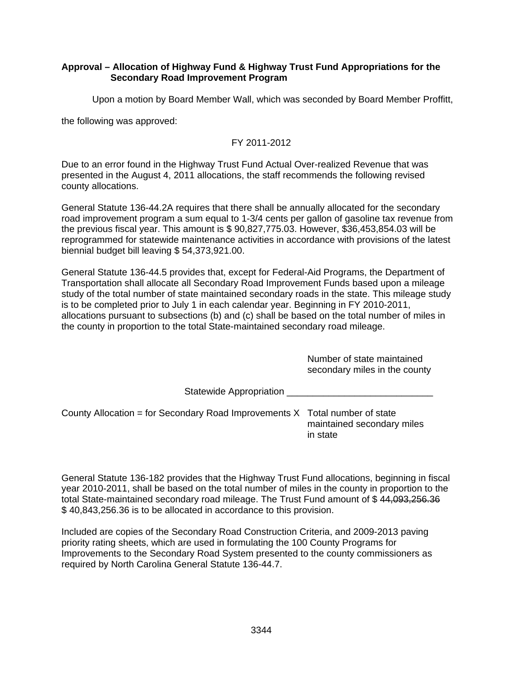## **Approval – Allocation of Highway Fund & Highway Trust Fund Appropriations for the Secondary Road Improvement Program**

Upon a motion by Board Member Wall, which was seconded by Board Member Proffitt,

the following was approved:

# FY 2011-2012

Due to an error found in the Highway Trust Fund Actual Over-realized Revenue that was presented in the August 4, 2011 allocations, the staff recommends the following revised county allocations.

General Statute 136-44.2A requires that there shall be annually allocated for the secondary road improvement program a sum equal to 1-3/4 cents per gallon of gasoline tax revenue from the previous fiscal year. This amount is \$ 90,827,775.03. However, \$36,453,854.03 will be reprogrammed for statewide maintenance activities in accordance with provisions of the latest biennial budget bill leaving \$ 54,373,921.00.

General Statute 136-44.5 provides that, except for Federal-Aid Programs, the Department of Transportation shall allocate all Secondary Road Improvement Funds based upon a mileage study of the total number of state maintained secondary roads in the state. This mileage study is to be completed prior to July 1 in each calendar year. Beginning in FY 2010-2011, allocations pursuant to subsections (b) and (c) shall be based on the total number of miles in the county in proportion to the total State-maintained secondary road mileage.

> Number of state maintained secondary miles in the county

Statewide Appropriation \_\_\_\_\_\_\_\_\_\_\_\_\_\_\_\_\_\_\_\_\_\_\_\_\_\_\_\_

County Allocation = for Secondary Road Improvements  $X$  Total number of state maintained secondary miles in state

General Statute 136-182 provides that the Highway Trust Fund allocations, beginning in fiscal year 2010-2011, shall be based on the total number of miles in the county in proportion to the total State-maintained secondary road mileage. The Trust Fund amount of \$ 44,093,256.36 \$ 40,843,256.36 is to be allocated in accordance to this provision.

Included are copies of the Secondary Road Construction Criteria, and 2009-2013 paving priority rating sheets, which are used in formulating the 100 County Programs for Improvements to the Secondary Road System presented to the county commissioners as required by North Carolina General Statute 136-44.7.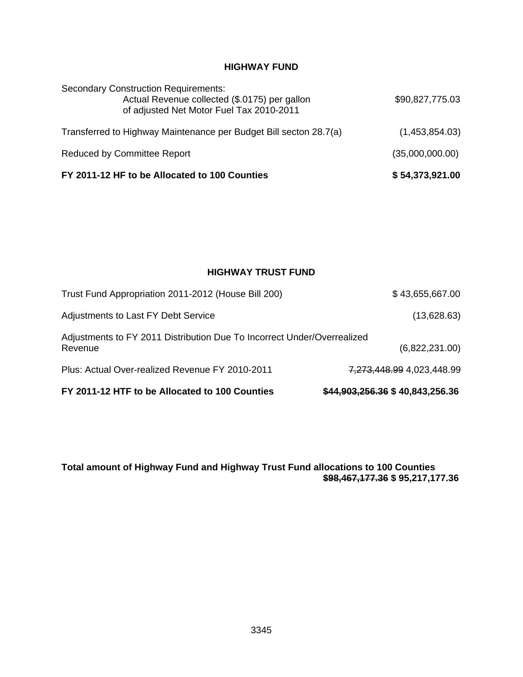# **HIGHWAY FUND**

| FY 2011-12 HF to be Allocated to 100 Counties                                                                                            | \$54,373,921.00 |
|------------------------------------------------------------------------------------------------------------------------------------------|-----------------|
| <b>Reduced by Committee Report</b>                                                                                                       | (35,000,000.00) |
| Transferred to Highway Maintenance per Budget Bill secton 28.7(a)                                                                        | (1,453,854.03)  |
| <b>Secondary Construction Requirements:</b><br>Actual Revenue collected (\$.0175) per gallon<br>of adjusted Net Motor Fuel Tax 2010-2011 | \$90,827,775.03 |

# **HIGHWAY TRUST FUND**

| FY 2011-12 HTF to be Allocated to 100 Counties                                     | \$44,903,256.36 \$40,843,256.36 |
|------------------------------------------------------------------------------------|---------------------------------|
| Plus: Actual Over-realized Revenue FY 2010-2011                                    | 7,273,448.99 4,023,448.99       |
| Adjustments to FY 2011 Distribution Due To Incorrect Under/Overrealized<br>Revenue | (6,822,231.00)                  |
| Adjustments to Last FY Debt Service                                                | (13,628.63)                     |
| Trust Fund Appropriation 2011-2012 (House Bill 200)                                | \$43,655,667.00                 |

**Total amount of Highway Fund and Highway Trust Fund allocations to 100 Counties \$98,467,177.36 \$ 95,217,177.36**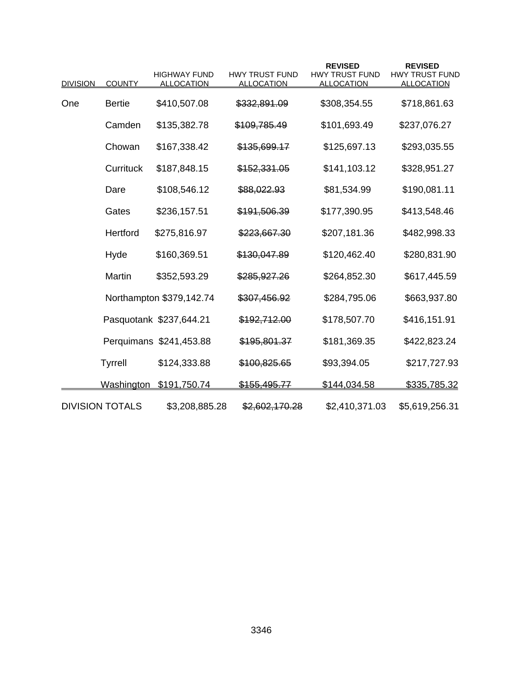| <b>DIVISION</b> | <b>COUNTY</b>          | <b>HIGHWAY FUND</b><br><b>ALLOCATION</b> | <b>HWY TRUST FUND</b><br><b>ALLOCATION</b> | <b>REVISED</b><br><b>HWY TRUST FUND</b><br><b>ALLOCATION</b> | <b>REVISED</b><br><b>HWY TRUST FUND</b><br><b>ALLOCATION</b> |
|-----------------|------------------------|------------------------------------------|--------------------------------------------|--------------------------------------------------------------|--------------------------------------------------------------|
|                 |                        |                                          |                                            |                                                              |                                                              |
| One             | <b>Bertie</b>          | \$410,507.08                             | \$332,891.09                               | \$308,354.55                                                 | \$718,861.63                                                 |
|                 | Camden                 | \$135,382.78                             | \$109,785.49                               | \$101,693.49                                                 | \$237,076.27                                                 |
|                 | Chowan                 | \$167,338.42                             | \$135,699.17                               | \$125,697.13                                                 | \$293,035.55                                                 |
|                 | Currituck              | \$187,848.15                             | \$152,331.05                               | \$141,103.12                                                 | \$328,951.27                                                 |
|                 | Dare                   | \$108,546.12                             | \$88,022.93                                | \$81,534.99                                                  | \$190,081.11                                                 |
|                 | Gates                  | \$236,157.51                             | \$191,506.39                               | \$177,390.95                                                 | \$413,548.46                                                 |
|                 | Hertford               | \$275,816.97                             | \$223,667.30                               | \$207,181.36                                                 | \$482,998.33                                                 |
|                 | Hyde                   | \$160,369.51                             | \$130,047.89                               | \$120,462.40                                                 | \$280,831.90                                                 |
|                 | Martin                 | \$352,593.29                             | \$285,927.26                               | \$264,852.30                                                 | \$617,445.59                                                 |
|                 |                        | Northampton \$379,142.74                 | \$307,456.92                               | \$284,795.06                                                 | \$663,937.80                                                 |
|                 |                        | Pasquotank \$237,644.21                  | \$192,712.00                               | \$178,507.70                                                 | \$416,151.91                                                 |
|                 |                        | Perquimans \$241,453.88                  | \$195,801.37                               | \$181,369.35                                                 | \$422,823.24                                                 |
|                 | <b>Tyrrell</b>         | \$124,333.88                             | \$100,825.65                               | \$93,394.05                                                  | \$217,727.93                                                 |
|                 | <b>Washington</b>      | \$191,750.74                             | \$155,495.77                               | <u>\$144,034.58</u>                                          | \$335,785.32                                                 |
|                 | <b>DIVISION TOTALS</b> | \$3,208,885.28                           | \$2,602,170.28                             | \$2,410,371.03                                               | \$5,619,256.31                                               |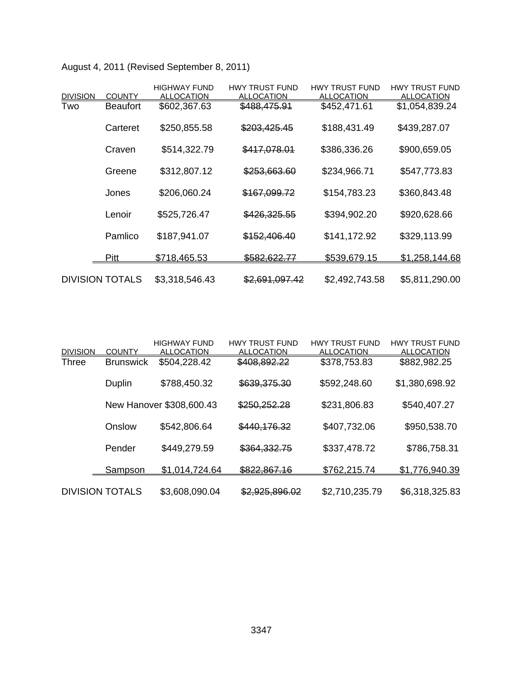|                 |                        | <b>HIGHWAY FUND</b> | <b>HWY TRUST FUND</b> | <b>HWY TRUST FUND</b> | <b>HWY TRUST FUND</b> |
|-----------------|------------------------|---------------------|-----------------------|-----------------------|-----------------------|
| <b>DIVISION</b> | <b>COUNTY</b>          | <b>ALLOCATION</b>   | <b>ALLOCATION</b>     | <b>ALLOCATION</b>     | <b>ALLOCATION</b>     |
| Two             | <b>Beaufort</b>        | \$602,367.63        | \$488,475.91          | \$452,471.61          | \$1,054,839.24        |
|                 | Carteret               | \$250,855.58        | \$203,425.45          | \$188,431.49          | \$439,287.07          |
|                 | Craven                 | \$514,322.79        | \$417,078.01          | \$386,336.26          | \$900,659.05          |
|                 | Greene                 | \$312,807.12        | \$253,663.60          | \$234,966.71          | \$547,773.83          |
|                 | Jones                  | \$206,060.24        | \$167,099.72          | \$154,783.23          | \$360,843.48          |
|                 | Lenoir                 | \$525,726.47        | \$426,325.55          | \$394,902.20          | \$920,628.66          |
|                 | Pamlico                | \$187,941.07        | \$152,406.40          | \$141,172.92          | \$329,113.99          |
|                 | <b>Pitt</b>            | \$718,465.53        | \$582,622.77          | \$539,679.15          | \$1,258,144.68        |
|                 | <b>DIVISION TOTALS</b> | \$3,318,546.43      | \$2,691,097.42        | \$2,492,743.58        | \$5,811,290.00        |

August 4, 2011 (Revised September 8, 2011)

| <b>DIVISION</b> | <b>COUNTY</b>          | <b>HIGHWAY FUND</b><br><b>ALLOCATION</b> | <b>HWY TRUST FUND</b><br><b>ALLOCATION</b> | <b>HWY TRUST FUND</b><br><b>ALLOCATION</b> | <b>HWY TRUST FUND</b><br><b>ALLOCATION</b> |
|-----------------|------------------------|------------------------------------------|--------------------------------------------|--------------------------------------------|--------------------------------------------|
| Three           | <b>Brunswick</b>       | \$504,228.42                             | \$408,892.22                               | \$378,753.83                               | \$882,982.25                               |
|                 | Duplin                 | \$788,450.32                             | \$639,375.30                               | \$592,248.60                               | \$1,380,698.92                             |
|                 |                        | New Hanover \$308,600.43                 | \$250,252.28                               | \$231,806.83                               | \$540,407.27                               |
|                 | Onslow                 | \$542,806.64                             | \$440,176.32                               | \$407,732.06                               | \$950,538.70                               |
|                 | Pender                 | \$449,279.59                             | \$364,332.75                               | \$337,478.72                               | \$786,758.31                               |
|                 | <u>Sampson</u>         | \$1,014,724.64                           | \$822,867.16                               | \$762,215.74                               | \$1,776,940.39                             |
|                 | <b>DIVISION TOTALS</b> | \$3,608,090.04                           | \$2,925,896.02                             | \$2,710,235.79                             | \$6,318,325.83                             |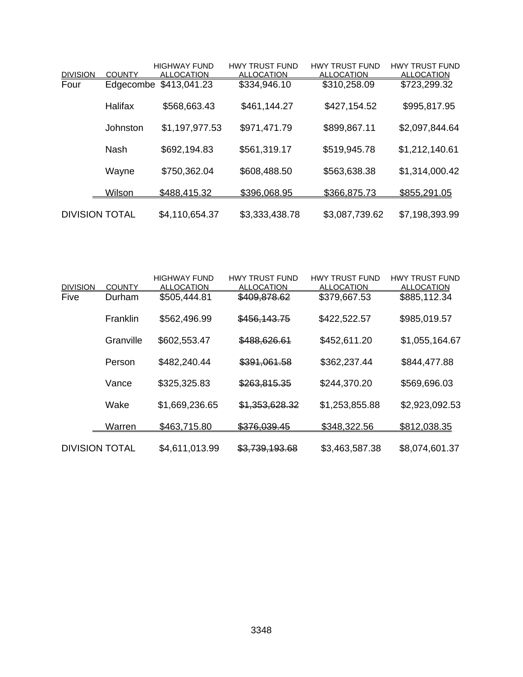|                         |                     | <b>HIGHWAY FUND</b>               | <b>HWY TRUST FUND</b>             | <b>HWY TRUST FUND</b>             | <b>HWY TRUST FUND</b>             |
|-------------------------|---------------------|-----------------------------------|-----------------------------------|-----------------------------------|-----------------------------------|
| <b>DIVISION</b><br>Four | COUNTY<br>Edgecombe | <b>ALLOCATION</b><br>\$413,041.23 | <b>ALLOCATION</b><br>\$334,946.10 | <b>ALLOCATION</b><br>\$310,258.09 | <b>ALLOCATION</b><br>\$723,299.32 |
|                         |                     |                                   |                                   |                                   |                                   |
|                         | Halifax             | \$568,663.43                      | \$461,144.27                      | \$427,154.52                      | \$995,817.95                      |
|                         |                     |                                   |                                   |                                   |                                   |
|                         | Johnston            | \$1,197,977.53                    | \$971,471.79                      | \$899,867.11                      | \$2,097,844.64                    |
|                         |                     |                                   |                                   |                                   |                                   |
|                         | <b>Nash</b>         | \$692,194.83                      | \$561,319.17                      | \$519,945.78                      | \$1,212,140.61                    |
|                         |                     | \$750,362.04                      | \$608,488.50                      | \$563,638.38                      | \$1,314,000.42                    |
|                         | Wayne               |                                   |                                   |                                   |                                   |
|                         | <b>Wilson</b>       | \$488,415.32                      | \$396,068.95                      | \$366,875.73                      | \$855,291.05                      |
|                         |                     |                                   |                                   |                                   |                                   |
| <b>DIVISION TOTAL</b>   |                     | \$4,110,654.37                    | \$3,333,438.78                    | \$3,087,739.62                    | \$7,198,393.99                    |

| <b>DIVISION</b>       | <b>COUNTY</b> | <b>HIGHWAY FUND</b><br><b>ALLOCATION</b> | <b>HWY TRUST FUND</b><br><b>ALLOCATION</b> | <b>HWY TRUST FUND</b><br><b>ALLOCATION</b> | <b>HWY TRUST FUND</b><br><b>ALLOCATION</b> |
|-----------------------|---------------|------------------------------------------|--------------------------------------------|--------------------------------------------|--------------------------------------------|
| Five                  | Durham        | \$505,444.81                             | \$409,878.62                               | \$379,667.53                               | \$885,112.34                               |
|                       | Franklin      | \$562,496.99                             | \$456,143.75                               | \$422,522.57                               | \$985,019.57                               |
|                       | Granville     | \$602,553.47                             | \$488,626.61                               | \$452,611.20                               | \$1,055,164.67                             |
|                       | Person        | \$482,240.44                             | \$391,061.58                               | \$362,237.44                               | \$844,477.88                               |
|                       | Vance         | \$325,325.83                             | \$263,815.35                               | \$244,370.20                               | \$569,696.03                               |
|                       | Wake          | \$1,669,236.65                           | \$1,353,628.32                             | \$1,253,855.88                             | \$2,923,092.53                             |
|                       | <u>Warren</u> | \$463,715.80                             | \$376,039.45                               | \$348,322.56                               | \$812,038.35                               |
| <b>DIVISION TOTAL</b> |               | \$4,611,013.99                           | \$3,739,193.68                             | \$3,463,587.38                             | \$8,074,601.37                             |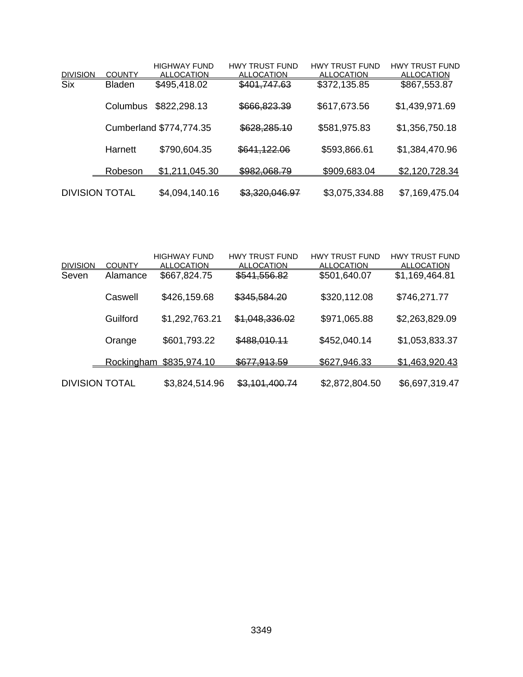|                       |                | <b>HIGHWAY FUND</b>     | <b>HWY TRUST FUND</b> | <b>HWY TRUST FUND</b> | <b>HWY TRUST FUND</b> |
|-----------------------|----------------|-------------------------|-----------------------|-----------------------|-----------------------|
| <b>DIVISION</b>       | <b>COUNTY</b>  | <b>ALLOCATION</b>       | <b>ALLOCATION</b>     | <b>ALLOCATION</b>     | <b>ALLOCATION</b>     |
| <b>Six</b>            | <b>Bladen</b>  | \$495,418.02            | \$401,747.63          | \$372,135.85          | \$867,553.87          |
|                       | Columbus       | \$822,298.13            | \$666,823.39          | \$617,673.56          | \$1,439,971.69        |
|                       |                | Cumberland \$774,774.35 | \$628,285.10          | \$581,975.83          | \$1,356,750.18        |
|                       | Harnett        | \$790,604.35            | \$641,122.06          | \$593,866.61          | \$1,384,470.96        |
|                       | <b>Robeson</b> | \$1,211,045.30          | \$982,068.79          | \$909,683.04          | \$2,120,728.34        |
| <b>DIVISION TOTAL</b> |                | \$4,094,140.16          | \$3,320,046.97        | \$3,075,334.88        | \$7,169,475.04        |

|                       |               | <b>HIGHWAY FUND</b> | <b>HWY TRUST FUND</b> | <b>HWY TRUST FUND</b> | <b>HWY TRUST FUND</b> |
|-----------------------|---------------|---------------------|-----------------------|-----------------------|-----------------------|
| <b>DIVISION</b>       | <b>COUNTY</b> | <b>ALLOCATION</b>   | <b>ALLOCATION</b>     | <b>ALLOCATION</b>     | <b>ALLOCATION</b>     |
| Seven                 | Alamance      | \$667,824.75        | \$541,556.82          | \$501,640.07          | \$1,169,464.81        |
|                       | Caswell       | \$426,159.68        | \$345,584.20          | \$320,112.08          | \$746,271.77          |
|                       | Guilford      | \$1,292,763.21      | \$1,048,336.02        | \$971,065.88          | \$2,263,829.09        |
|                       | Orange        | \$601,793.22        | \$488,010.11          | \$452,040.14          | \$1,053,833.37        |
|                       | Rockingham    | \$835,974.10        | \$677,913.59          | \$627,946.33          | \$1,463,920.43        |
| <b>DIVISION TOTAL</b> |               | \$3,824,514.96      | \$3,101,400.74        | \$2,872,804.50        | \$6,697,319.47        |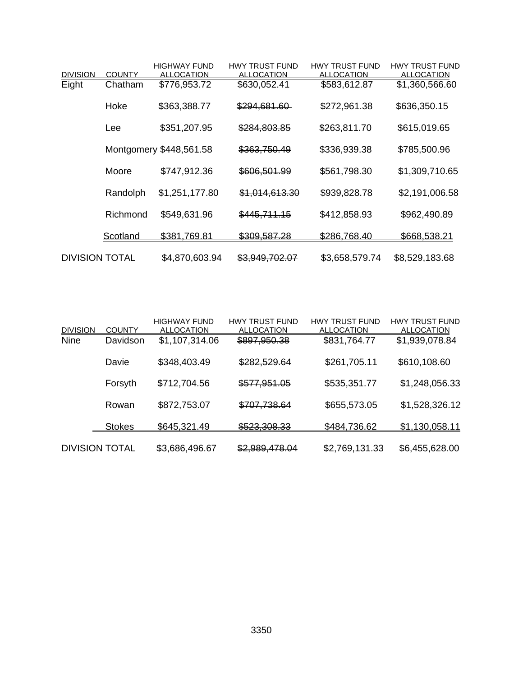|                       |               | <b>HIGHWAY FUND</b>     | <b>HWY TRUST FUND</b> | <b>HWY TRUST FUND</b> | <b>HWY TRUST FUND</b> |
|-----------------------|---------------|-------------------------|-----------------------|-----------------------|-----------------------|
| <b>DIVISION</b>       | <b>COUNTY</b> | <b>ALLOCATION</b>       | <b>ALLOCATION</b>     | <b>ALLOCATION</b>     | <b>ALLOCATION</b>     |
| Eight                 | Chatham       | \$776,953.72            | \$630,052.41          | \$583,612.87          | \$1,360,566.60        |
|                       | Hoke          | \$363,388.77            | \$294,681.60          | \$272,961.38          | \$636,350.15          |
|                       | Lee           | \$351,207.95            | \$284,803.85          | \$263,811.70          | \$615,019.65          |
|                       |               | Montgomery \$448,561.58 | \$363,750.49          | \$336,939.38          | \$785,500.96          |
|                       | Moore         | \$747,912.36            | \$606,501.99          | \$561,798.30          | \$1,309,710.65        |
|                       | Randolph      | \$1,251,177.80          | \$1,014,613.30        | \$939,828.78          | \$2,191,006.58        |
|                       | Richmond      | \$549,631.96            | \$445,711.15          | \$412,858.93          | \$962,490.89          |
|                       | Scotland      | \$381,769.81            | \$309,587.28          | \$286,768.40          | \$668,538.21          |
| <b>DIVISION TOTAL</b> |               | \$4,870,603.94          | \$3,949,702.07        | \$3,658,579.74        | \$8,529,183.68        |

| <b>DIVISION</b>       | <b>COUNTY</b> | <b>HIGHWAY FUND</b><br><b>ALLOCATION</b> | <b>HWY TRUST FUND</b><br><b>ALLOCATION</b> | <b>HWY TRUST FUND</b><br><b>ALLOCATION</b> | <b>HWY TRUST FUND</b><br><b>ALLOCATION</b> |
|-----------------------|---------------|------------------------------------------|--------------------------------------------|--------------------------------------------|--------------------------------------------|
| <b>Nine</b>           | Davidson      | \$1,107,314.06                           | \$897,950.38                               | \$831,764.77                               | \$1,939,078.84                             |
|                       | Davie         | \$348,403.49                             | \$282,529.64                               | \$261,705.11                               | \$610,108.60                               |
|                       | Forsyth       | \$712,704.56                             | \$577,951.05                               | \$535,351.77                               | \$1,248,056.33                             |
|                       | Rowan         | \$872,753.07                             | \$707,738.64                               | \$655,573.05                               | \$1,528,326.12                             |
|                       | <b>Stokes</b> | \$645,321.49                             | \$523,308.33                               | \$484,736.62                               | \$1,130,058.11                             |
| <b>DIVISION TOTAL</b> |               | \$3,686,496.67                           | \$2,989,478.04                             | \$2,769,131.33                             | \$6,455,628.00                             |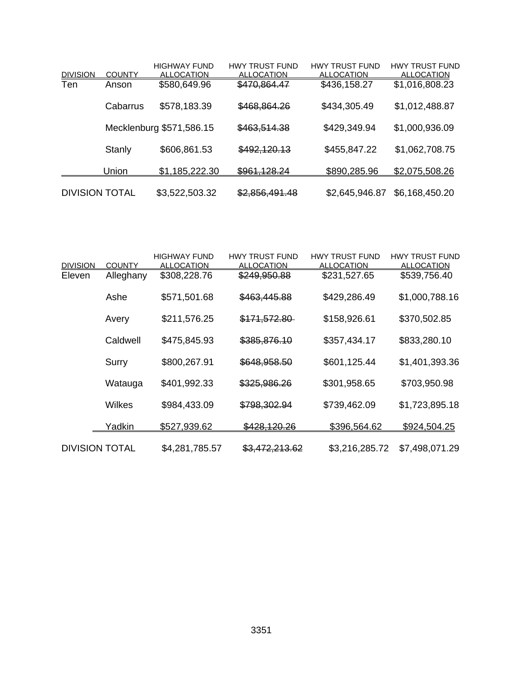|                       |               | <b>HIGHWAY FUND</b>      | <b>HWY TRUST FUND</b>     | <b>HWY TRUST FUND</b> | <b>HWY TRUST FUND</b> |
|-----------------------|---------------|--------------------------|---------------------------|-----------------------|-----------------------|
| <b>DIVISION</b>       | <b>COUNTY</b> | <b>ALLOCATION</b>        | <b>ALLOCATION</b>         | <b>ALLOCATION</b>     | <b>ALLOCATION</b>     |
| Ten                   | Anson         | \$580,649.96             | \$470,864.47              | \$436,158.27          | \$1,016,808.23        |
|                       | Cabarrus      | \$578,183.39             | \$468,864.26              | \$434,305.49          | \$1,012,488.87        |
|                       |               | Mecklenburg \$571,586.15 | \$463,514.38              | \$429,349.94          | \$1,000,936.09        |
|                       | Stanly        | \$606,861.53             | \$492,120.13              | \$455,847.22          | \$1,062,708.75        |
|                       | Union         | \$1,185,222.30           | \$961,128.24              | \$890,285.96          | \$2,075,508.26        |
| <b>DIVISION TOTAL</b> |               | \$3,522,503.32           | <del>\$2,856,491.48</del> | \$2,645,946.87        | \$6,168,450.20        |

|                       |               | <b>HIGHWAY FUND</b> | <b>HWY TRUST FUND</b> | <b>HWY TRUST FUND</b> | <b>HWY TRUST FUND</b> |
|-----------------------|---------------|---------------------|-----------------------|-----------------------|-----------------------|
| <b>DIVISION</b>       | <b>COUNTY</b> | <b>ALLOCATION</b>   | <b>ALLOCATION</b>     | <b>ALLOCATION</b>     | <b>ALLOCATION</b>     |
| Eleven                | Alleghany     | \$308,228.76        | \$249,950.88          | \$231,527.65          | \$539,756.40          |
|                       | Ashe          | \$571,501.68        | \$463,445.88          | \$429,286.49          | \$1,000,788.16        |
|                       | Avery         | \$211,576.25        | \$171,572.80          | \$158,926.61          | \$370,502.85          |
|                       | Caldwell      | \$475,845.93        | \$385,876.10          | \$357,434.17          | \$833,280.10          |
|                       | Surry         | \$800,267.91        | \$648,958.50          | \$601,125.44          | \$1,401,393.36        |
|                       | Watauga       | \$401,992.33        | \$325,986.26          | \$301,958.65          | \$703,950.98          |
|                       | Wilkes        | \$984,433.09        | \$798,302.94          | \$739,462.09          | \$1,723,895.18        |
|                       | <u>Yadkin</u> | \$527,939.62        | \$428,120,26          | \$396,564.62          | \$924,504.25          |
| <b>DIVISION TOTAL</b> |               | \$4,281,785.57      | \$3,472,213.62        | \$3,216,285.72        | \$7,498,071.29        |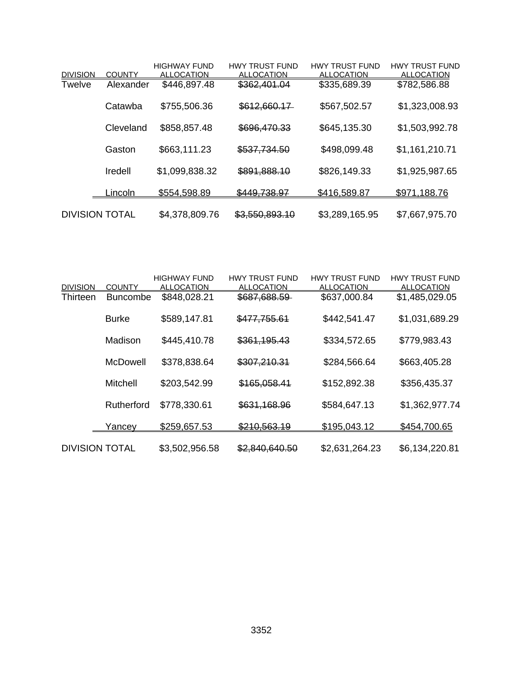|                       |               | <b>HIGHWAY FUND</b> | <b>HWY TRUST FUND</b> | <b>HWY TRUST FUND</b> | <b>HWY TRUST FUND</b> |
|-----------------------|---------------|---------------------|-----------------------|-----------------------|-----------------------|
| <b>DIVISION</b>       | <b>COUNTY</b> | <b>ALLOCATION</b>   | <b>ALLOCATION</b>     | <b>ALLOCATION</b>     | <b>ALLOCATION</b>     |
| <b>Twelve</b>         | Alexander     | \$446,897.48        | \$362,401.04          | \$335,689.39          | \$782,586.88          |
|                       | Catawba       | \$755,506.36        | \$612,660.17          | \$567,502.57          | \$1,323,008.93        |
|                       | Cleveland     | \$858,857.48        | \$696,470.33          | \$645,135.30          | \$1,503,992.78        |
|                       | Gaston        | \$663,111.23        | \$537,734.50          | \$498,099.48          | \$1,161,210.71        |
|                       | Iredell       | \$1,099,838.32      | \$891,888.10          | \$826,149.33          | \$1,925,987.65        |
|                       | <u>incoln</u> | \$554,598.89        | \$449,738.97          | \$416,589.87          | \$971,188.76          |
| <b>DIVISION TOTAL</b> |               | \$4,378,809.76      | \$3,550,893.10        | \$3,289,165.95        | \$7,667,975.70        |

| <b>DIVISION</b>       | <b>COUNTY</b>   | <b>HIGHWAY FUND</b><br><b>ALLOCATION</b> | <b>HWY TRUST FUND</b><br><b>ALLOCATION</b> | <b>HWY TRUST FUND</b><br><b>ALLOCATION</b> | <b>HWY TRUST FUND</b><br><b>ALLOCATION</b> |
|-----------------------|-----------------|------------------------------------------|--------------------------------------------|--------------------------------------------|--------------------------------------------|
| Thirteen              | <b>Buncombe</b> | \$848,028.21                             | \$687,688.59                               | \$637,000.84                               | \$1,485,029.05                             |
|                       | <b>Burke</b>    | \$589,147.81                             | \$477,755.61                               | \$442,541.47                               | \$1,031,689.29                             |
|                       | Madison         | \$445,410.78                             | \$361,195.43                               | \$334,572.65                               | \$779,983.43                               |
|                       | <b>McDowell</b> | \$378,838.64                             | \$307,210.31                               | \$284,566.64                               | \$663,405.28                               |
|                       | Mitchell        | \$203,542.99                             | \$165,058.41                               | \$152,892.38                               | \$356,435.37                               |
|                       | Rutherford      | \$778,330.61                             | \$631,168.96                               | \$584,647.13                               | \$1,362,977.74                             |
|                       | <u>Yancev</u>   | \$259,657.53                             | \$210,563.19                               | \$195,043.12                               | \$454,700.65                               |
| <b>DIVISION TOTAL</b> |                 | \$3,502,956.58                           | \$2,840,640.50                             | \$2,631,264.23                             | \$6,134,220.81                             |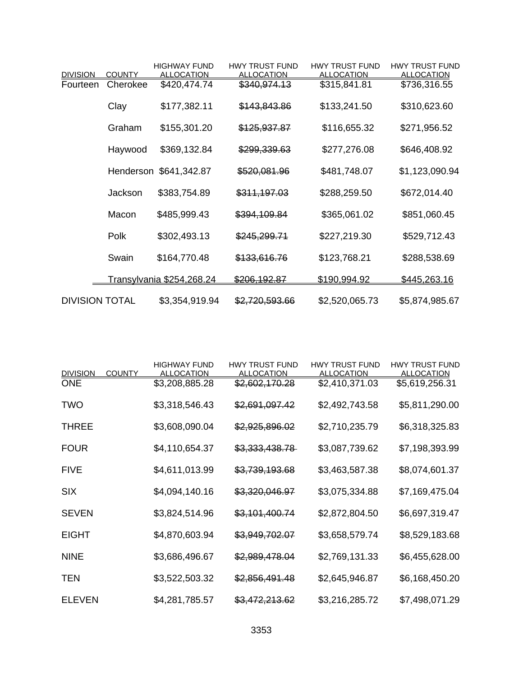|                       |               | <b>HIGHWAY FUND</b>              | <b>HWY TRUST FUND</b> | <b>HWY TRUST FUND</b> | <b>HWY TRUST FUND</b> |
|-----------------------|---------------|----------------------------------|-----------------------|-----------------------|-----------------------|
| <b>DIVISION</b>       | <b>COUNTY</b> | <b>ALLOCATION</b>                | <b>ALLOCATION</b>     | <b>ALLOCATION</b>     | <b>ALLOCATION</b>     |
| Fourteen              | Cherokee      | \$420,474.74                     | \$340,974.13          | \$315,841.81          | \$736,316.55          |
|                       | Clay          | \$177,382.11                     | \$143,843.86          | \$133,241.50          | \$310,623.60          |
|                       | Graham        | \$155,301.20                     | \$125,937.87          | \$116,655.32          | \$271,956.52          |
|                       | Haywood       | \$369,132.84                     | \$299,339.63          | \$277,276.08          | \$646,408.92          |
|                       |               | Henderson \$641,342.87           | \$520,081.96          | \$481,748.07          | \$1,123,090.94        |
|                       | Jackson       | \$383,754.89                     | \$311,197.03          | \$288,259.50          | \$672,014.40          |
|                       | Macon         | \$485,999.43                     | \$394,109.84          | \$365,061.02          | \$851,060.45          |
|                       | Polk          | \$302,493.13                     | \$245,299.71          | \$227,219.30          | \$529,712.43          |
|                       | Swain         | \$164,770.48                     | \$133,616.76          | \$123,768.21          | \$288,538.69          |
|                       |               | <u>Transylvania \$254,268.24</u> | \$206,192.87          | \$190,994.92          | \$445,263.16          |
| <b>DIVISION TOTAL</b> |               | \$3,354,919.94                   | \$2,720,593.66        | \$2,520,065.73        | \$5,874,985.67        |

| <b>DIVISION</b> | <b>COUNTY</b> | <b>HIGHWAY FUND</b><br><b>ALLOCATION</b> | <b>HWY TRUST FUND</b><br><b>ALLOCATION</b> | <b>HWY TRUST FUND</b><br><b>ALLOCATION</b> | <b>HWY TRUST FUND</b><br><b>ALLOCATION</b> |
|-----------------|---------------|------------------------------------------|--------------------------------------------|--------------------------------------------|--------------------------------------------|
| <b>ONE</b>      |               | \$3,208,885.28                           | \$2,602,170.28                             | \$2,410,371.03                             | \$5,619,256.31                             |
| TWO             |               | \$3,318,546.43                           | \$2,691,097.42                             | \$2,492,743.58                             | \$5,811,290.00                             |
| <b>THREE</b>    |               | \$3,608,090.04                           | \$2,925,896.02                             | \$2,710,235.79                             | \$6,318,325.83                             |
| <b>FOUR</b>     |               | \$4,110,654.37                           | \$3,333,438.78                             | \$3,087,739.62                             | \$7,198,393.99                             |
| <b>FIVE</b>     |               | \$4,611,013.99                           | \$3,739,193.68                             | \$3,463,587.38                             | \$8,074,601.37                             |
| <b>SIX</b>      |               | \$4,094,140.16                           | \$3,320,046.97                             | \$3,075,334.88                             | \$7,169,475.04                             |
| <b>SEVEN</b>    |               | \$3,824,514.96                           | \$3,101,400.74                             | \$2,872,804.50                             | \$6,697,319.47                             |
| <b>EIGHT</b>    |               | \$4,870,603.94                           | \$3,949,702.07                             | \$3,658,579.74                             | \$8,529,183.68                             |
| <b>NINE</b>     |               | \$3,686,496.67                           | \$2,989,478.04                             | \$2,769,131.33                             | \$6,455,628.00                             |
| TEN             |               | \$3,522,503.32                           | \$2,856,491.48                             | \$2,645,946.87                             | \$6,168,450.20                             |
| <b>ELEVEN</b>   |               | \$4,281,785.57                           | \$3,472,213.62                             | \$3,216,285.72                             | \$7,498,071.29                             |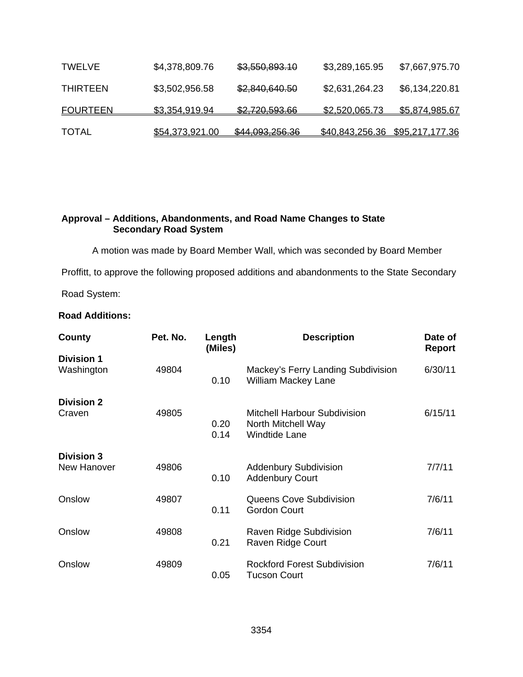| <b>TOTAL</b>    | \$54,373,921.00 | \$44,093,256.36 | \$40,843,256.36 \$95,217,177.36 |                |
|-----------------|-----------------|-----------------|---------------------------------|----------------|
| <b>FOURTEEN</b> | \$3.354.919.94  | \$2,720,593.66  | \$2,520,065.73                  | \$5,874,985.67 |
| <b>THIRTEEN</b> | \$3,502,956.58  | \$2,840,640.50  | \$2,631,264.23                  | \$6,134,220.81 |
| <b>TWELVE</b>   | \$4,378,809.76  | \$3,550,893.10  | \$3,289,165.95                  | \$7,667,975.70 |

# **Approval – Additions, Abandonments, and Road Name Changes to State Secondary Road System**

A motion was made by Board Member Wall, which was seconded by Board Member

Proffitt, to approve the following proposed additions and abandonments to the State Secondary

Road System:

# **Road Additions:**

| County                                  | Pet. No. | Length<br>(Miles) | <b>Description</b>                                                                | Date of<br><b>Report</b> |
|-----------------------------------------|----------|-------------------|-----------------------------------------------------------------------------------|--------------------------|
| <b>Division 1</b><br>Washington         | 49804    | 0.10              | Mackey's Ferry Landing Subdivision<br><b>William Mackey Lane</b>                  | 6/30/11                  |
| <b>Division 2</b><br>Craven             | 49805    | 0.20<br>0.14      | <b>Mitchell Harbour Subdivision</b><br>North Mitchell Way<br><b>Windtide Lane</b> | 6/15/11                  |
| <b>Division 3</b><br><b>New Hanover</b> | 49806    | 0.10              | <b>Addenbury Subdivision</b><br><b>Addenbury Court</b>                            | 7/7/11                   |
| Onslow                                  | 49807    | 0.11              | Queens Cove Subdivision<br><b>Gordon Court</b>                                    | 7/6/11                   |
| Onslow                                  | 49808    | 0.21              | Raven Ridge Subdivision<br>Raven Ridge Court                                      | 7/6/11                   |
| Onslow                                  | 49809    | 0.05              | <b>Rockford Forest Subdivision</b><br>Tucson Court                                | 7/6/11                   |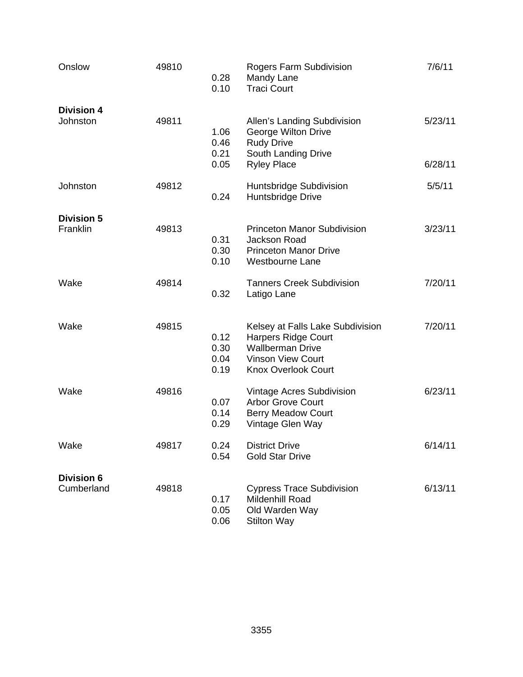| Onslow                          | 49810 | 0.28<br>0.10                 | Rogers Farm Subdivision<br>Mandy Lane<br><b>Traci Court</b>                                                                                         | 7/6/11             |
|---------------------------------|-------|------------------------------|-----------------------------------------------------------------------------------------------------------------------------------------------------|--------------------|
| <b>Division 4</b><br>Johnston   | 49811 | 1.06<br>0.46<br>0.21<br>0.05 | Allen's Landing Subdivision<br>George Wilton Drive<br><b>Rudy Drive</b><br>South Landing Drive<br><b>Ryley Place</b>                                | 5/23/11<br>6/28/11 |
| Johnston                        | 49812 | 0.24                         | Huntsbridge Subdivision<br>Huntsbridge Drive                                                                                                        | 5/5/11             |
| <b>Division 5</b><br>Franklin   | 49813 | 0.31<br>0.30<br>0.10         | <b>Princeton Manor Subdivision</b><br>Jackson Road<br><b>Princeton Manor Drive</b><br><b>Westbourne Lane</b>                                        | 3/23/11            |
| Wake                            | 49814 | 0.32                         | <b>Tanners Creek Subdivision</b><br>Latigo Lane                                                                                                     | 7/20/11            |
| Wake                            | 49815 | 0.12<br>0.30<br>0.04<br>0.19 | Kelsey at Falls Lake Subdivision<br><b>Harpers Ridge Court</b><br><b>Wallberman Drive</b><br><b>Vinson View Court</b><br><b>Knox Overlook Court</b> | 7/20/11            |
| Wake                            | 49816 | 0.07<br>0.14<br>0.29         | Vintage Acres Subdivision<br><b>Arbor Grove Court</b><br><b>Berry Meadow Court</b><br>Vintage Glen Way                                              | 6/23/11            |
| Wake                            | 49817 | 0.24<br>0.54                 | <b>District Drive</b><br><b>Gold Star Drive</b>                                                                                                     | 6/14/11            |
| <b>Division 6</b><br>Cumberland | 49818 | 0.17<br>0.05<br>0.06         | <b>Cypress Trace Subdivision</b><br>Mildenhill Road<br>Old Warden Way<br><b>Stilton Way</b>                                                         | 6/13/11            |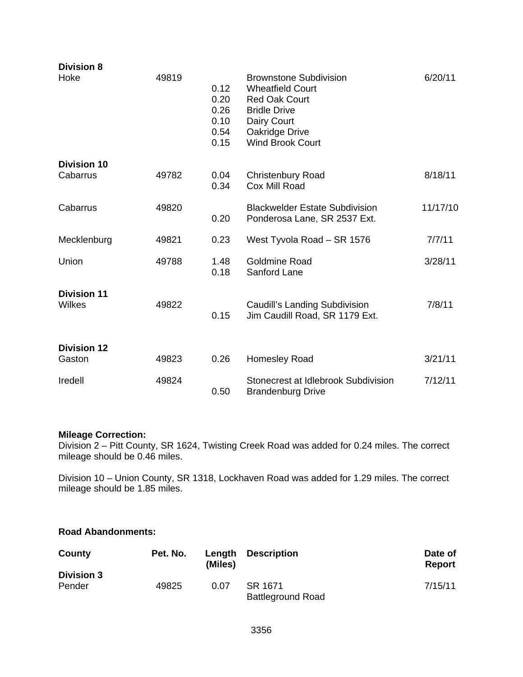| <b>Division 8</b>                   |       |                                              |                                                                                                                                                                     |          |
|-------------------------------------|-------|----------------------------------------------|---------------------------------------------------------------------------------------------------------------------------------------------------------------------|----------|
| Hoke                                | 49819 | 0.12<br>0.20<br>0.26<br>0.10<br>0.54<br>0.15 | <b>Brownstone Subdivision</b><br><b>Wheatfield Court</b><br><b>Red Oak Court</b><br><b>Bridle Drive</b><br>Dairy Court<br>Oakridge Drive<br><b>Wind Brook Court</b> | 6/20/11  |
| <b>Division 10</b>                  |       |                                              |                                                                                                                                                                     |          |
| Cabarrus                            | 49782 | 0.04<br>0.34                                 | <b>Christenbury Road</b><br>Cox Mill Road                                                                                                                           | 8/18/11  |
| Cabarrus                            | 49820 | 0.20                                         | <b>Blackwelder Estate Subdivision</b><br>Ponderosa Lane, SR 2537 Ext.                                                                                               | 11/17/10 |
| Mecklenburg                         | 49821 | 0.23                                         | West Tyvola Road - SR 1576                                                                                                                                          | 7/7/11   |
| Union                               | 49788 | 1.48<br>0.18                                 | <b>Goldmine Road</b><br>Sanford Lane                                                                                                                                | 3/28/11  |
| <b>Division 11</b><br><b>Wilkes</b> | 49822 | 0.15                                         | <b>Caudill's Landing Subdivision</b><br>Jim Caudill Road, SR 1179 Ext.                                                                                              | 7/8/11   |
| <b>Division 12</b>                  |       |                                              |                                                                                                                                                                     |          |
| Gaston                              | 49823 | 0.26                                         | Homesley Road                                                                                                                                                       | 3/21/11  |
| Iredell                             | 49824 | 0.50                                         | Stonecrest at Idlebrook Subdivision<br><b>Brandenburg Drive</b>                                                                                                     | 7/12/11  |

#### **Mileage Correction:**

Division 2 – Pitt County, SR 1624, Twisting Creek Road was added for 0.24 miles. The correct mileage should be 0.46 miles.

Division 10 – Union County, SR 1318, Lockhaven Road was added for 1.29 miles. The correct mileage should be 1.85 miles.

### **Road Abandonments:**

| County                      | Pet. No. | Length<br>(Miles) | <b>Description</b>       | Date of<br>Report |
|-----------------------------|----------|-------------------|--------------------------|-------------------|
| <b>Division 3</b><br>Pender | 49825    | 0.07              | SR 1671                  | 7/15/11           |
|                             |          |                   | <b>Battleground Road</b> |                   |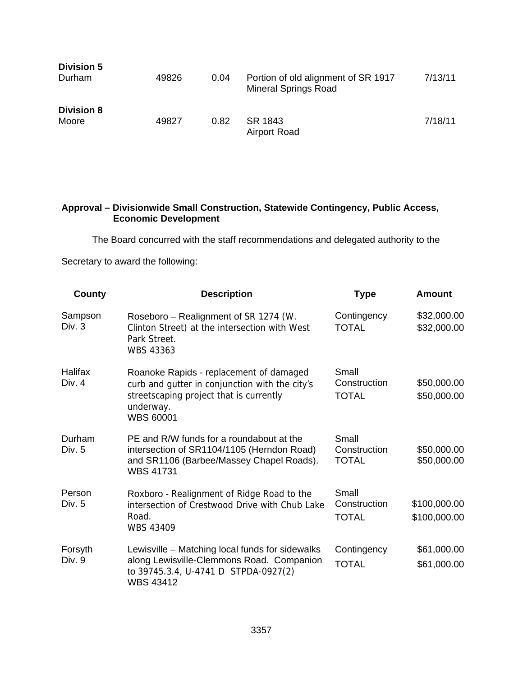| <b>Division 5</b><br>Durham | 49826 | 0.04 | Portion of old alignment of SR 1917<br><b>Mineral Springs Road</b> | 7/13/11 |
|-----------------------------|-------|------|--------------------------------------------------------------------|---------|
| <b>Division 8</b><br>Moore  | 49827 | 0.82 | SR 1843<br>Airport Road                                            | 7/18/11 |

#### **Approval – Divisionwide Small Construction, Statewide Contingency, Public Access, Economic Development**

The Board concurred with the staff recommendations and delegated authority to the

Secretary to award the following:

| <b>County</b>            | <b>Description</b>                                                                                                                                                    | <b>Type</b>                           | <b>Amount</b>                |
|--------------------------|-----------------------------------------------------------------------------------------------------------------------------------------------------------------------|---------------------------------------|------------------------------|
| Sampson<br>Div. 3        | Roseboro - Realignment of SR 1274 (W.<br>Clinton Street) at the intersection with West<br>Park Street.<br><b>WBS 43363</b>                                            | Contingency<br><b>TOTAL</b>           | \$32,000.00<br>\$32,000.00   |
| <b>Halifax</b><br>Div. 4 | Roanoke Rapids - replacement of damaged<br>curb and gutter in conjunction with the city's<br>streetscaping project that is currently<br>underway.<br><b>WBS 60001</b> | Small<br>Construction<br><b>TOTAL</b> | \$50,000.00<br>\$50,000.00   |
| Durham<br>Div. 5         | PE and R/W funds for a roundabout at the<br>intersection of SR1104/1105 (Herndon Road)<br>and SR1106 (Barbee/Massey Chapel Roads).<br><b>WBS 41731</b>                | Small<br>Construction<br><b>TOTAL</b> | \$50,000.00<br>\$50,000.00   |
| Person<br>Div. $5$       | Roxboro - Realignment of Ridge Road to the<br>intersection of Crestwood Drive with Chub Lake<br>Road.<br><b>WBS 43409</b>                                             | Small<br>Construction<br><b>TOTAL</b> | \$100,000.00<br>\$100,000.00 |
| Forsyth<br>Div. 9        | Lewisville – Matching local funds for sidewalks<br>along Lewisville-Clemmons Road. Companion<br>to 39745.3.4, U-4741 D STPDA-0927(2)<br><b>WBS 43412</b>              | Contingency<br><b>TOTAL</b>           | \$61,000.00<br>\$61,000.00   |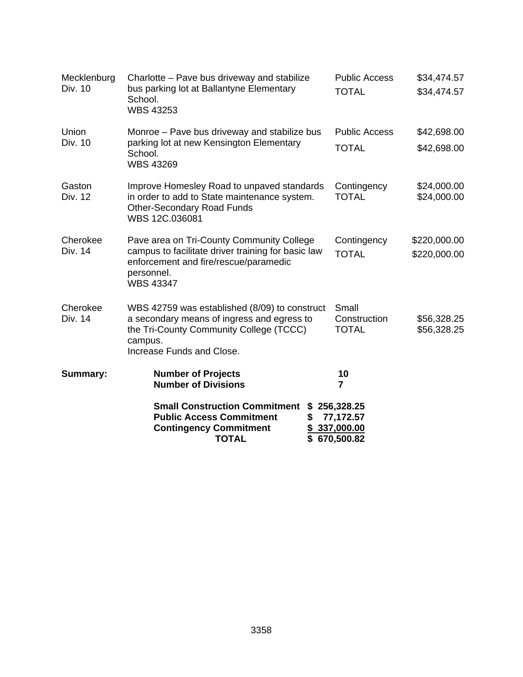| Mecklenburg<br>Div. 10 | Charlotte - Pave bus driveway and stabilize<br>bus parking lot at Ballantyne Elementary<br>School.<br><b>WBS 43253</b>                                                         | <b>Public Access</b><br><b>TOTAL</b>                  | \$34,474.57<br>\$34,474.57   |
|------------------------|--------------------------------------------------------------------------------------------------------------------------------------------------------------------------------|-------------------------------------------------------|------------------------------|
| Union<br>Div. 10       | Monroe - Pave bus driveway and stabilize bus<br>parking lot at new Kensington Elementary<br>School.<br><b>WBS 43269</b>                                                        | <b>Public Access</b><br><b>TOTAL</b>                  | \$42,698.00<br>\$42,698.00   |
| Gaston<br>Div. 12      | Improve Homesley Road to unpaved standards<br>in order to add to State maintenance system.<br><b>Other-Secondary Road Funds</b><br>WBS 12C.036081                              | Contingency<br><b>TOTAL</b>                           | \$24,000.00<br>\$24,000.00   |
| Cherokee<br>Div. 14    | Pave area on Tri-County Community College<br>campus to facilitate driver training for basic law<br>enforcement and fire/rescue/paramedic<br>personnel.<br><b>WBS 43347</b>     | Contingency<br><b>TOTAL</b>                           | \$220,000.00<br>\$220,000.00 |
| Cherokee<br>Div. 14    | WBS 42759 was established (8/09) to construct<br>a secondary means of ingress and egress to<br>the Tri-County Community College (TCCC)<br>campus.<br>Increase Funds and Close. | Small<br>Construction<br><b>TOTAL</b>                 | \$56,328.25<br>\$56,328.25   |
| <b>Summary:</b>        | <b>Number of Projects</b><br><b>Number of Divisions</b>                                                                                                                        | 10<br>$\overline{7}$                                  |                              |
|                        | <b>Small Construction Commitment</b><br><b>Public Access Commitment</b><br>\$<br><b>Contingency Commitment</b><br><b>TOTAL</b>                                                 | \$256,328.25<br>77,172.57<br>337,000.00<br>670,500.82 |                              |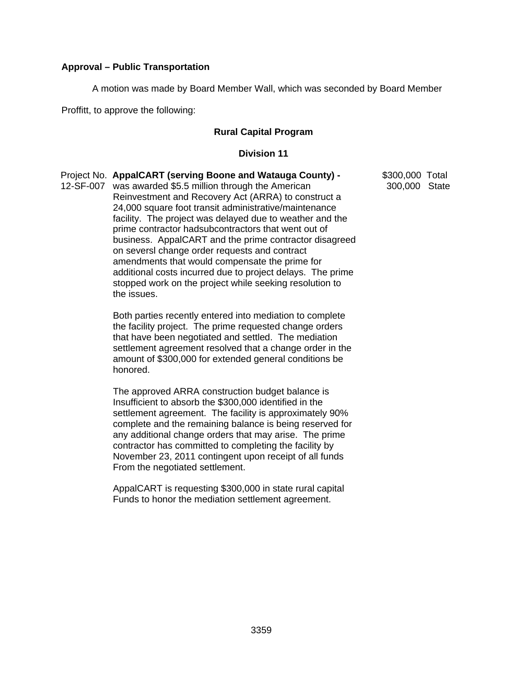#### **Approval – Public Transportation**

A motion was made by Board Member Wall, which was seconded by Board Member

Proffitt, to approve the following:

#### **Rural Capital Program**

#### **Division 11**

|           | Project No. AppalCART (serving Boone and Watauga County) - | \$300,000 Total |  |
|-----------|------------------------------------------------------------|-----------------|--|
| 12-SF-007 | was awarded \$5.5 million through the American             | 300,000 State   |  |
|           | Reinvestment and Recovery Act (ARRA) to construct a        |                 |  |
|           | 24,000 square foot transit administrative/maintenance      |                 |  |
|           | facility. The project was delayed due to weather and the   |                 |  |
|           | prime contractor hadsubcontractors that went out of        |                 |  |
|           | business. AppalCART and the prime contractor disagreed     |                 |  |
|           | on seversl change order requests and contract              |                 |  |
|           | amendments that would compensate the prime for             |                 |  |
|           | additional costs incurred due to project delays. The prime |                 |  |
|           | stopped work on the project while seeking resolution to    |                 |  |
|           | the issues.                                                |                 |  |
|           |                                                            |                 |  |

 Both parties recently entered into mediation to complete the facility project. The prime requested change orders that have been negotiated and settled. The mediation settlement agreement resolved that a change order in the amount of \$300,000 for extended general conditions be honored.

 The approved ARRA construction budget balance is Insufficient to absorb the \$300,000 identified in the settlement agreement. The facility is approximately 90% complete and the remaining balance is being reserved for any additional change orders that may arise. The prime contractor has committed to completing the facility by November 23, 2011 contingent upon receipt of all funds From the negotiated settlement.

 AppalCART is requesting \$300,000 in state rural capital Funds to honor the mediation settlement agreement.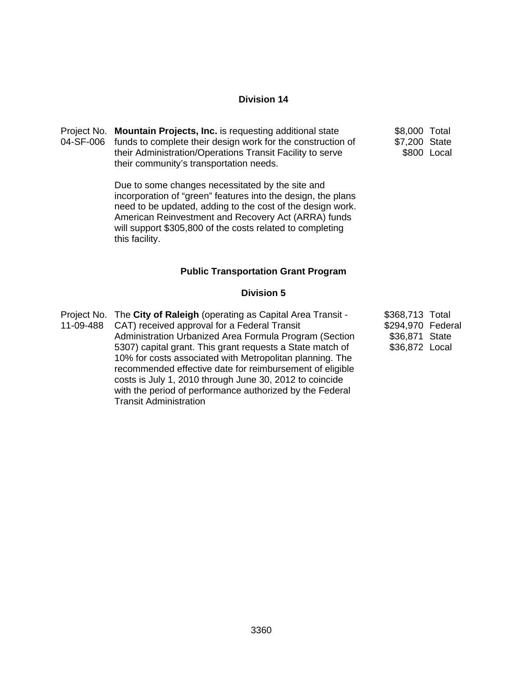| Project No. Mountain Projects, Inc. is requesting additional state                                   | \$8,000 Total |             |
|------------------------------------------------------------------------------------------------------|---------------|-------------|
| 04-SF-006 funds to complete their design work for the construction of                                | \$7,200 State |             |
| their Administration/Operations Transit Facility to serve<br>their community's transportation needs. |               | \$800 Local |

Due to some changes necessitated by the site and incorporation of "green" features into the design, the plans need to be updated, adding to the cost of the design work. American Reinvestment and Recovery Act (ARRA) funds will support \$305,800 of the costs related to completing this facility.

#### **Public Transportation Grant Program**

### **Division 5**

| Project No. The City of Raleigh (operating as Capital Area Transit - | \$368,713 Total   |  |
|----------------------------------------------------------------------|-------------------|--|
| 11-09-488 CAT) received approval for a Federal Transit               | \$294,970 Federal |  |
| Administration Urbanized Area Formula Program (Section               | \$36,871 State    |  |
| 5307) capital grant. This grant requests a State match of            | \$36,872 Local    |  |
| 10% for costs associated with Metropolitan planning. The             |                   |  |
| recommended effective date for reimbursement of eligible             |                   |  |
| costs is July 1, 2010 through June 30, 2012 to coincide              |                   |  |
| with the period of performance authorized by the Federal             |                   |  |
| <b>Transit Administration</b>                                        |                   |  |
|                                                                      |                   |  |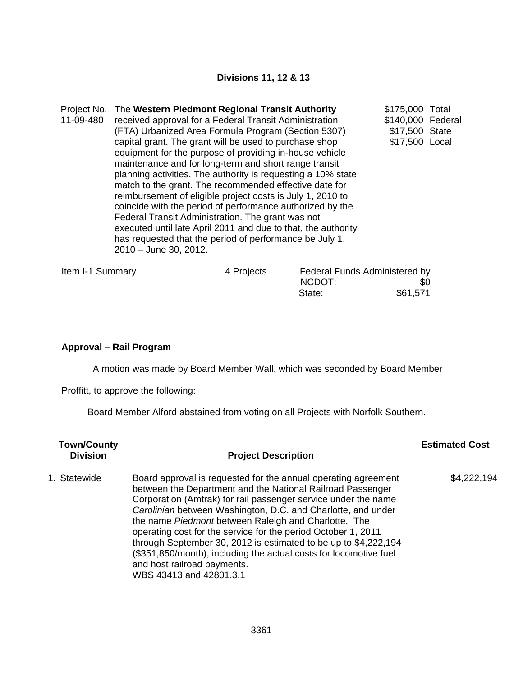### **Divisions 11, 12 & 13**

|           | Project No. The Western Piedmont Regional Transit Authority   | \$175,000 Total   |  |
|-----------|---------------------------------------------------------------|-------------------|--|
| 11-09-480 | received approval for a Federal Transit Administration        | \$140,000 Federal |  |
|           | (FTA) Urbanized Area Formula Program (Section 5307)           | \$17,500 State    |  |
|           | capital grant. The grant will be used to purchase shop        | \$17,500 Local    |  |
|           | equipment for the purpose of providing in-house vehicle       |                   |  |
|           | maintenance and for long-term and short range transit         |                   |  |
|           | planning activities. The authority is requesting a 10% state  |                   |  |
|           | match to the grant. The recommended effective date for        |                   |  |
|           | reimbursement of eligible project costs is July 1, 2010 to    |                   |  |
|           | coincide with the period of performance authorized by the     |                   |  |
|           | Federal Transit Administration. The grant was not             |                   |  |
|           | executed until late April 2011 and due to that, the authority |                   |  |
|           | has requested that the period of performance be July 1,       |                   |  |
|           | 2010 - June 30, 2012.                                         |                   |  |
|           |                                                               |                   |  |

| Item I-1 Summary | 4 Projects | Federal Funds Administered by |          |
|------------------|------------|-------------------------------|----------|
|                  |            | NCDOT:                        | \$0      |
|                  |            | State:                        | \$61,571 |

### **Approval – Rail Program**

A motion was made by Board Member Wall, which was seconded by Board Member

Proffitt, to approve the following:

Board Member Alford abstained from voting on all Projects with Norfolk Southern.

| <b>Town/County</b><br><b>Division</b> | <b>Project Description</b>                                                                                                                                                                                                                                                                                                                                                                                                                                                                                                                                                                | <b>Estimated Cost</b> |
|---------------------------------------|-------------------------------------------------------------------------------------------------------------------------------------------------------------------------------------------------------------------------------------------------------------------------------------------------------------------------------------------------------------------------------------------------------------------------------------------------------------------------------------------------------------------------------------------------------------------------------------------|-----------------------|
| 1. Statewide                          | Board approval is requested for the annual operating agreement<br>between the Department and the National Railroad Passenger<br>Corporation (Amtrak) for rail passenger service under the name<br>Carolinian between Washington, D.C. and Charlotte, and under<br>the name Piedmont between Raleigh and Charlotte. The<br>operating cost for the service for the period October 1, 2011<br>through September 30, 2012 is estimated to be up to \$4,222,194<br>(\$351,850/month), including the actual costs for locomotive fuel<br>and host railroad payments.<br>WBS 43413 and 42801.3.1 | \$4,222,194           |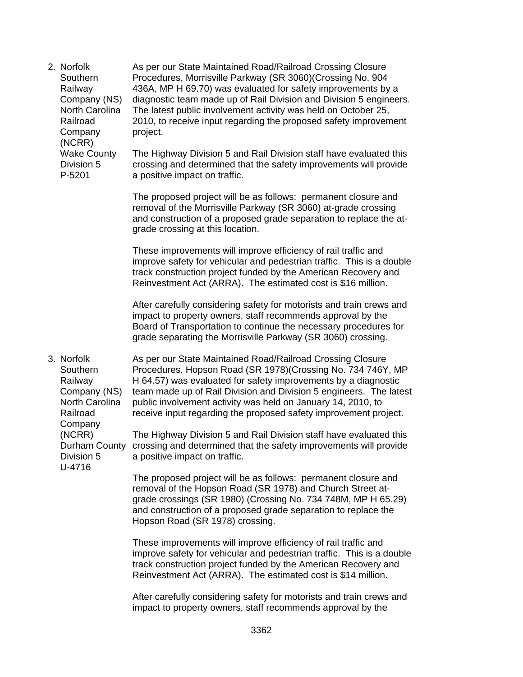2. Norfolk **Southern** Railway Company (NS) North Carolina Railroad Company (NCRR) Wake County Division 5 P-5201 As per our State Maintained Road/Railroad Crossing Closure Procedures, Morrisville Parkway (SR 3060)(Crossing No. 904 436A, MP H 69.70) was evaluated for safety improvements by a diagnostic team made up of Rail Division and Division 5 engineers. The latest public involvement activity was held on October 25, 2010, to receive input regarding the proposed safety improvement project. The Highway Division 5 and Rail Division staff have evaluated this crossing and determined that the safety improvements will provide a positive impact on traffic. The proposed project will be as follows: permanent closure and removal of the Morrisville Parkway (SR 3060) at-grade crossing and construction of a proposed grade separation to replace the atgrade crossing at this location. These improvements will improve efficiency of rail traffic and improve safety for vehicular and pedestrian traffic. This is a double track construction project funded by the American Recovery and Reinvestment Act (ARRA). The estimated cost is \$16 million. After carefully considering safety for motorists and train crews and impact to property owners, staff recommends approval by the Board of Transportation to continue the necessary procedures for grade separating the Morrisville Parkway (SR 3060) crossing. 3. Norfolk **Southern** Railway Company (NS) North Carolina Railroad Company (NCRR) Durham County crossing and determined that the safety improvements will provide Division 5 U-4716 As per our State Maintained Road/Railroad Crossing Closure Procedures, Hopson Road (SR 1978)(Crossing No. 734 746Y, MP H 64.57) was evaluated for safety improvements by a diagnostic team made up of Rail Division and Division 5 engineers. The latest public involvement activity was held on January 14, 2010, to receive input regarding the proposed safety improvement project. The Highway Division 5 and Rail Division staff have evaluated this a positive impact on traffic. The proposed project will be as follows: permanent closure and removal of the Hopson Road (SR 1978) and Church Street atgrade crossings (SR 1980) (Crossing No. 734 748M, MP H 65.29) and construction of a proposed grade separation to replace the Hopson Road (SR 1978) crossing. These improvements will improve efficiency of rail traffic and improve safety for vehicular and pedestrian traffic. This is a double track construction project funded by the American Recovery and Reinvestment Act (ARRA). The estimated cost is \$14 million. After carefully considering safety for motorists and train crews and impact to property owners, staff recommends approval by the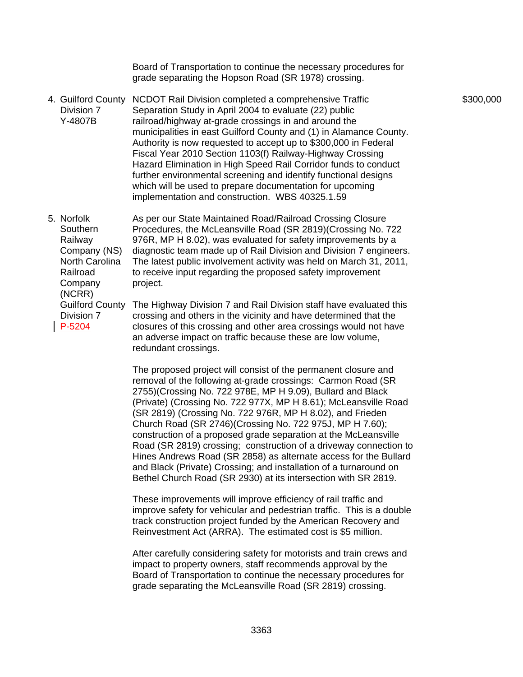Board of Transportation to continue the necessary procedures for grade separating the Hopson Road (SR 1978) crossing.

- 4. Guilford County NCDOT Rail Division completed a comprehensive Traffic Division 7 Y-4807B Separation Study in April 2004 to evaluate (22) public railroad/highway at-grade crossings in and around the municipalities in east Guilford County and (1) in Alamance County. Authority is now requested to accept up to \$300,000 in Federal Fiscal Year 2010 Section 1103(f) Railway-Highway Crossing Hazard Elimination in High Speed Rail Corridor funds to conduct further environmental screening and identify functional designs which will be used to prepare documentation for upcoming implementation and construction. WBS 40325.1.59
- 5. Norfolk Southern Railway Company (NS) North Carolina Railroad Company (NCRR) Guilford County As per our State Maintained Road/Railroad Crossing Closure Procedures, the McLeansville Road (SR 2819)(Crossing No. 722 976R, MP H 8.02), was evaluated for safety improvements by a diagnostic team made up of Rail Division and Division 7 engineers. The latest public involvement activity was held on March 31, 2011, to receive input regarding the proposed safety improvement project. The Highway Division 7 and Rail Division staff have evaluated this

Division 7 P-5204

crossing and others in the vicinity and have determined that the closures of this crossing and other area crossings would not have an adverse impact on traffic because these are low volume, redundant crossings.

The proposed project will consist of the permanent closure and removal of the following at-grade crossings: Carmon Road (SR 2755)(Crossing No. 722 978E, MP H 9.09), Bullard and Black (Private) (Crossing No. 722 977X, MP H 8.61); McLeansville Road (SR 2819) (Crossing No. 722 976R, MP H 8.02), and Frieden Church Road (SR 2746)(Crossing No. 722 975J, MP H 7.60); construction of a proposed grade separation at the McLeansville Road (SR 2819) crossing; construction of a driveway connection to Hines Andrews Road (SR 2858) as alternate access for the Bullard and Black (Private) Crossing; and installation of a turnaround on Bethel Church Road (SR 2930) at its intersection with SR 2819.

These improvements will improve efficiency of rail traffic and improve safety for vehicular and pedestrian traffic. This is a double track construction project funded by the American Recovery and Reinvestment Act (ARRA). The estimated cost is \$5 million.

After carefully considering safety for motorists and train crews and impact to property owners, staff recommends approval by the Board of Transportation to continue the necessary procedures for grade separating the McLeansville Road (SR 2819) crossing.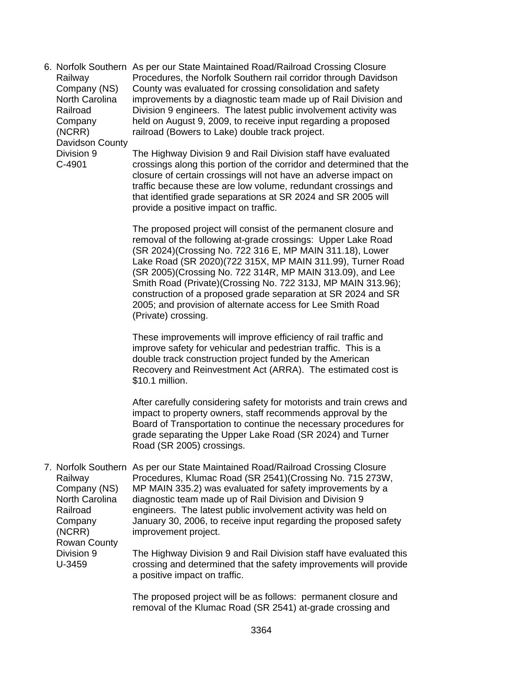6. Norfolk Southern As per our State Maintained Road/Railroad Crossing Closure Railway Company (NS) North Carolina Railroad Company (NCRR) Davidson County Procedures, the Norfolk Southern rail corridor through Davidson County was evaluated for crossing consolidation and safety improvements by a diagnostic team made up of Rail Division and Division 9 engineers. The latest public involvement activity was held on August 9, 2009, to receive input regarding a proposed railroad (Bowers to Lake) double track project.

Division 9 C-4901

The Highway Division 9 and Rail Division staff have evaluated crossings along this portion of the corridor and determined that the closure of certain crossings will not have an adverse impact on traffic because these are low volume, redundant crossings and that identified grade separations at SR 2024 and SR 2005 will provide a positive impact on traffic.

The proposed project will consist of the permanent closure and removal of the following at-grade crossings: Upper Lake Road (SR 2024)(Crossing No. 722 316 E, MP MAIN 311.18), Lower Lake Road (SR 2020)(722 315X, MP MAIN 311.99), Turner Road (SR 2005)(Crossing No. 722 314R, MP MAIN 313.09), and Lee Smith Road (Private)(Crossing No. 722 313J, MP MAIN 313.96); construction of a proposed grade separation at SR 2024 and SR 2005; and provision of alternate access for Lee Smith Road (Private) crossing.

These improvements will improve efficiency of rail traffic and improve safety for vehicular and pedestrian traffic. This is a double track construction project funded by the American Recovery and Reinvestment Act (ARRA). The estimated cost is \$10.1 million.

After carefully considering safety for motorists and train crews and impact to property owners, staff recommends approval by the Board of Transportation to continue the necessary procedures for grade separating the Upper Lake Road (SR 2024) and Turner Road (SR 2005) crossings.

7. Norfolk Southern As per our State Maintained Road/Railroad Crossing Closure Railway Company (NS) North Carolina Railroad Company (NCRR) Rowan County Division 9 Procedures, Klumac Road (SR 2541)(Crossing No. 715 273W, MP MAIN 335.2) was evaluated for safety improvements by a diagnostic team made up of Rail Division and Division 9 engineers. The latest public involvement activity was held on January 30, 2006, to receive input regarding the proposed safety improvement project. The Highway Division 9 and Rail Division staff have evaluated this

U-3459 crossing and determined that the safety improvements will provide a positive impact on traffic.

> The proposed project will be as follows: permanent closure and removal of the Klumac Road (SR 2541) at-grade crossing and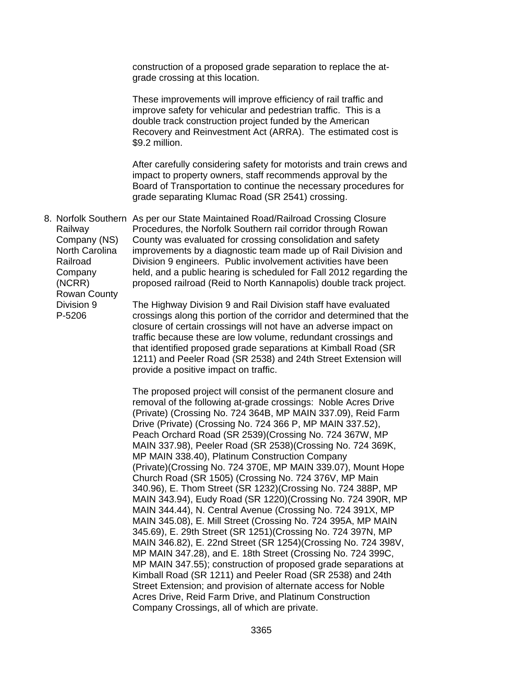construction of a proposed grade separation to replace the atgrade crossing at this location.

These improvements will improve efficiency of rail traffic and improve safety for vehicular and pedestrian traffic. This is a double track construction project funded by the American Recovery and Reinvestment Act (ARRA). The estimated cost is \$9.2 million.

After carefully considering safety for motorists and train crews and impact to property owners, staff recommends approval by the Board of Transportation to continue the necessary procedures for grade separating Klumac Road (SR 2541) crossing.

8. Norfolk Southern As per our State Maintained Road/Railroad Crossing Closure Railway Company (NS) North Carolina Railroad **Company** (NCRR) Rowan County Procedures, the Norfolk Southern rail corridor through Rowan County was evaluated for crossing consolidation and safety improvements by a diagnostic team made up of Rail Division and Division 9 engineers. Public involvement activities have been held, and a public hearing is scheduled for Fall 2012 regarding the proposed railroad (Reid to North Kannapolis) double track project.

Division 9 P-5206

The Highway Division 9 and Rail Division staff have evaluated crossings along this portion of the corridor and determined that the closure of certain crossings will not have an adverse impact on traffic because these are low volume, redundant crossings and that identified proposed grade separations at Kimball Road (SR 1211) and Peeler Road (SR 2538) and 24th Street Extension will provide a positive impact on traffic.

The proposed project will consist of the permanent closure and removal of the following at-grade crossings: Noble Acres Drive (Private) (Crossing No. 724 364B, MP MAIN 337.09), Reid Farm Drive (Private) (Crossing No. 724 366 P, MP MAIN 337.52), Peach Orchard Road (SR 2539)(Crossing No. 724 367W, MP MAIN 337.98), Peeler Road (SR 2538)(Crossing No. 724 369K, MP MAIN 338.40), Platinum Construction Company (Private)(Crossing No. 724 370E, MP MAIN 339.07), Mount Hope Church Road (SR 1505) (Crossing No. 724 376V, MP Main 340.96), E. Thom Street (SR 1232)(Crossing No. 724 388P, MP MAIN 343.94), Eudy Road (SR 1220)(Crossing No. 724 390R, MP MAIN 344.44), N. Central Avenue (Crossing No. 724 391X, MP MAIN 345.08), E. Mill Street (Crossing No. 724 395A, MP MAIN 345.69), E. 29th Street (SR 1251)(Crossing No. 724 397N, MP MAIN 346.82), E. 22nd Street (SR 1254)(Crossing No. 724 398V, MP MAIN 347.28), and E. 18th Street (Crossing No. 724 399C, MP MAIN 347.55); construction of proposed grade separations at Kimball Road (SR 1211) and Peeler Road (SR 2538) and 24th Street Extension; and provision of alternate access for Noble Acres Drive, Reid Farm Drive, and Platinum Construction Company Crossings, all of which are private.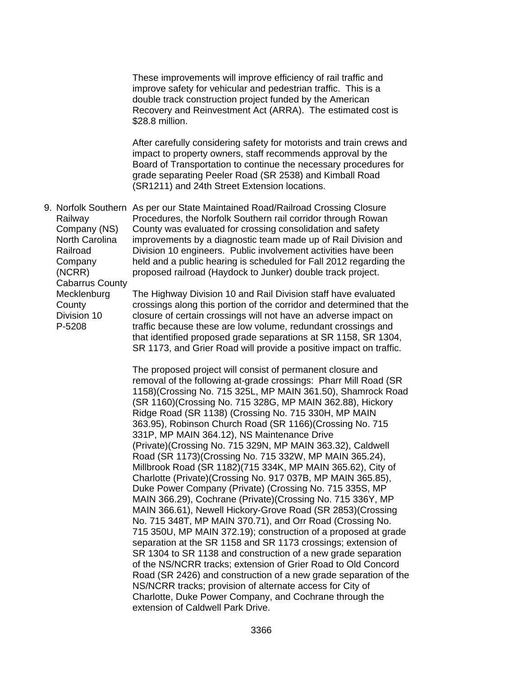These improvements will improve efficiency of rail traffic and improve safety for vehicular and pedestrian traffic. This is a double track construction project funded by the American Recovery and Reinvestment Act (ARRA). The estimated cost is \$28.8 million.

After carefully considering safety for motorists and train crews and impact to property owners, staff recommends approval by the Board of Transportation to continue the necessary procedures for grade separating Peeler Road (SR 2538) and Kimball Road (SR1211) and 24th Street Extension locations.

9. Norfolk Southern As per our State Maintained Road/Railroad Crossing Closure Railway Company (NS) North Carolina Railroad Company (NCRR) Cabarrus County Mecklenburg Procedures, the Norfolk Southern rail corridor through Rowan County was evaluated for crossing consolidation and safety improvements by a diagnostic team made up of Rail Division and Division 10 engineers. Public involvement activities have been held and a public hearing is scheduled for Fall 2012 regarding the proposed railroad (Haydock to Junker) double track project. The Highway Division 10 and Rail Division staff have evaluated

**County** Division 10 P-5208

crossings along this portion of the corridor and determined that the closure of certain crossings will not have an adverse impact on traffic because these are low volume, redundant crossings and that identified proposed grade separations at SR 1158, SR 1304, SR 1173, and Grier Road will provide a positive impact on traffic.

The proposed project will consist of permanent closure and removal of the following at-grade crossings: Pharr Mill Road (SR 1158)(Crossing No. 715 325L, MP MAIN 361.50), Shamrock Road (SR 1160)(Crossing No. 715 328G, MP MAIN 362.88), Hickory Ridge Road (SR 1138) (Crossing No. 715 330H, MP MAIN 363.95), Robinson Church Road (SR 1166)(Crossing No. 715 331P, MP MAIN 364.12), NS Maintenance Drive (Private)(Crossing No. 715 329N, MP MAIN 363.32), Caldwell Road (SR 1173)(Crossing No. 715 332W, MP MAIN 365.24), Millbrook Road (SR 1182)(715 334K, MP MAIN 365.62), City of Charlotte (Private)(Crossing No. 917 037B, MP MAIN 365.85), Duke Power Company (Private) (Crossing No. 715 335S, MP MAIN 366.29), Cochrane (Private)(Crossing No. 715 336Y, MP MAIN 366.61), Newell Hickory-Grove Road (SR 2853)(Crossing No. 715 348T, MP MAIN 370.71), and Orr Road (Crossing No. 715 350U, MP MAIN 372.19); construction of a proposed at grade separation at the SR 1158 and SR 1173 crossings; extension of SR 1304 to SR 1138 and construction of a new grade separation of the NS/NCRR tracks; extension of Grier Road to Old Concord Road (SR 2426) and construction of a new grade separation of the NS/NCRR tracks; provision of alternate access for City of Charlotte, Duke Power Company, and Cochrane through the extension of Caldwell Park Drive.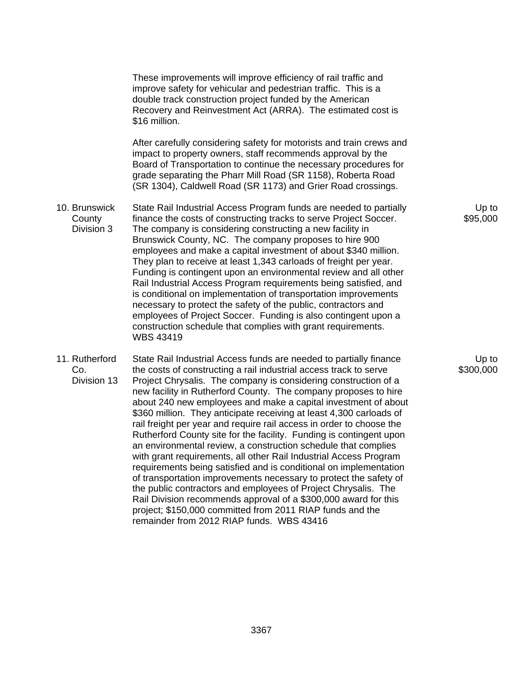10. Brunswick **County**  Division 3 11. Rutherford Co. Division 13 These improvements will improve efficiency of rail traffic and improve safety for vehicular and pedestrian traffic. This is a double track construction project funded by the American Recovery and Reinvestment Act (ARRA). The estimated cost is \$16 million. After carefully considering safety for motorists and train crews and impact to property owners, staff recommends approval by the Board of Transportation to continue the necessary procedures for grade separating the Pharr Mill Road (SR 1158), Roberta Road (SR 1304), Caldwell Road (SR 1173) and Grier Road crossings. State Rail Industrial Access Program funds are needed to partially finance the costs of constructing tracks to serve Project Soccer. The company is considering constructing a new facility in Brunswick County, NC. The company proposes to hire 900 employees and make a capital investment of about \$340 million. They plan to receive at least 1,343 carloads of freight per year. Funding is contingent upon an environmental review and all other Rail Industrial Access Program requirements being satisfied, and is conditional on implementation of transportation improvements necessary to protect the safety of the public, contractors and employees of Project Soccer. Funding is also contingent upon a construction schedule that complies with grant requirements. WBS 43419 State Rail Industrial Access funds are needed to partially finance the costs of constructing a rail industrial access track to serve Project Chrysalis. The company is considering construction of a new facility in Rutherford County. The company proposes to hire about 240 new employees and make a capital investment of about \$360 million. They anticipate receiving at least 4,300 carloads of rail freight per year and require rail access in order to choose the Rutherford County site for the facility. Funding is contingent upon an environmental review, a construction schedule that complies with grant requirements, all other Rail Industrial Access Program requirements being satisfied and is conditional on implementation of transportation improvements necessary to protect the safety of the public contractors and employees of Project Chrysalis. The

Up to \$95,000

Up to \$300,000

Rail Division recommends approval of a \$300,000 award for this project; \$150,000 committed from 2011 RIAP funds and the

remainder from 2012 RIAP funds. WBS 43416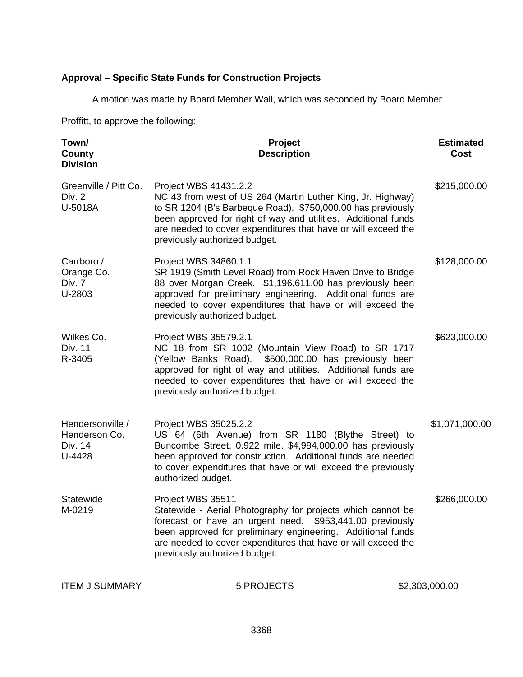## **Approval – Specific State Funds for Construction Projects**

A motion was made by Board Member Wall, which was seconded by Board Member

Proffitt, to approve the following:

| Town/<br>County<br><b>Division</b>                     | Project<br><b>Description</b>                                                                                                                                                                                                                                                                                           | <b>Estimated</b><br>Cost |
|--------------------------------------------------------|-------------------------------------------------------------------------------------------------------------------------------------------------------------------------------------------------------------------------------------------------------------------------------------------------------------------------|--------------------------|
| Greenville / Pitt Co.<br>Div. 2<br>U-5018A             | Project WBS 41431.2.2<br>NC 43 from west of US 264 (Martin Luther King, Jr. Highway)<br>to SR 1204 (B's Barbeque Road). \$750,000.00 has previously<br>been approved for right of way and utilities. Additional funds<br>are needed to cover expenditures that have or will exceed the<br>previously authorized budget. | \$215,000.00             |
| Carrboro /<br>Orange Co.<br>Div. 7<br>U-2803           | Project WBS 34860.1.1<br>SR 1919 (Smith Level Road) from Rock Haven Drive to Bridge<br>88 over Morgan Creek. \$1,196,611.00 has previously been<br>approved for preliminary engineering. Additional funds are<br>needed to cover expenditures that have or will exceed the<br>previously authorized budget.             | \$128,000.00             |
| Wilkes Co.<br><b>Div. 11</b><br>R-3405                 | Project WBS 35579.2.1<br>NC 18 from SR 1002 (Mountain View Road) to SR 1717<br>(Yellow Banks Road). \$500,000.00 has previously been<br>approved for right of way and utilities. Additional funds are<br>needed to cover expenditures that have or will exceed the<br>previously authorized budget.                     | \$623,000.00             |
| Hendersonville /<br>Henderson Co.<br>Div. 14<br>U-4428 | Project WBS 35025.2.2<br>US 64 (6th Avenue) from SR 1180 (Blythe Street) to<br>Buncombe Street, 0.922 mile. \$4,984,000.00 has previously<br>been approved for construction. Additional funds are needed<br>to cover expenditures that have or will exceed the previously<br>authorized budget.                         | \$1,071,000.00           |
| Statewide<br>M-0219                                    | Project WBS 35511<br>Statewide - Aerial Photography for projects which cannot be<br>forecast or have an urgent need. \$953,441.00 previously<br>been approved for preliminary engineering. Additional funds<br>are needed to cover expenditures that have or will exceed the<br>previously authorized budget.           | \$266,000.00             |
| <b>ITEM J SUMMARY</b>                                  | 5 PROJECTS                                                                                                                                                                                                                                                                                                              | \$2,303,000.00           |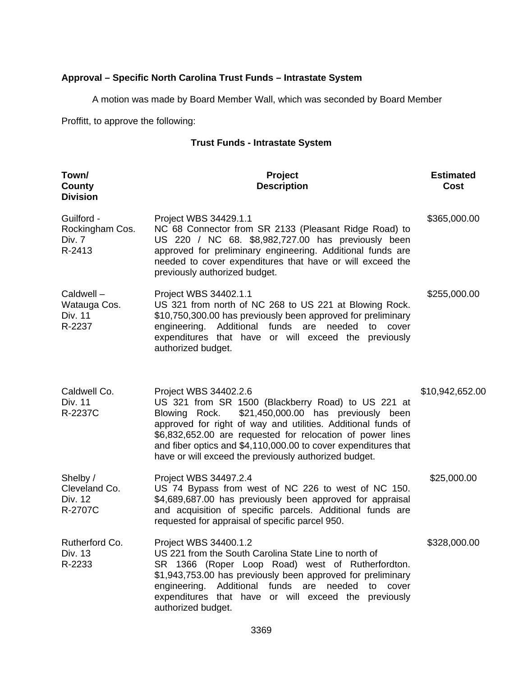## **Approval – Specific North Carolina Trust Funds – Intrastate System**

A motion was made by Board Member Wall, which was seconded by Board Member

Proffitt, to approve the following:

### **Trust Funds - Intrastate System**

| Town/<br><b>County</b><br><b>Division</b>         | Project<br><b>Description</b>                                                                                                                                                                                                                                                                                                                                                                | <b>Estimated</b><br>Cost |
|---------------------------------------------------|----------------------------------------------------------------------------------------------------------------------------------------------------------------------------------------------------------------------------------------------------------------------------------------------------------------------------------------------------------------------------------------------|--------------------------|
| Guilford -<br>Rockingham Cos.<br>Div. 7<br>R-2413 | Project WBS 34429.1.1<br>NC 68 Connector from SR 2133 (Pleasant Ridge Road) to<br>US 220 / NC 68. \$8,982,727.00 has previously been<br>approved for preliminary engineering. Additional funds are<br>needed to cover expenditures that have or will exceed the<br>previously authorized budget.                                                                                             | \$365,000.00             |
| Caldwell-<br>Watauga Cos.<br>Div. 11<br>R-2237    | Project WBS 34402.1.1<br>US 321 from north of NC 268 to US 221 at Blowing Rock.<br>\$10,750,300.00 has previously been approved for preliminary<br>engineering. Additional funds are needed<br>to<br>cover<br>expenditures that have or will exceed the previously<br>authorized budget.                                                                                                     | \$255,000.00             |
| Caldwell Co.<br><b>Div. 11</b><br>R-2237C         | Project WBS 34402.2.6<br>US 321 from SR 1500 (Blackberry Road) to US 221 at<br>Blowing Rock.<br>\$21,450,000.00 has previously been<br>approved for right of way and utilities. Additional funds of<br>\$6,832,652.00 are requested for relocation of power lines<br>and fiber optics and \$4,110,000.00 to cover expenditures that<br>have or will exceed the previously authorized budget. | \$10,942,652.00          |
| Shelby /<br>Cleveland Co.<br>Div. 12<br>R-2707C   | Project WBS 34497.2.4<br>US 74 Bypass from west of NC 226 to west of NC 150.<br>\$4,689,687.00 has previously been approved for appraisal<br>and acquisition of specific parcels. Additional funds are<br>requested for appraisal of specific parcel 950.                                                                                                                                    | \$25,000.00              |
| Rutherford Co.<br>Div. 13<br>R-2233               | Project WBS 34400.1.2<br>US 221 from the South Carolina State Line to north of<br>SR 1366 (Roper Loop Road) west of Rutherfordton.<br>\$1,943,753.00 has previously been approved for preliminary<br>engineering. Additional funds are<br>needed to cover<br>expenditures that have or will exceed the previously<br>authorized budget.                                                      | \$328,000.00             |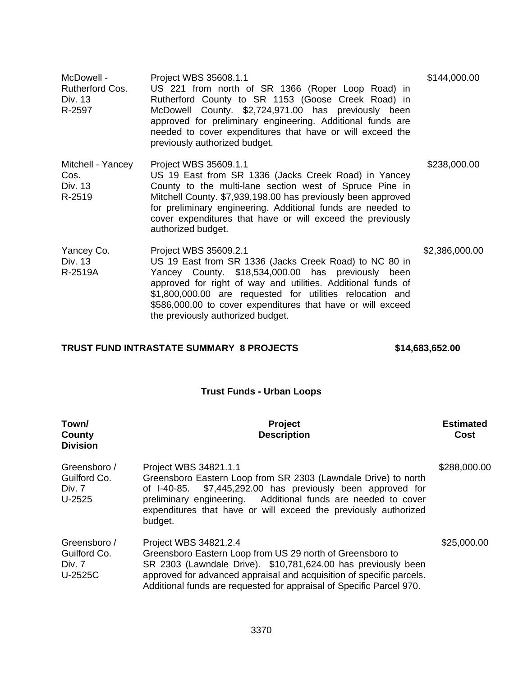| McDowell -<br><b>Rutherford Cos.</b><br>Div. 13<br>R-2597 | Project WBS 35608.1.1<br>US 221 from north of SR 1366 (Roper Loop Road) in<br>Rutherford County to SR 1153 (Goose Creek Road) in<br>McDowell County. \$2,724,971.00 has previously been<br>approved for preliminary engineering. Additional funds are<br>needed to cover expenditures that have or will exceed the<br>previously authorized budget.                    | \$144,000.00   |
|-----------------------------------------------------------|------------------------------------------------------------------------------------------------------------------------------------------------------------------------------------------------------------------------------------------------------------------------------------------------------------------------------------------------------------------------|----------------|
| Mitchell - Yancey<br>Cos.<br>Div. 13<br>R-2519            | Project WBS 35609.1.1<br>US 19 East from SR 1336 (Jacks Creek Road) in Yancey<br>County to the multi-lane section west of Spruce Pine in<br>Mitchell County. \$7,939,198.00 has previously been approved<br>for preliminary engineering. Additional funds are needed to<br>cover expenditures that have or will exceed the previously<br>authorized budget.            | \$238,000.00   |
| Yancey Co.<br>Div. 13<br>R-2519A                          | Project WBS 35609.2.1<br>US 19 East from SR 1336 (Jacks Creek Road) to NC 80 in<br>Yancey County. \$18,534,000.00 has previously been<br>approved for right of way and utilities. Additional funds of<br>\$1,800,000.00 are requested for utilities relocation and<br>\$586,000.00 to cover expenditures that have or will exceed<br>the previously authorized budget. | \$2,386,000.00 |

## **TRUST FUND INTRASTATE SUMMARY 8 PROJECTS \$14,683,652.00**

## **Trust Funds - Urban Loops**

| Town/<br>County<br><b>Division</b>                | <b>Project</b><br><b>Description</b>                                                                                                                                                                                                                                                                  | <b>Estimated</b><br>Cost |
|---------------------------------------------------|-------------------------------------------------------------------------------------------------------------------------------------------------------------------------------------------------------------------------------------------------------------------------------------------------------|--------------------------|
| Greensboro /<br>Guilford Co.<br>Div. 7<br>U-2525  | Project WBS 34821.1.1<br>Greensboro Eastern Loop from SR 2303 (Lawndale Drive) to north<br>of I-40-85. \$7,445,292.00 has previously been approved for<br>preliminary engineering. Additional funds are needed to cover<br>expenditures that have or will exceed the previously authorized<br>budget. | \$288,000.00             |
| Greensboro /<br>Guilford Co.<br>Div. 7<br>U-2525C | Project WBS 34821.2.4<br>Greensboro Eastern Loop from US 29 north of Greensboro to<br>SR 2303 (Lawndale Drive). \$10,781,624.00 has previously been<br>approved for advanced appraisal and acquisition of specific parcels.<br>Additional funds are requested for appraisal of Specific Parcel 970.   | \$25,000.00              |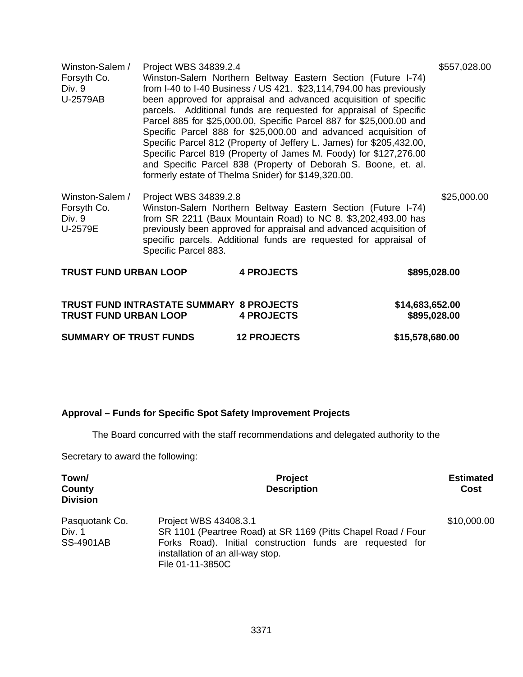| U-2579AB                                            |                                               | from I-40 to I-40 Business / US 421. \$23,114,794.00 has previously<br>been approved for appraisal and advanced acquisition of specific<br>parcels. Additional funds are requested for appraisal of Specific                                                             |                                 |              |
|-----------------------------------------------------|-----------------------------------------------|--------------------------------------------------------------------------------------------------------------------------------------------------------------------------------------------------------------------------------------------------------------------------|---------------------------------|--------------|
|                                                     |                                               | Parcel 885 for \$25,000.00, Specific Parcel 887 for \$25,000.00 and<br>Specific Parcel 888 for \$25,000.00 and advanced acquisition of                                                                                                                                   |                                 |              |
|                                                     |                                               | Specific Parcel 812 (Property of Jeffery L. James) for \$205,432.00,                                                                                                                                                                                                     |                                 |              |
|                                                     |                                               | Specific Parcel 819 (Property of James M. Foody) for \$127,276.00<br>and Specific Parcel 838 (Property of Deborah S. Boone, et. al.<br>formerly estate of Thelma Snider) for \$149,320.00.                                                                               |                                 |              |
| Winston-Salem /<br>Forsyth Co.<br>Div. 9<br>U-2579E | Project WBS 34839.2.8<br>Specific Parcel 883. | Winston-Salem Northern Beltway Eastern Section (Future I-74)<br>from SR 2211 (Baux Mountain Road) to NC 8. \$3,202,493.00 has<br>previously been approved for appraisal and advanced acquisition of<br>specific parcels. Additional funds are requested for appraisal of |                                 | \$25,000.00  |
| <b>TRUST FUND URBAN LOOP</b>                        |                                               | <b>4 PROJECTS</b>                                                                                                                                                                                                                                                        |                                 | \$895,028.00 |
| <b>TRUST FUND URBAN LOOP</b>                        |                                               | TRUST FUND INTRASTATE SUMMARY 8 PROJECTS<br><b>4 PROJECTS</b>                                                                                                                                                                                                            | \$14,683,652.00<br>\$895,028.00 |              |

**SUMMARY OF TRUST FUNDS 12 PROJECTS \$15,578,680.00** 

## **Approval – Funds for Specific Spot Safety Improvement Projects**

The Board concurred with the staff recommendations and delegated authority to the

Secretary to award the following:

| Town/<br>County<br><b>Division</b>           | <b>Project</b><br><b>Description</b>                                                                                                                                                                       | <b>Estimated</b><br>Cost |
|----------------------------------------------|------------------------------------------------------------------------------------------------------------------------------------------------------------------------------------------------------------|--------------------------|
| Pasquotank Co.<br>Div. 1<br><b>SS-4901AB</b> | Project WBS 43408.3.1<br>SR 1101 (Peartree Road) at SR 1169 (Pitts Chapel Road / Four<br>Forks Road). Initial construction funds are requested for<br>installation of an all-way stop.<br>File 01-11-3850C | \$10,000.00              |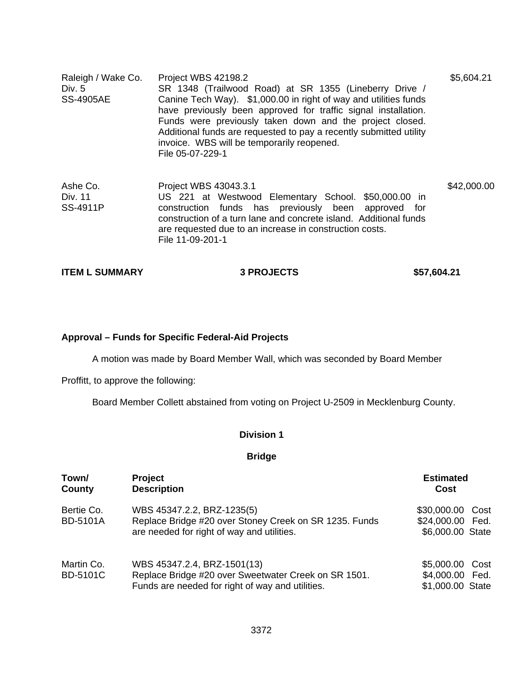| Raleigh / Wake Co.<br>Div. $5$<br><b>SS-4905AE</b> | Project WBS 42198.2<br>SR 1348 (Trailwood Road) at SR 1355 (Lineberry Drive /<br>Canine Tech Way). \$1,000.00 in right of way and utilities funds<br>have previously been approved for traffic signal installation.<br>Funds were previously taken down and the project closed.<br>Additional funds are requested to pay a recently submitted utility<br>invoice. WBS will be temporarily reopened.<br>File 05-07-229-1 | \$5,604.21  |
|----------------------------------------------------|-------------------------------------------------------------------------------------------------------------------------------------------------------------------------------------------------------------------------------------------------------------------------------------------------------------------------------------------------------------------------------------------------------------------------|-------------|
| Ashe Co.<br>Div. 11<br>SS-4911P                    | Project WBS 43043.3.1<br>US 221 at Westwood Elementary School. \$50,000.00 in<br>construction funds has previously been approved<br>for<br>construction of a turn lane and concrete island. Additional funds<br>are requested due to an increase in construction costs.<br>File 11-09-201-1                                                                                                                             | \$42,000.00 |

| <b>ITEM L SUMMARY</b> | <b>3 PROJECTS</b> | \$57,604.21 |
|-----------------------|-------------------|-------------|
|                       |                   |             |

### **Approval – Funds for Specific Federal-Aid Projects**

A motion was made by Board Member Wall, which was seconded by Board Member

Proffitt, to approve the following:

Board Member Collett abstained from voting on Project U-2509 in Mecklenburg County.

#### **Division 1**

#### **Bridge**

| Town/<br>County               | <b>Project</b><br><b>Description</b>                                                                                                    | <b>Estimated</b><br>Cost                                     |
|-------------------------------|-----------------------------------------------------------------------------------------------------------------------------------------|--------------------------------------------------------------|
| Bertie Co.<br><b>BD-5101A</b> | WBS 45347.2.2, BRZ-1235(5)<br>Replace Bridge #20 over Stoney Creek on SR 1235. Funds<br>are needed for right of way and utilities.      | \$30,000.00<br>Cost<br>\$24,000.00 Fed.<br>\$6,000.00 State  |
| Martin Co.<br><b>BD-5101C</b> | WBS 45347.2.4, BRZ-1501(13)<br>Replace Bridge #20 over Sweetwater Creek on SR 1501.<br>Funds are needed for right of way and utilities. | \$5,000.00<br>Cost<br>\$4,000.00<br>Fed.<br>\$1,000.00 State |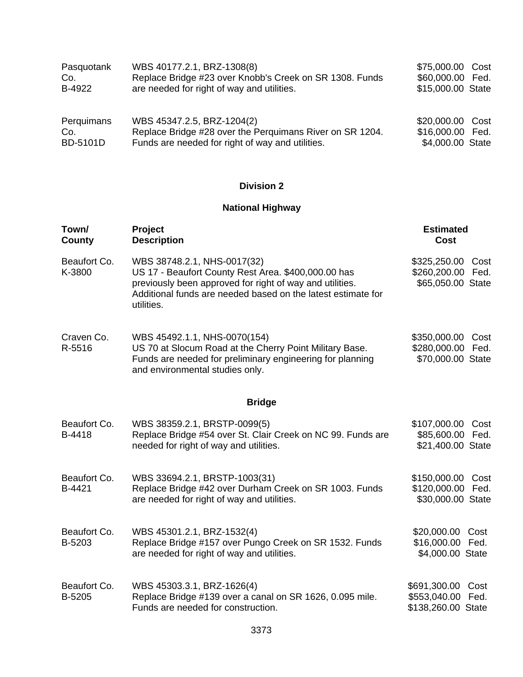| Pasquotank      | WBS 40177.2.1, BRZ-1308(8)                               | \$75,000.00 Cost  |  |
|-----------------|----------------------------------------------------------|-------------------|--|
| Co.             | Replace Bridge #23 over Knobb's Creek on SR 1308. Funds  | \$60,000.00 Fed.  |  |
| B-4922          | are needed for right of way and utilities.               | \$15,000.00 State |  |
| Perquimans      | WBS 45347.2.5, BRZ-1204(2)                               | \$20,000.00 Cost  |  |
| Co.             | Replace Bridge #28 over the Perquimans River on SR 1204. | \$16,000.00 Fed.  |  |
| <b>BD-5101D</b> | Funds are needed for right of way and utilities.         | \$4,000.00 State  |  |

## **National Highway**

| Town/<br>County        | Project<br><b>Description</b>                                                                                                                                                                                                | <b>Estimated</b><br>Cost                               |              |
|------------------------|------------------------------------------------------------------------------------------------------------------------------------------------------------------------------------------------------------------------------|--------------------------------------------------------|--------------|
| Beaufort Co.<br>K-3800 | WBS 38748.2.1, NHS-0017(32)<br>US 17 - Beaufort County Rest Area. \$400,000.00 has<br>previously been approved for right of way and utilities.<br>Additional funds are needed based on the latest estimate for<br>utilities. | \$325,250.00 Cost<br>\$260,200.00<br>\$65,050.00 State | Fed.         |
| Craven Co.<br>R-5516   | WBS 45492.1.1, NHS-0070(154)<br>US 70 at Slocum Road at the Cherry Point Military Base.<br>Funds are needed for preliminary engineering for planning<br>and environmental studies only.                                      | \$350,000.00<br>\$280,000.00<br>\$70,000.00 State      | Cost<br>Fed. |
|                        | <b>Bridge</b>                                                                                                                                                                                                                |                                                        |              |
| Beaufort Co.<br>B-4418 | WBS 38359.2.1, BRSTP-0099(5)<br>Replace Bridge #54 over St. Clair Creek on NC 99. Funds are<br>needed for right of way and utilities.                                                                                        | \$107,000.00<br>\$85,600.00<br>\$21,400.00 State       | Cost<br>Fed. |
| Beaufort Co.<br>B-4421 | WBS 33694.2.1, BRSTP-1003(31)<br>Replace Bridge #42 over Durham Creek on SR 1003. Funds<br>are needed for right of way and utilities.                                                                                        | \$150,000.00<br>\$120,000.00<br>\$30,000.00 State      | Cost<br>Fed. |
| Beaufort Co.<br>B-5203 | WBS 45301.2.1, BRZ-1532(4)<br>Replace Bridge #157 over Pungo Creek on SR 1532. Funds<br>are needed for right of way and utilities.                                                                                           | \$20,000.00<br>\$16,000.00<br>\$4,000.00 State         | Cost<br>Fed. |
| Beaufort Co.<br>B-5205 | WBS 45303.3.1, BRZ-1626(4)<br>Replace Bridge #139 over a canal on SR 1626, 0.095 mile.<br>Funds are needed for construction.                                                                                                 | \$691,300.00<br>\$553,040.00<br>\$138,260.00 State     | Cost<br>Fed. |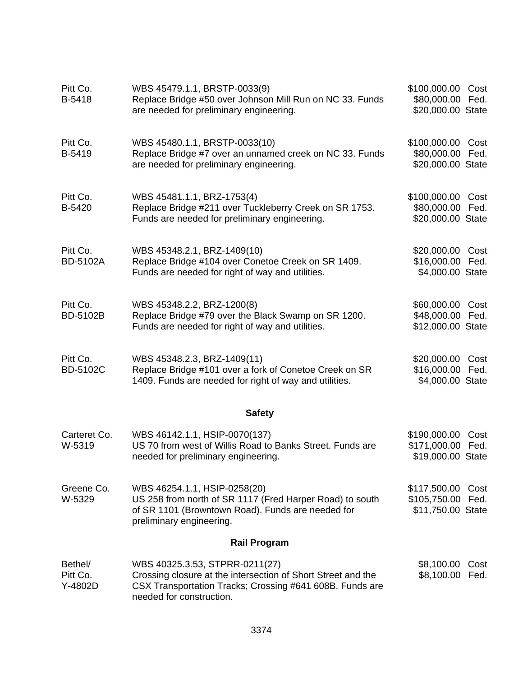| Pitt Co.<br>B-5418             | WBS 45479.1.1, BRSTP-0033(9)<br>Replace Bridge #50 over Johnson Mill Run on NC 33. Funds<br>are needed for preliminary engineering.                                                    | \$100,000.00<br>\$80,000.00 Fed.<br>\$20,000.00 State | Cost         |
|--------------------------------|----------------------------------------------------------------------------------------------------------------------------------------------------------------------------------------|-------------------------------------------------------|--------------|
| Pitt Co.<br>B-5419             | WBS 45480.1.1, BRSTP-0033(10)<br>Replace Bridge #7 over an unnamed creek on NC 33. Funds<br>are needed for preliminary engineering.                                                    | \$100,000.00 Cost<br>\$80,000.00<br>\$20,000.00 State | Fed.         |
| Pitt Co.<br>B-5420             | WBS 45481.1.1, BRZ-1753(4)<br>Replace Bridge #211 over Tuckleberry Creek on SR 1753.<br>Funds are needed for preliminary engineering.                                                  | \$100,000.00<br>\$80,000.00<br>\$20,000.00 State      | Cost<br>Fed. |
| Pitt Co.<br><b>BD-5102A</b>    | WBS 45348.2.1, BRZ-1409(10)<br>Replace Bridge #104 over Conetoe Creek on SR 1409.<br>Funds are needed for right of way and utilities.                                                  | \$20,000.00<br>\$16,000.00<br>\$4,000.00 State        | Cost<br>Fed. |
| Pitt Co.<br><b>BD-5102B</b>    | WBS 45348.2.2, BRZ-1200(8)<br>Replace Bridge #79 over the Black Swamp on SR 1200.<br>Funds are needed for right of way and utilities.                                                  | \$60,000.00<br>\$48,000.00<br>\$12,000.00 State       | Cost<br>Fed. |
| Pitt Co.<br><b>BD-5102C</b>    | WBS 45348.2.3, BRZ-1409(11)<br>Replace Bridge #101 over a fork of Conetoe Creek on SR<br>1409. Funds are needed for right of way and utilities.                                        | \$20,000.00 Cost<br>\$16,000.00<br>\$4,000.00 State   | Fed.         |
|                                | <b>Safety</b>                                                                                                                                                                          |                                                       |              |
| Carteret Co.<br>W-5319         | WBS 46142.1.1, HSIP-0070(137)<br>US 70 from west of Willis Road to Banks Street. Funds are<br>needed for preliminary engineering.                                                      | \$190,000.00<br>\$171,000.00<br>\$19,000.00 State     | Cost<br>Fed. |
| Greene Co.<br>W-5329           | WBS 46254.1.1, HSIP-0258(20)<br>US 258 from north of SR 1117 (Fred Harper Road) to south<br>of SR 1101 (Browntown Road). Funds are needed for<br>preliminary engineering.              | \$117,500.00<br>\$105,750.00<br>\$11,750.00 State     | Cost<br>Fed. |
|                                | <b>Rail Program</b>                                                                                                                                                                    |                                                       |              |
| Bethel/<br>Pitt Co.<br>Y-4802D | WBS 40325.3.53, STPRR-0211(27)<br>Crossing closure at the intersection of Short Street and the<br>CSX Transportation Tracks; Crossing #641 608B. Funds are<br>needed for construction. | \$8,100.00<br>\$8,100.00                              | Cost<br>Fed. |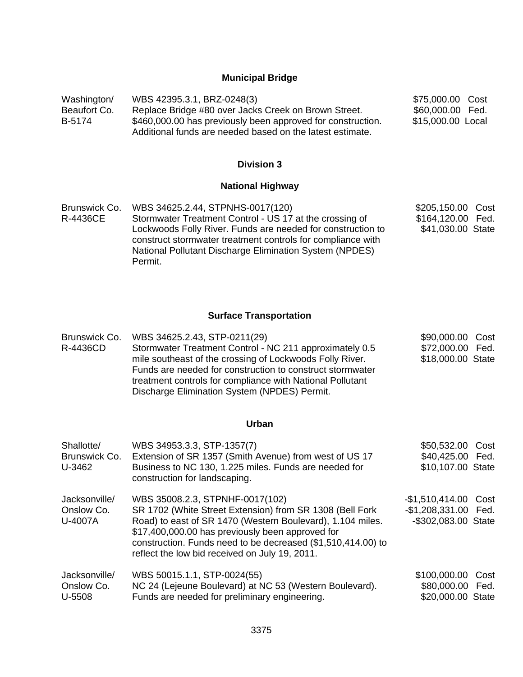#### **Municipal Bridge**

Washington/ Beaufort Co. B-5174 WBS 42395.3.1, BRZ-0248(3) Replace Bridge #80 over Jacks Creek on Brown Street. \$460,000.00 has previously been approved for construction. Additional funds are needed based on the latest estimate. \$75,000.00 Cost \$60,000.00 Fed. \$15,000.00 Local

#### **Division 3**

#### **National Highway**

Brunswick Co. R-4436CE WBS 34625.2.44, STPNHS-0017(120) Stormwater Treatment Control - US 17 at the crossing of Lockwoods Folly River. Funds are needed for construction to construct stormwater treatment controls for compliance with National Pollutant Discharge Elimination System (NPDES) Permit. \$205,150.00 Cost \$164,120.00 Fed. \$41,030.00 State

#### **Surface Transportation**

Brunswick Co. R-4436CD WBS 34625.2.43, STP-0211(29) Stormwater Treatment Control - NC 211 approximately 0.5 mile southeast of the crossing of Lockwoods Folly River. Funds are needed for construction to construct stormwater treatment controls for compliance with National Pollutant Discharge Elimination System (NPDES) Permit. \$90,000.00 Cost \$72,000.00 Fed. \$18,000.00 State

### **Urban**

| Shallotte/<br>Brunswick Co.<br>U-3462  | WBS 34953.3.3, STP-1357(7)<br>Extension of SR 1357 (Smith Avenue) from west of US 17<br>Business to NC 130, 1.225 miles. Funds are needed for<br>construction for landscaping.                                                                                                                                                  | \$50,532.00<br>\$40,425.00 Fed.<br>\$10,107.00 State                | Cost |
|----------------------------------------|---------------------------------------------------------------------------------------------------------------------------------------------------------------------------------------------------------------------------------------------------------------------------------------------------------------------------------|---------------------------------------------------------------------|------|
| Jacksonville/<br>Onslow Co.<br>U-4007A | WBS 35008.2.3, STPNHF-0017(102)<br>SR 1702 (White Street Extension) from SR 1308 (Bell Fork<br>Road) to east of SR 1470 (Western Boulevard), 1.104 miles.<br>\$17,400,000.00 has previously been approved for<br>construction. Funds need to be decreased (\$1,510,414.00) to<br>reflect the low bid received on July 19, 2011. | -\$1,510,414.00 Cost<br>-\$1,208,331.00 Fed.<br>-\$302,083.00 State |      |
| Jacksonville/<br>Onslow Co.<br>U-5508  | WBS 50015.1.1, STP-0024(55)<br>NC 24 (Lejeune Boulevard) at NC 53 (Western Boulevard).<br>Funds are needed for preliminary engineering.                                                                                                                                                                                         | \$100,000.00<br>\$80,000.00 Fed.<br>\$20,000.00 State               | Cost |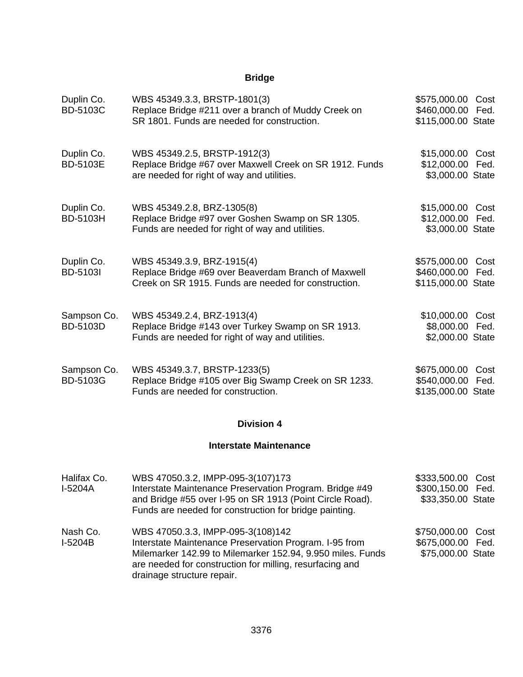## **Bridge**

| Duplin Co.<br>BD-5103C         | WBS 45349.3.3, BRSTP-1801(3)<br>Replace Bridge #211 over a branch of Muddy Creek on<br>SR 1801. Funds are needed for construction.                                                                                 | \$575,000.00 Cost<br>\$460,000.00 Fed.<br>\$115,000.00 State |              |
|--------------------------------|--------------------------------------------------------------------------------------------------------------------------------------------------------------------------------------------------------------------|--------------------------------------------------------------|--------------|
| Duplin Co.<br><b>BD-5103E</b>  | WBS 45349.2.5, BRSTP-1912(3)<br>Replace Bridge #67 over Maxwell Creek on SR 1912. Funds<br>are needed for right of way and utilities.                                                                              | \$15,000.00 Cost<br>\$12,000.00 Fed.<br>\$3,000.00 State     |              |
| Duplin Co.<br>BD-5103H         | WBS 45349.2.8, BRZ-1305(8)<br>Replace Bridge #97 over Goshen Swamp on SR 1305.<br>Funds are needed for right of way and utilities.                                                                                 | \$15,000.00 Cost<br>\$12,000.00 Fed.<br>\$3,000.00 State     |              |
| Duplin Co.<br><b>BD-5103I</b>  | WBS 45349.3.9, BRZ-1915(4)<br>Replace Bridge #69 over Beaverdam Branch of Maxwell<br>Creek on SR 1915. Funds are needed for construction.                                                                          | \$575,000.00 Cost<br>\$460,000.00 Fed.<br>\$115,000.00 State |              |
| Sampson Co.<br>BD-5103D        | WBS 45349.2.4, BRZ-1913(4)<br>Replace Bridge #143 over Turkey Swamp on SR 1913.<br>Funds are needed for right of way and utilities.                                                                                | \$10,000.00 Cost<br>\$8,000.00 Fed.<br>\$2,000.00 State      |              |
| Sampson Co.<br><b>BD-5103G</b> | WBS 45349.3.7, BRSTP-1233(5)<br>Replace Bridge #105 over Big Swamp Creek on SR 1233.<br>Funds are needed for construction.                                                                                         | \$675,000.00<br>\$540,000.00<br>\$135,000.00 State           | Cost<br>Fed. |
|                                | <b>Division 4</b>                                                                                                                                                                                                  |                                                              |              |
|                                | <b>Interstate Maintenance</b>                                                                                                                                                                                      |                                                              |              |
| Halifax Co.<br>I-5204A         | WBS 47050.3.2, IMPP-095-3(107)173<br>Interstate Maintenance Preservation Program. Bridge #49<br>and Bridge #55 over I-95 on SR 1913 (Point Circle Road).<br>Funds are needed for construction for bridge painting. | \$333,500.00 Cost<br>\$300,150.00 Fed.<br>\$33,350.00 State  |              |
| Nash Co.                       | WBS 47050.3.3, IMPP-095-3(108)142                                                                                                                                                                                  | \$750,000.00 Cost                                            |              |

I-5204B Interstate Maintenance Preservation Program. I-95 from Milemarker 142.99 to Milemarker 152.94, 9.950 miles. Funds are needed for construction for milling, resurfacing and drainage structure repair. \$675,000.00 Fed. \$75,000.00 State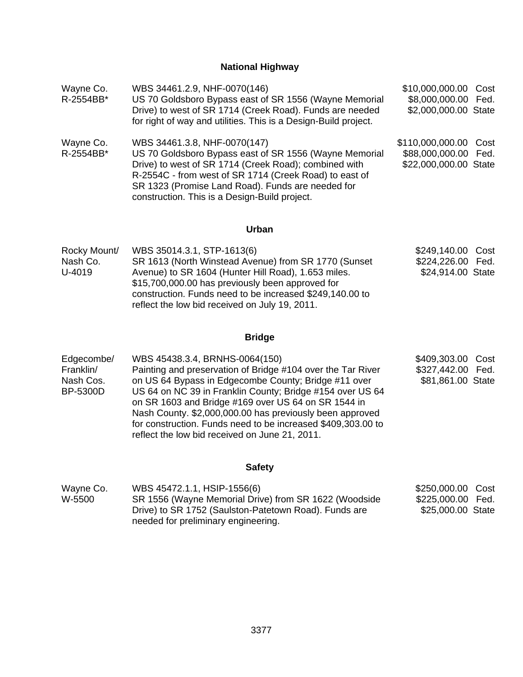# **National Highway**

| Wayne Co.<br>R-2554BB* | WBS 34461.2.9, NHF-0070(146)<br>US 70 Goldsboro Bypass east of SR 1556 (Wayne Memorial<br>Drive) to west of SR 1714 (Creek Road). Funds are needed<br>for right of way and utilities. This is a Design-Build project.                                                                                           | \$10,000,000.00 Cost<br>\$8,000,000.00 Fed.<br>\$2,000,000.00 State    |  |
|------------------------|-----------------------------------------------------------------------------------------------------------------------------------------------------------------------------------------------------------------------------------------------------------------------------------------------------------------|------------------------------------------------------------------------|--|
| Wayne Co.<br>R-2554BB* | WBS 34461.3.8, NHF-0070(147)<br>US 70 Goldsboro Bypass east of SR 1556 (Wayne Memorial<br>Drive) to west of SR 1714 (Creek Road); combined with<br>R-2554C - from west of SR 1714 (Creek Road) to east of<br>SR 1323 (Promise Land Road). Funds are needed for<br>construction. This is a Design-Build project. | \$110,000,000.00 Cost<br>\$88,000,000.00 Fed.<br>\$22,000,000.00 State |  |

### **Urban**

| Rocky Mount/ | WBS 35014.3.1, STP-1613(6)                               | \$249,140.00 Cost |  |
|--------------|----------------------------------------------------------|-------------------|--|
| Nash Co.     | SR 1613 (North Winstead Avenue) from SR 1770 (Sunset     | \$224,226.00 Fed. |  |
| U-4019       | Avenue) to SR 1604 (Hunter Hill Road), 1.653 miles.      | \$24,914.00 State |  |
|              | \$15,700,000.00 has previously been approved for         |                   |  |
|              | construction. Funds need to be increased \$249,140.00 to |                   |  |
|              | reflect the low bid received on July 19, 2011.           |                   |  |

# **Bridge**

| Edgecombe/ | WBS 45438.3.4, BRNHS-0064(150)                               | \$409,303.00 Cost |      |
|------------|--------------------------------------------------------------|-------------------|------|
| Franklin/  | Painting and preservation of Bridge #104 over the Tar River  | \$327,442.00      | Fed. |
| Nash Cos.  | on US 64 Bypass in Edgecombe County; Bridge #11 over         | \$81,861.00 State |      |
| BP-5300D   | US 64 on NC 39 in Franklin County; Bridge #154 over US 64    |                   |      |
|            | on SR 1603 and Bridge #169 over US 64 on SR 1544 in          |                   |      |
|            | Nash County. \$2,000,000.00 has previously been approved     |                   |      |
|            | for construction. Funds need to be increased \$409,303.00 to |                   |      |
|            | reflect the low bid received on June 21, 2011.               |                   |      |

## **Safety**

| Wayne Co. | WBS 45472.1.1, HSIP-1556(6)                           | \$250,000.00 Cost |  |
|-----------|-------------------------------------------------------|-------------------|--|
| W-5500    | SR 1556 (Wayne Memorial Drive) from SR 1622 (Woodside | \$225,000.00 Fed. |  |
|           | Drive) to SR 1752 (Saulston-Patetown Road). Funds are | \$25,000.00 State |  |
|           | needed for preliminary engineering.                   |                   |  |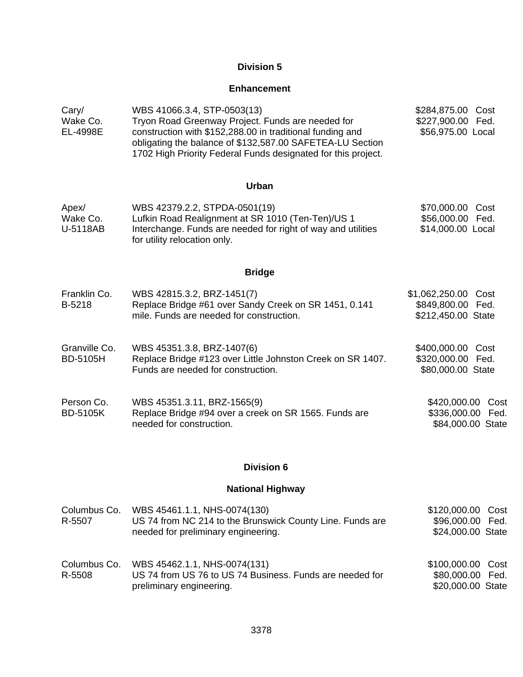### **Enhancement**

| Cary/    | WBS 41066.3.4, STP-0503(13)                                                                                                                                                             | \$284,875.00 Cost |  |
|----------|-----------------------------------------------------------------------------------------------------------------------------------------------------------------------------------------|-------------------|--|
| Wake Co. | Tryon Road Greenway Project. Funds are needed for                                                                                                                                       | \$227,900.00 Fed. |  |
| EL-4998E | construction with \$152,288.00 in traditional funding and<br>obligating the balance of \$132,587.00 SAFETEA-LU Section<br>1702 High Priority Federal Funds designated for this project. | \$56,975.00 Local |  |

## **Urban**

| Apex/    | WBS 42379.2.2, STPDA-0501(19)                                | \$70,000.00 Cost  |  |
|----------|--------------------------------------------------------------|-------------------|--|
| Wake Co. | Lufkin Road Realignment at SR 1010 (Ten-Ten)/US 1            | \$56,000.00 Fed.  |  |
| U-5118AB | Interchange. Funds are needed for right of way and utilities | \$14,000.00 Local |  |
|          | for utility relocation only.                                 |                   |  |

### **Bridge**

| Franklin Co. | WBS 42815.3.2, BRZ-1451(7)                            | \$1,062,250.00 Cost |  |
|--------------|-------------------------------------------------------|---------------------|--|
| B-5218       | Replace Bridge #61 over Sandy Creek on SR 1451, 0.141 | \$849,800.00 Fed.   |  |
|              | mile. Funds are needed for construction.              | \$212,450.00 State  |  |
|              |                                                       |                     |  |

| Granville Co. | WBS 45351.3.8, BRZ-1407(6)                                 | \$400,000.00 Cost |  |
|---------------|------------------------------------------------------------|-------------------|--|
| BD-5105H      | Replace Bridge #123 over Little Johnston Creek on SR 1407. | \$320,000.00 Fed. |  |
|               | Funds are needed for construction.                         | \$80,000.00 State |  |

| Person Co.      | WBS 45351.3.11, BRZ-1565(9)                           | \$420,000.00 Cost |  |
|-----------------|-------------------------------------------------------|-------------------|--|
| <b>BD-5105K</b> | Replace Bridge #94 over a creek on SR 1565. Funds are | \$336,000.00 Fed. |  |
|                 | needed for construction.                              | \$84,000.00 State |  |

## **Division 6**

### **National Highway**

| Columbus Co.<br>R-5507 | WBS 45461.1.1, NHS-0074(130)<br>US 74 from NC 214 to the Brunswick County Line. Funds are<br>needed for preliminary engineering. | \$120,000.00 Cost<br>\$96,000.00 Fed.<br>\$24,000.00 State |  |
|------------------------|----------------------------------------------------------------------------------------------------------------------------------|------------------------------------------------------------|--|
| Columbus Co.<br>R-5508 | WBS 45462.1.1, NHS-0074(131)<br>US 74 from US 76 to US 74 Business. Funds are needed for<br>preliminary engineering.             | \$100,000.00 Cost<br>\$80,000.00 Fed.<br>\$20,000.00 State |  |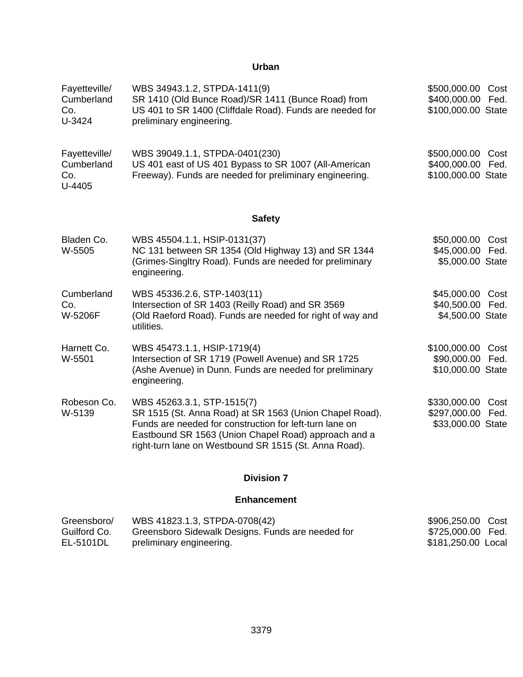### **Urban**

| Fayetteville/<br>Cumberland<br>Co.<br>U-3424   | WBS 34943.1.2, STPDA-1411(9)<br>SR 1410 (Old Bunce Road)/SR 1411 (Bunce Road) from<br>US 401 to SR 1400 (Cliffdale Road). Funds are needed for<br>preliminary engineering.                                                                                        | \$500,000.00 Cost<br>\$400,000.00 Fed.<br>\$100,000.00 State   |
|------------------------------------------------|-------------------------------------------------------------------------------------------------------------------------------------------------------------------------------------------------------------------------------------------------------------------|----------------------------------------------------------------|
| Fayetteville/<br>Cumberland<br>Co.<br>$U-4405$ | WBS 39049.1.1, STPDA-0401(230)<br>US 401 east of US 401 Bypass to SR 1007 (All-American<br>Freeway). Funds are needed for preliminary engineering.                                                                                                                | \$500,000.00 Cost<br>\$400,000.00 Fed.<br>\$100,000.00 State   |
|                                                | <b>Safety</b>                                                                                                                                                                                                                                                     |                                                                |
| Bladen Co.<br>W-5505                           | WBS 45504.1.1, HSIP-0131(37)<br>NC 131 between SR 1354 (Old Highway 13) and SR 1344<br>(Grimes-Singltry Road). Funds are needed for preliminary<br>engineering.                                                                                                   | \$50,000.00 Cost<br>\$45,000.00 Fed.<br>\$5,000.00 State       |
| Cumberland<br>Co.<br>W-5206F                   | WBS 45336.2.6, STP-1403(11)<br>Intersection of SR 1403 (Reilly Road) and SR 3569<br>(Old Raeford Road). Funds are needed for right of way and<br>utilities.                                                                                                       | \$45,000.00 Cost<br>\$40,500.00 Fed.<br>\$4,500.00 State       |
| Harnett Co.<br>W-5501                          | WBS 45473.1.1, HSIP-1719(4)<br>Intersection of SR 1719 (Powell Avenue) and SR 1725<br>(Ashe Avenue) in Dunn. Funds are needed for preliminary<br>engineering.                                                                                                     | \$100,000.00 Cost<br>\$90,000.00 Fed.<br>\$10,000.00 State     |
| Robeson Co.<br>W-5139                          | WBS 45263.3.1, STP-1515(7)<br>SR 1515 (St. Anna Road) at SR 1563 (Union Chapel Road).<br>Funds are needed for construction for left-turn lane on<br>Eastbound SR 1563 (Union Chapel Road) approach and a<br>right-turn lane on Westbound SR 1515 (St. Anna Road). | \$330,000.00<br>Cost<br>\$297,000.00 Fed.<br>\$33,000.00 State |
|                                                | <b>Division 7</b>                                                                                                                                                                                                                                                 |                                                                |

### **Enhancement**

| Greensboro/  | WBS 41823.1.3, STPDA-0708(42)                     | \$906,250.00 Cost  |  |
|--------------|---------------------------------------------------|--------------------|--|
| Guilford Co. | Greensboro Sidewalk Designs. Funds are needed for | \$725,000.00 Fed.  |  |
| EL-5101DL    | preliminary engineering.                          | \$181,250.00 Local |  |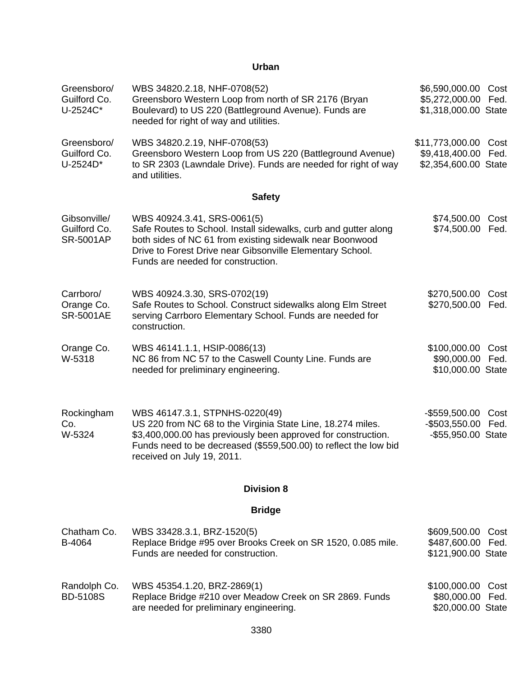### **Urban**

| Greensboro/<br>Guilford Co.<br>U-2524C*          | WBS 34820.2.18, NHF-0708(52)<br>Greensboro Western Loop from north of SR 2176 (Bryan<br>Boulevard) to US 220 (Battleground Avenue). Funds are<br>needed for right of way and utilities.                                                                          | \$6,590,000.00<br>\$5,272,000.00<br>\$1,318,000.00 State       | Cost<br>Fed. |
|--------------------------------------------------|------------------------------------------------------------------------------------------------------------------------------------------------------------------------------------------------------------------------------------------------------------------|----------------------------------------------------------------|--------------|
| Greensboro/<br>Guilford Co.<br>U-2524D*          | WBS 34820.2.19, NHF-0708(53)<br>Greensboro Western Loop from US 220 (Battleground Avenue)<br>to SR 2303 (Lawndale Drive). Funds are needed for right of way<br>and utilities.                                                                                    | \$11,773,000.00 Cost<br>\$9,418,400.00<br>\$2,354,600.00 State | Fed.         |
|                                                  | <b>Safety</b>                                                                                                                                                                                                                                                    |                                                                |              |
| Gibsonville/<br>Guilford Co.<br><b>SR-5001AP</b> | WBS 40924.3.41, SRS-0061(5)<br>Safe Routes to School. Install sidewalks, curb and gutter along<br>both sides of NC 61 from existing sidewalk near Boonwood<br>Drive to Forest Drive near Gibsonville Elementary School.<br>Funds are needed for construction.    | \$74,500.00<br>\$74,500.00                                     | Cost<br>Fed. |
| Carrboro/<br>Orange Co.<br><b>SR-5001AE</b>      | WBS 40924.3.30, SRS-0702(19)<br>Safe Routes to School. Construct sidewalks along Elm Street<br>serving Carrboro Elementary School. Funds are needed for<br>construction.                                                                                         | \$270,500.00<br>\$270,500.00                                   | Cost<br>Fed. |
| Orange Co.<br>W-5318                             | WBS 46141.1.1, HSIP-0086(13)<br>NC 86 from NC 57 to the Caswell County Line. Funds are<br>needed for preliminary engineering.                                                                                                                                    | \$100,000.00<br>\$90,000.00<br>\$10,000.00 State               | Cost<br>Fed. |
| Rockingham<br>Co.<br>W-5324                      | WBS 46147.3.1, STPNHS-0220(49)<br>US 220 from NC 68 to the Virginia State Line, 18.274 miles.<br>\$3,400,000.00 has previously been approved for construction.<br>Funds need to be decreased (\$559,500.00) to reflect the low bid<br>received on July 19, 2011. | $-$ \$559,500.00<br>$-$503,550.00$<br>-\$55,950.00 State       | Cost<br>Fed. |
|                                                  | <b>Division 8</b>                                                                                                                                                                                                                                                |                                                                |              |
|                                                  | <b>Bridge</b>                                                                                                                                                                                                                                                    |                                                                |              |
| Chatham Co.<br>B-4064                            | WBS 33428.3.1, BRZ-1520(5)<br>Replace Bridge #95 over Brooks Creek on SR 1520, 0.085 mile.<br>Funds are needed for construction.                                                                                                                                 | \$609,500.00<br>\$487,600.00 Fed.<br>\$121,900.00 State        | Cost         |
| Randolph Co.<br><b>BD-5108S</b>                  | WBS 45354.1.20, BRZ-2869(1)<br>Replace Bridge #210 over Meadow Creek on SR 2869. Funds<br>are needed for preliminary engineering.                                                                                                                                | \$100,000.00<br>\$80,000.00<br>\$20,000.00 State               | Cost<br>Fed. |
|                                                  |                                                                                                                                                                                                                                                                  |                                                                |              |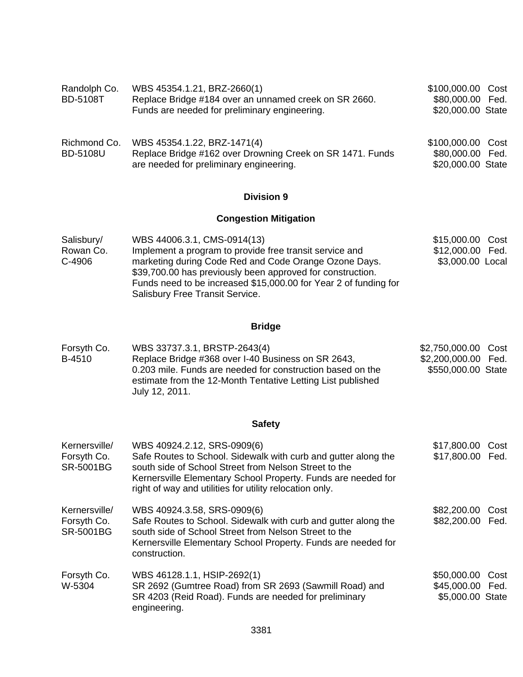| Randolph Co.<br><b>BD-5108T</b> | WBS 45354.1.21, BRZ-2660(1)<br>Replace Bridge #184 over an unnamed creek on SR 2660.<br>Funds are needed for preliminary engineering. | \$100,000.00 Cost<br>\$80,000.00 Fed.<br>\$20,000.00 State |  |
|---------------------------------|---------------------------------------------------------------------------------------------------------------------------------------|------------------------------------------------------------|--|
| Richmond Co.<br><b>BD-5108U</b> | WBS 45354.1.22, BRZ-1471(4)<br>Replace Bridge #162 over Drowning Creek on SR 1471. Funds<br>are needed for preliminary engineering.   | \$100,000.00 Cost<br>\$80,000.00 Fed.<br>\$20,000.00 State |  |

## **Congestion Mitigation**

| Salisbury/ | WBS 44006.3.1, CMS-0914(13)                                                                                         | \$15,000.00 Cost |  |
|------------|---------------------------------------------------------------------------------------------------------------------|------------------|--|
| Rowan Co.  | Implement a program to provide free transit service and                                                             | \$12,000.00 Fed. |  |
| C-4906     | marketing during Code Red and Code Orange Ozone Days.<br>\$39,700.00 has previously been approved for construction. | \$3,000.00 Local |  |
|            | Funds need to be increased \$15,000.00 for Year 2 of funding for                                                    |                  |  |
|            | Salisbury Free Transit Service.                                                                                     |                  |  |

## **Bridge**

| Forsyth Co. | WBS 33737.3.1, BRSTP-2643(4)                                                                                                                | \$2,750,000.00 Cost |  |
|-------------|---------------------------------------------------------------------------------------------------------------------------------------------|---------------------|--|
| B-4510      | Replace Bridge #368 over I-40 Business on SR 2643,                                                                                          | \$2,200,000.00 Fed. |  |
|             | 0.203 mile. Funds are needed for construction based on the<br>estimate from the 12-Month Tentative Letting List published<br>July 12, 2011. | \$550,000.00 State  |  |

## **Safety**

| Kernersville/<br>Forsyth Co.<br><b>SR-5001BG</b> | WBS 40924.2.12, SRS-0909(6)<br>Safe Routes to School. Sidewalk with curb and gutter along the<br>south side of School Street from Nelson Street to the<br>Kernersville Elementary School Property. Funds are needed for<br>right of way and utilities for utility relocation only. | \$17,800.00<br>\$17,800.00 Fed.                          | Cost |
|--------------------------------------------------|------------------------------------------------------------------------------------------------------------------------------------------------------------------------------------------------------------------------------------------------------------------------------------|----------------------------------------------------------|------|
| Kernersville/<br>Forsyth Co.<br><b>SR-5001BG</b> | WBS 40924.3.58, SRS-0909(6)<br>Safe Routes to School. Sidewalk with curb and gutter along the<br>south side of School Street from Nelson Street to the<br>Kernersville Elementary School Property. Funds are needed for<br>construction.                                           | \$82,200.00 Cost<br>\$82,200.00 Fed.                     |      |
| Forsyth Co.<br>W-5304                            | WBS 46128.1.1, HSIP-2692(1)<br>SR 2692 (Gumtree Road) from SR 2693 (Sawmill Road) and<br>SR 4203 (Reid Road). Funds are needed for preliminary<br>engineering.                                                                                                                     | \$50,000.00 Cost<br>\$45,000.00 Fed.<br>\$5,000.00 State |      |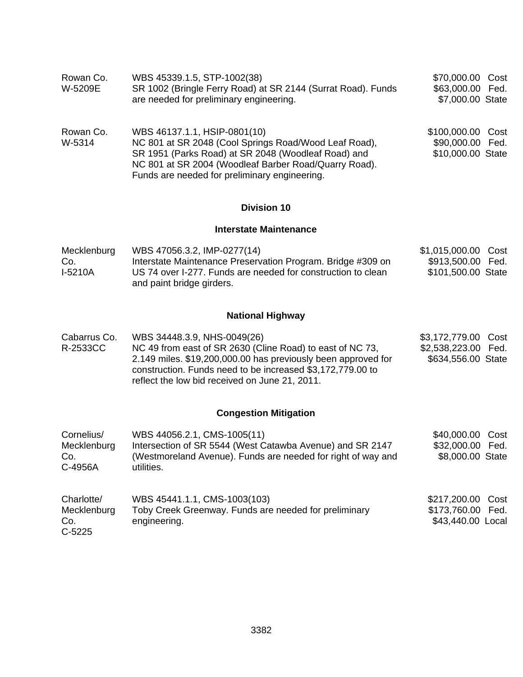| Rowan Co.<br>W-5209E                         | WBS 45339.1.5, STP-1002(38)<br>SR 1002 (Bringle Ferry Road) at SR 2144 (Surrat Road). Funds<br>are needed for preliminary engineering.                                                                                                                                    | \$70,000.00 Cost<br>\$63,000.00 Fed.<br>\$7,000.00 State         |  |
|----------------------------------------------|---------------------------------------------------------------------------------------------------------------------------------------------------------------------------------------------------------------------------------------------------------------------------|------------------------------------------------------------------|--|
| Rowan Co.<br>W-5314                          | WBS 46137.1.1, HSIP-0801(10)<br>NC 801 at SR 2048 (Cool Springs Road/Wood Leaf Road),<br>SR 1951 (Parks Road) at SR 2048 (Woodleaf Road) and<br>NC 801 at SR 2004 (Woodleaf Barber Road/Quarry Road).<br>Funds are needed for preliminary engineering.                    | \$100,000.00 Cost<br>\$90,000.00 Fed.<br>\$10,000.00 State       |  |
|                                              | <b>Division 10</b>                                                                                                                                                                                                                                                        |                                                                  |  |
|                                              | <b>Interstate Maintenance</b>                                                                                                                                                                                                                                             |                                                                  |  |
| Mecklenburg<br>Co.<br>I-5210A                | WBS 47056.3.2, IMP-0277(14)<br>Interstate Maintenance Preservation Program. Bridge #309 on<br>US 74 over I-277. Funds are needed for construction to clean<br>and paint bridge girders.                                                                                   | \$1,015,000.00 Cost<br>\$913,500.00 Fed.<br>\$101,500.00 State   |  |
|                                              | <b>National Highway</b>                                                                                                                                                                                                                                                   |                                                                  |  |
| Cabarrus Co.<br>R-2533CC                     | WBS 34448.3.9, NHS-0049(26)<br>NC 49 from east of SR 2630 (Cline Road) to east of NC 73,<br>2.149 miles. \$19,200,000.00 has previously been approved for<br>construction. Funds need to be increased \$3,172,779.00 to<br>reflect the low bid received on June 21, 2011. | \$3,172,779.00 Cost<br>\$2,538,223.00 Fed.<br>\$634,556.00 State |  |
|                                              | <b>Congestion Mitigation</b>                                                                                                                                                                                                                                              |                                                                  |  |
| Cornelius/<br>Mecklenburg<br>Co.<br>C-4956A  | WBS 44056.2.1, CMS-1005(11)<br>Intersection of SR 5544 (West Catawba Avenue) and SR 2147<br>(Westmoreland Avenue). Funds are needed for right of way and<br>utilities.                                                                                                    | \$40,000.00 Cost<br>\$32,000.00 Fed.<br>\$8,000.00 State         |  |
| Charlotte/<br>Mecklenburg<br>Co.<br>$C-5225$ | WBS 45441.1.1, CMS-1003(103)<br>Toby Creek Greenway. Funds are needed for preliminary<br>engineering.                                                                                                                                                                     | \$217,200.00 Cost<br>\$173,760.00 Fed.<br>\$43,440.00 Local      |  |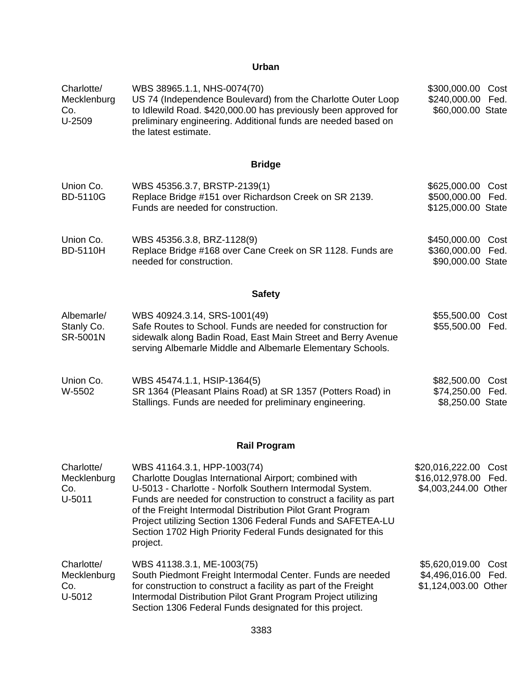### **Urban**

| Charlotte/<br>Mecklenburg<br>Co.<br>U-2509   | WBS 38965.1.1, NHS-0074(70)<br>US 74 (Independence Boulevard) from the Charlotte Outer Loop<br>to Idlewild Road. \$420,000.00 has previously been approved for<br>preliminary engineering. Additional funds are needed based on<br>the latest estimate.                                                                                                                                                                         | \$300,000.00<br>\$240,000.00<br>\$60,000.00 State                    | Cost<br>Fed. |
|----------------------------------------------|---------------------------------------------------------------------------------------------------------------------------------------------------------------------------------------------------------------------------------------------------------------------------------------------------------------------------------------------------------------------------------------------------------------------------------|----------------------------------------------------------------------|--------------|
|                                              | <b>Bridge</b>                                                                                                                                                                                                                                                                                                                                                                                                                   |                                                                      |              |
| Union Co.<br><b>BD-5110G</b>                 | WBS 45356.3.7, BRSTP-2139(1)<br>Replace Bridge #151 over Richardson Creek on SR 2139.<br>Funds are needed for construction.                                                                                                                                                                                                                                                                                                     | \$625,000.00<br>\$500,000.00<br>\$125,000.00 State                   | Cost<br>Fed. |
| Union Co.<br><b>BD-5110H</b>                 | WBS 45356.3.8, BRZ-1128(9)<br>Replace Bridge #168 over Cane Creek on SR 1128. Funds are<br>needed for construction.                                                                                                                                                                                                                                                                                                             | \$450,000.00 Cost<br>\$360,000.00 Fed.<br>\$90,000.00 State          |              |
|                                              | <b>Safety</b>                                                                                                                                                                                                                                                                                                                                                                                                                   |                                                                      |              |
| Albemarle/<br>Stanly Co.<br><b>SR-5001N</b>  | WBS 40924.3.14, SRS-1001(49)<br>Safe Routes to School. Funds are needed for construction for<br>sidewalk along Badin Road, East Main Street and Berry Avenue<br>serving Albemarle Middle and Albemarle Elementary Schools.                                                                                                                                                                                                      | \$55,500.00 Cost<br>\$55,500.00 Fed.                                 |              |
| Union Co.<br>W-5502                          | WBS 45474.1.1, HSIP-1364(5)<br>SR 1364 (Pleasant Plains Road) at SR 1357 (Potters Road) in<br>Stallings. Funds are needed for preliminary engineering.                                                                                                                                                                                                                                                                          | \$82,500.00<br>\$74,250.00<br>\$8,250.00 State                       | Cost<br>Fed. |
|                                              | <b>Rail Program</b>                                                                                                                                                                                                                                                                                                                                                                                                             |                                                                      |              |
| Charlotte/<br>Mecklenburg<br>Co.<br>$U-5011$ | WBS 41164.3.1, HPP-1003(74)<br>Charlotte Douglas International Airport; combined with<br>U-5013 - Charlotte - Norfolk Southern Intermodal System.<br>Funds are needed for construction to construct a facility as part<br>of the Freight Intermodal Distribution Pilot Grant Program<br>Project utilizing Section 1306 Federal Funds and SAFETEA-LU<br>Section 1702 High Priority Federal Funds designated for this<br>project. | \$20,016,222.00 Cost<br>\$16,012,978.00 Fed.<br>\$4,003,244.00 Other |              |
| Charlotte/<br>Mecklenburg<br>Co.<br>U-5012   | WBS 41138.3.1, ME-1003(75)<br>South Piedmont Freight Intermodal Center. Funds are needed<br>for construction to construct a facility as part of the Freight<br>Intermodal Distribution Pilot Grant Program Project utilizing<br>Section 1306 Federal Funds designated for this project.                                                                                                                                         | \$5,620,019.00<br>\$4,496,016.00<br>\$1,124,003.00 Other             | Cost<br>Fed. |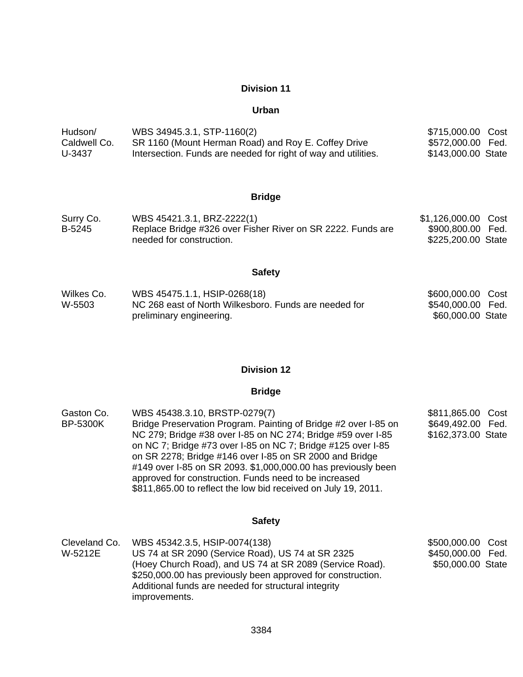#### **Urban**

| Hudson/      | WBS 34945.3.1, STP-1160(2)                                     | \$715,000.00 Cost  |  |
|--------------|----------------------------------------------------------------|--------------------|--|
| Caldwell Co. | SR 1160 (Mount Herman Road) and Roy E. Coffey Drive            | \$572,000.00 Fed.  |  |
| U-3437       | Intersection. Funds are needed for right of way and utilities. | \$143,000.00 State |  |

#### **Bridge**

| Surry Co. | WBS 45421.3.1, BRZ-2222(1)                                  | \$1,126,000.00 Cost |  |
|-----------|-------------------------------------------------------------|---------------------|--|
| B-5245    | Replace Bridge #326 over Fisher River on SR 2222. Funds are | \$900,800.00 Fed.   |  |
|           | needed for construction.                                    | \$225,200.00 State  |  |

#### **Safety**

| Wilkes Co. | WBS 45475.1.1, HSIP-0268(18)                          | \$600,000.00 Cost |  |
|------------|-------------------------------------------------------|-------------------|--|
| W-5503     | NC 268 east of North Wilkesboro. Funds are needed for | \$540,000.00 Fed. |  |
|            | preliminary engineering.                              | \$60,000.00 State |  |

#### **Division 12**

#### **Bridge**

| Gaston Co.<br><b>BP-5300K</b> | WBS 45438.3.10, BRSTP-0279(7)<br>Bridge Preservation Program. Painting of Bridge #2 over I-85 on<br>NC 279; Bridge #38 over I-85 on NC 274; Bridge #59 over I-85<br>on NC 7; Bridge #73 over I-85 on NC 7; Bridge #125 over I-85<br>on SR 2278; Bridge #146 over I-85 on SR 2000 and Bridge<br>#149 over I-85 on SR 2093. \$1,000,000.00 has previously been | \$811,865.00 Cost<br>\$649,492.00 Fed.<br>\$162,373.00 State |  |
|-------------------------------|--------------------------------------------------------------------------------------------------------------------------------------------------------------------------------------------------------------------------------------------------------------------------------------------------------------------------------------------------------------|--------------------------------------------------------------|--|
|                               | approved for construction. Funds need to be increased<br>\$811,865.00 to reflect the low bid received on July 19, 2011.                                                                                                                                                                                                                                      |                                                              |  |

#### **Safety**

Cleveland Co. W-5212E WBS 45342.3.5, HSIP-0074(138) US 74 at SR 2090 (Service Road), US 74 at SR 2325 (Hoey Church Road), and US 74 at SR 2089 (Service Road). \$250,000.00 has previously been approved for construction. Additional funds are needed for structural integrity improvements. \$500,000.00 Cost \$450,000.00 Fed. \$50,000.00 State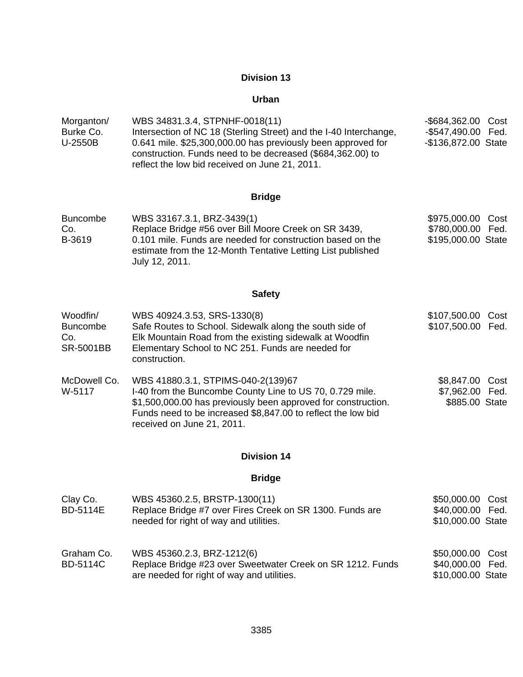### **Urban**

| Morganton/ | WBS 34831.3.4, STPNHF-0018(11)                                    | -\$684,362.00 Cost  |  |
|------------|-------------------------------------------------------------------|---------------------|--|
| Burke Co.  | Intersection of NC 18 (Sterling Street) and the I-40 Interchange, | -\$547,490.00 Fed.  |  |
| U-2550B    | 0.641 mile. \$25,300,000.00 has previously been approved for      | -\$136,872.00 State |  |
|            | construction. Funds need to be decreased (\$684,362.00) to        |                     |  |
|            | reflect the low bid received on June 21, 2011.                    |                     |  |

## **Bridge**

| <b>Buncombe</b> | WBS 33167.3.1, BRZ-3439(1)                                                                                                                  | \$975,000.00 Cost  |  |
|-----------------|---------------------------------------------------------------------------------------------------------------------------------------------|--------------------|--|
| Co.             | Replace Bridge #56 over Bill Moore Creek on SR 3439,                                                                                        | \$780,000.00 Fed.  |  |
| B-3619          | 0.101 mile. Funds are needed for construction based on the<br>estimate from the 12-Month Tentative Letting List published<br>July 12, 2011. | \$195,000.00 State |  |

# **Safety**

| Woodfin/<br><b>Buncombe</b><br>Co.<br>SR-5001BB | WBS 40924.3.53, SRS-1330(8)<br>Safe Routes to School. Sidewalk along the south side of<br>Elk Mountain Road from the existing sidewalk at Woodfin<br>Elementary School to NC 251. Funds are needed for<br>construction.                                       | \$107,500.00 Cost<br>\$107,500.00 Fed.               |  |
|-------------------------------------------------|---------------------------------------------------------------------------------------------------------------------------------------------------------------------------------------------------------------------------------------------------------------|------------------------------------------------------|--|
| McDowell Co.<br>W-5117                          | WBS 41880.3.1, STPIMS-040-2(139)67<br>I-40 from the Buncombe County Line to US 70, 0.729 mile.<br>\$1,500,000.00 has previously been approved for construction.<br>Funds need to be increased \$8,847.00 to reflect the low bid<br>received on June 21, 2011. | \$8,847.00 Cost<br>\$7,962.00 Fed.<br>\$885.00 State |  |

## **Division 14**

## **Bridge**

| Clay Co.<br><b>BD-5114E</b>   | WBS 45360.2.5, BRSTP-1300(11)<br>Replace Bridge #7 over Fires Creek on SR 1300. Funds are<br>needed for right of way and utilities.    | \$50,000.00 Cost<br>\$40,000.00 Fed.<br>\$10,000.00 State |
|-------------------------------|----------------------------------------------------------------------------------------------------------------------------------------|-----------------------------------------------------------|
| Graham Co.<br><b>BD-5114C</b> | WBS 45360.2.3, BRZ-1212(6)<br>Replace Bridge #23 over Sweetwater Creek on SR 1212. Funds<br>are needed for right of way and utilities. | \$50,000.00 Cost<br>\$40,000.00 Fed.<br>\$10,000.00 State |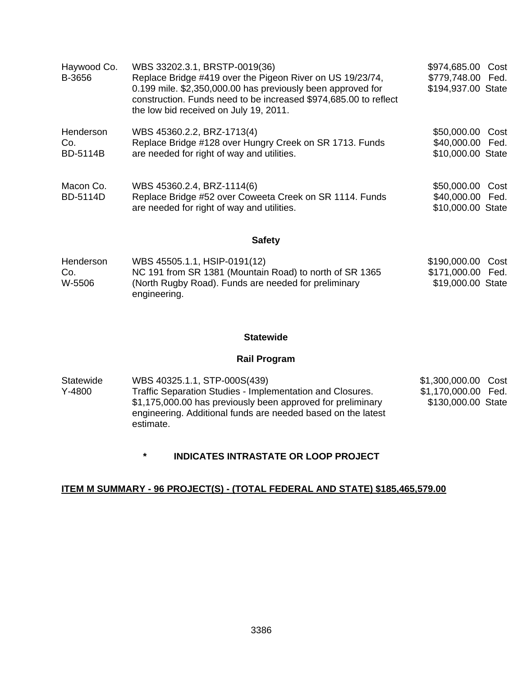| Haywood Co.<br>B-3656               | WBS 33202.3.1, BRSTP-0019(36)<br>Replace Bridge #419 over the Pigeon River on US 19/23/74,<br>0.199 mile. \$2,350,000.00 has previously been approved for<br>construction. Funds need to be increased \$974,685.00 to reflect<br>the low bid received on July 19, 2011. | \$974,685.00 Cost<br>\$779,748.00 Fed.<br>\$194,937.00 State |
|-------------------------------------|-------------------------------------------------------------------------------------------------------------------------------------------------------------------------------------------------------------------------------------------------------------------------|--------------------------------------------------------------|
| Henderson<br>Co.<br><b>BD-5114B</b> | WBS 45360.2.2, BRZ-1713(4)<br>Replace Bridge #128 over Hungry Creek on SR 1713. Funds<br>are needed for right of way and utilities.                                                                                                                                     | \$50,000.00 Cost<br>\$40,000.00 Fed.<br>\$10,000.00 State    |
| Macon Co.<br><b>BD-5114D</b>        | WBS 45360.2.4, BRZ-1114(6)<br>Replace Bridge #52 over Coweeta Creek on SR 1114. Funds<br>are needed for right of way and utilities.                                                                                                                                     | \$50,000.00 Cost<br>\$40,000.00 Fed.<br>\$10,000.00 State    |

### **Safety**

| Henderson | WBS 45505.1.1, HSIP-0191(12)                            | \$190,000.00 Cost |  |
|-----------|---------------------------------------------------------|-------------------|--|
| Co.       | NC 191 from SR 1381 (Mountain Road) to north of SR 1365 | \$171,000.00 Fed. |  |
| W-5506    | (North Rugby Road). Funds are needed for preliminary    | \$19,000.00 State |  |
|           | engineering.                                            |                   |  |

### **Statewide**

## **Rail Program**

| Statewide | WBS 40325.1.1, STP-000S(439)                                                                                                             | \$1,300,000.00 Cost |  |
|-----------|------------------------------------------------------------------------------------------------------------------------------------------|---------------------|--|
| $Y-4800$  | Traffic Separation Studies - Implementation and Closures.                                                                                | \$1,170,000.00 Fed. |  |
|           | \$1,175,000.00 has previously been approved for preliminary<br>engineering. Additional funds are needed based on the latest<br>estimate. | \$130,000.00 State  |  |

**\* INDICATES INTRASTATE OR LOOP PROJECT** 

## **ITEM M SUMMARY - 96 PROJECT(S) - (TOTAL FEDERAL AND STATE) \$185,465,579.00**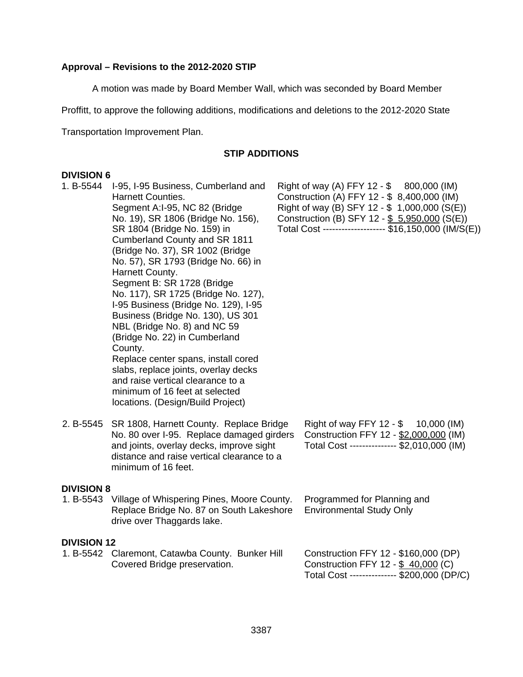## **Approval – Revisions to the 2012-2020 STIP**

A motion was made by Board Member Wall, which was seconded by Board Member

Proffitt, to approve the following additions, modifications and deletions to the 2012-2020 State

Transportation Improvement Plan.

### **STIP ADDITIONS**

### **DIVISION 6**

| 1. B-5544          | I-95, I-95 Business, Cumberland and<br><b>Harnett Counties.</b><br>Segment A:I-95, NC 82 (Bridge<br>No. 19), SR 1806 (Bridge No. 156),<br>SR 1804 (Bridge No. 159) in<br>Cumberland County and SR 1811<br>(Bridge No. 37), SR 1002 (Bridge<br>No. 57), SR 1793 (Bridge No. 66) in<br>Harnett County.<br>Segment B: SR 1728 (Bridge<br>No. 117), SR 1725 (Bridge No. 127),<br>I-95 Business (Bridge No. 129), I-95<br>Business (Bridge No. 130), US 301<br>NBL (Bridge No. 8) and NC 59<br>(Bridge No. 22) in Cumberland<br>County.<br>Replace center spans, install cored<br>slabs, replace joints, overlay decks<br>and raise vertical clearance to a<br>minimum of 16 feet at selected<br>locations. (Design/Build Project) | Right of way (A) FFY 12 - \$ 800,000 (IM)<br>Construction (A) FFY 12 - \$ 8,400,000 (IM)<br>Right of way (B) SFY 12 - \$ 1,000,000 (S(E))<br>Construction (B) SFY 12 - \$ 5,950,000 (S(E))<br>Total Cost ------------------- \$16,150,000 (IM/S(E)) |
|--------------------|-------------------------------------------------------------------------------------------------------------------------------------------------------------------------------------------------------------------------------------------------------------------------------------------------------------------------------------------------------------------------------------------------------------------------------------------------------------------------------------------------------------------------------------------------------------------------------------------------------------------------------------------------------------------------------------------------------------------------------|-----------------------------------------------------------------------------------------------------------------------------------------------------------------------------------------------------------------------------------------------------|
| 2. B-5545          | SR 1808, Harnett County. Replace Bridge<br>No. 80 over I-95. Replace damaged girders<br>and joints, overlay decks, improve sight<br>distance and raise vertical clearance to a<br>minimum of 16 feet.                                                                                                                                                                                                                                                                                                                                                                                                                                                                                                                         | Right of way FFY 12 - \$ 10,000 (IM)<br>Construction FFY 12 - \$2,000,000 (IM)<br>Total Cost -------------- \$2,010,000 (IM)                                                                                                                        |
| <b>DIVISION 8</b>  | 1. B-5543 Village of Whispering Pines, Moore County.<br>Replace Bridge No. 87 on South Lakeshore<br>drive over Thaggards lake.                                                                                                                                                                                                                                                                                                                                                                                                                                                                                                                                                                                                | Programmed for Planning and<br><b>Environmental Study Only</b>                                                                                                                                                                                      |
| <b>DIVISION 12</b> | 1. B-5542 Claremont, Catawba County. Bunker Hill<br>Covered Bridge preservation.                                                                                                                                                                                                                                                                                                                                                                                                                                                                                                                                                                                                                                              | Construction FFY 12 - \$160,000 (DP)<br>Construction FFY 12 - \$ 40,000 (C)<br>Total Cost -------------- \$200,000 (DP/C)                                                                                                                           |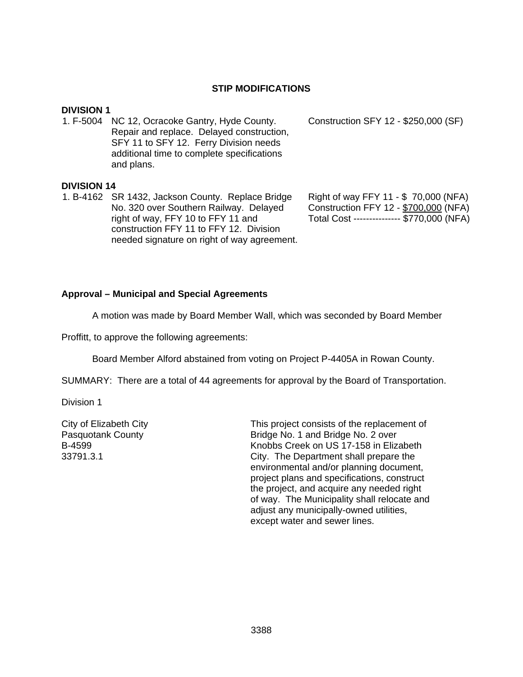#### **STIP MODIFICATIONS**

#### **DIVISION 1**

1. F-5004 NC 12, Ocracoke Gantry, Hyde County. Repair and replace. Delayed construction, SFY 11 to SFY 12. Ferry Division needs additional time to complete specifications and plans.

#### **DIVISION 14**

1. B-4162 SR 1432, Jackson County. Replace Bridge No. 320 over Southern Railway. Delayed right of way, FFY 10 to FFY 11 and construction FFY 11 to FFY 12. Division needed signature on right of way agreement. Construction SFY 12 - \$250,000 (SF)

Right of way FFY 11 - \$ 70,000 (NFA) Construction FFY 12 - \$700,000 (NFA) Total Cost --------------- \$770,000 (NFA)

#### **Approval – Municipal and Special Agreements**

A motion was made by Board Member Wall, which was seconded by Board Member

Proffitt, to approve the following agreements:

Board Member Alford abstained from voting on Project P-4405A in Rowan County.

SUMMARY: There are a total of 44 agreements for approval by the Board of Transportation.

Division 1

City of Elizabeth City Pasquotank County B-4599 33791.3.1

This project consists of the replacement of Bridge No. 1 and Bridge No. 2 over Knobbs Creek on US 17-158 in Elizabeth City. The Department shall prepare the environmental and/or planning document, project plans and specifications, construct the project, and acquire any needed right of way. The Municipality shall relocate and adjust any municipally-owned utilities, except water and sewer lines.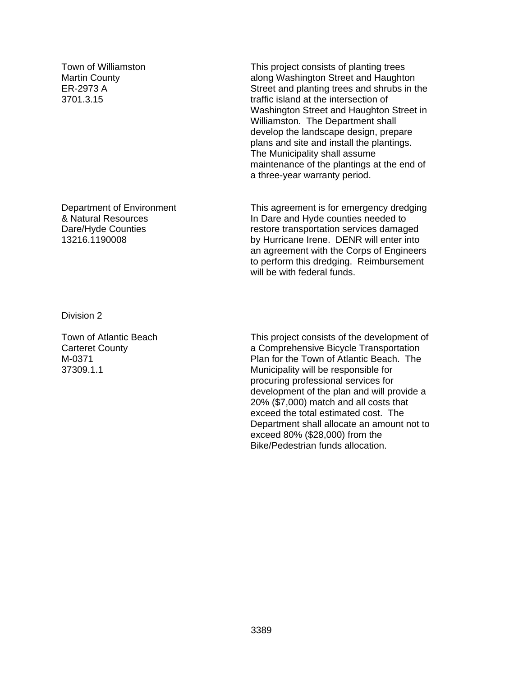Town of Williamston Martin County ER-2973 A 3701.3.15

Department of Environment & Natural Resources Dare/Hyde Counties 13216.1190008

Division 2

Town of Atlantic Beach Carteret County M-0371 37309.1.1

This project consists of planting trees along Washington Street and Haughton Street and planting trees and shrubs in the traffic island at the intersection of Washington Street and Haughton Street in Williamston. The Department shall develop the landscape design, prepare plans and site and install the plantings. The Municipality shall assume maintenance of the plantings at the end of a three-year warranty period.

This agreement is for emergency dredging In Dare and Hyde counties needed to restore transportation services damaged by Hurricane Irene. DENR will enter into an agreement with the Corps of Engineers to perform this dredging. Reimbursement will be with federal funds.

This project consists of the development of a Comprehensive Bicycle Transportation Plan for the Town of Atlantic Beach. The Municipality will be responsible for procuring professional services for development of the plan and will provide a 20% (\$7,000) match and all costs that exceed the total estimated cost. The Department shall allocate an amount not to exceed 80% (\$28,000) from the Bike/Pedestrian funds allocation.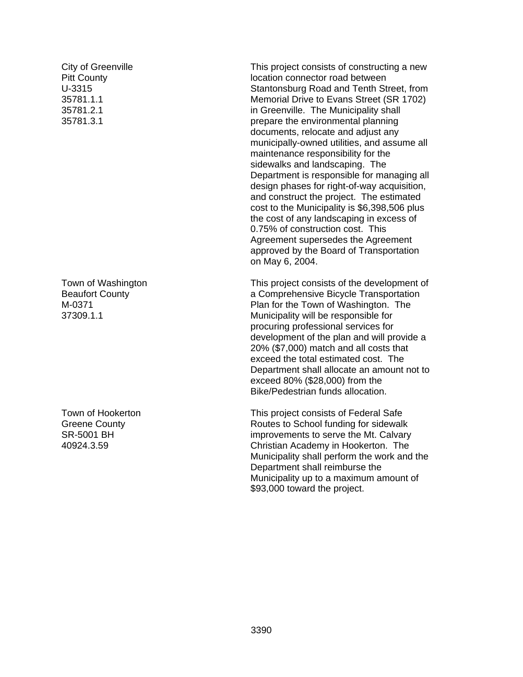City of Greenville **Pitt County** U-3315 35781.1.1 35781.2.1 35781.3.1

Town of Washington Beaufort County M-0371 37309.1.1

Town of Hookerton Greene County SR-5001 BH 40924.3.59

This project consists of constructing a new location connector road between Stantonsburg Road and Tenth Street, from Memorial Drive to Evans Street (SR 1702) in Greenville. The Municipality shall prepare the environmental planning documents, relocate and adjust any municipally-owned utilities, and assume all maintenance responsibility for the sidewalks and landscaping. The Department is responsible for managing all design phases for right-of-way acquisition, and construct the project. The estimated cost to the Municipality is \$6,398,506 plus the cost of any landscaping in excess of 0.75% of construction cost. This Agreement supersedes the Agreement approved by the Board of Transportation on May 6, 2004.

This project consists of the development of a Comprehensive Bicycle Transportation Plan for the Town of Washington. The Municipality will be responsible for procuring professional services for development of the plan and will provide a 20% (\$7,000) match and all costs that exceed the total estimated cost. The Department shall allocate an amount not to exceed 80% (\$28,000) from the Bike/Pedestrian funds allocation.

This project consists of Federal Safe Routes to School funding for sidewalk improvements to serve the Mt. Calvary Christian Academy in Hookerton. The Municipality shall perform the work and the Department shall reimburse the Municipality up to a maximum amount of \$93,000 toward the project.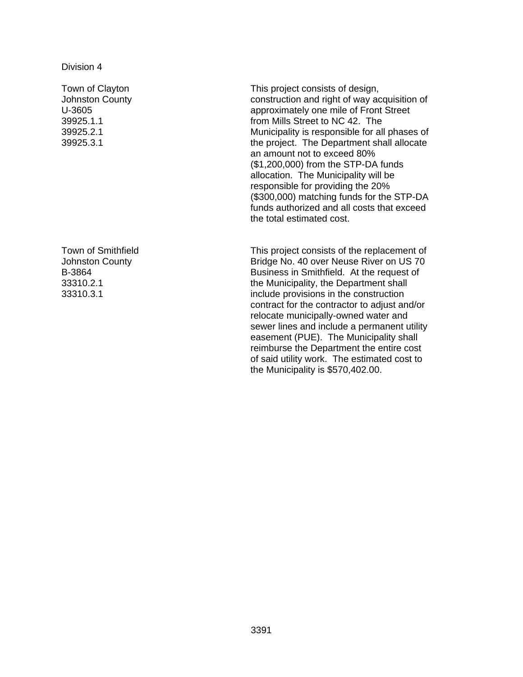Town of Clayton Johnston County U-3605 39925.1.1 39925.2.1 39925.3.1

Town of Smithfield Johnston County B-3864 33310.2.1 33310.3.1

This project consists of design, construction and right of way acquisition of approximately one mile of Front Street from Mills Street to NC 42. The Municipality is responsible for all phases of the project. The Department shall allocate an amount not to exceed 80% (\$1,200,000) from the STP-DA funds allocation. The Municipality will be responsible for providing the 20% (\$300,000) matching funds for the STP-DA funds authorized and all costs that exceed the total estimated cost.

This project consists of the replacement of Bridge No. 40 over Neuse River on US 70 Business in Smithfield. At the request of the Municipality, the Department shall include provisions in the construction contract for the contractor to adjust and/or relocate municipally-owned water and sewer lines and include a permanent utility easement (PUE). The Municipality shall reimburse the Department the entire cost of said utility work. The estimated cost to the Municipality is \$570,402.00.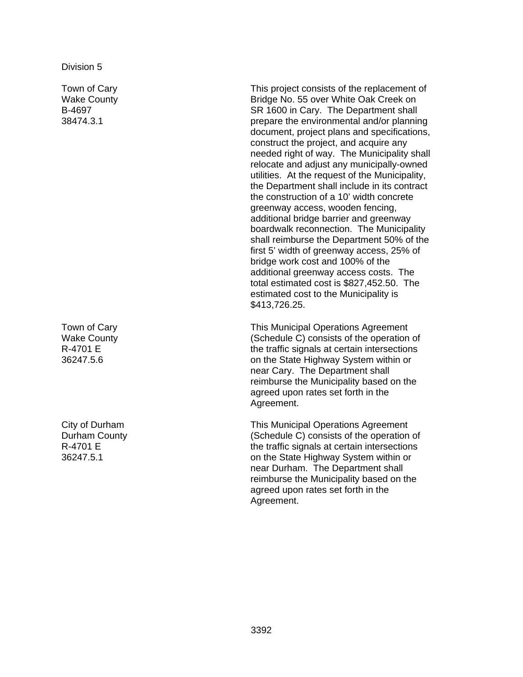Town of Cary Wake County B-4697 38474.3.1

Town of Cary Wake County R-4701 E 36247.5.6

City of Durham Durham County R-4701 E 36247.5.1

This project consists of the replacement of Bridge No. 55 over White Oak Creek on SR 1600 in Cary. The Department shall prepare the environmental and/or planning document, project plans and specifications, construct the project, and acquire any needed right of way. The Municipality shall relocate and adjust any municipally-owned utilities. At the request of the Municipality, the Department shall include in its contract the construction of a 10' width concrete greenway access, wooden fencing, additional bridge barrier and greenway boardwalk reconnection. The Municipality shall reimburse the Department 50% of the first 5' width of greenway access, 25% of bridge work cost and 100% of the additional greenway access costs. The total estimated cost is \$827,452.50. The estimated cost to the Municipality is \$413,726.25.

This Municipal Operations Agreement (Schedule C) consists of the operation of the traffic signals at certain intersections on the State Highway System within or near Cary. The Department shall reimburse the Municipality based on the agreed upon rates set forth in the Agreement.

This Municipal Operations Agreement (Schedule C) consists of the operation of the traffic signals at certain intersections on the State Highway System within or near Durham. The Department shall reimburse the Municipality based on the agreed upon rates set forth in the Agreement.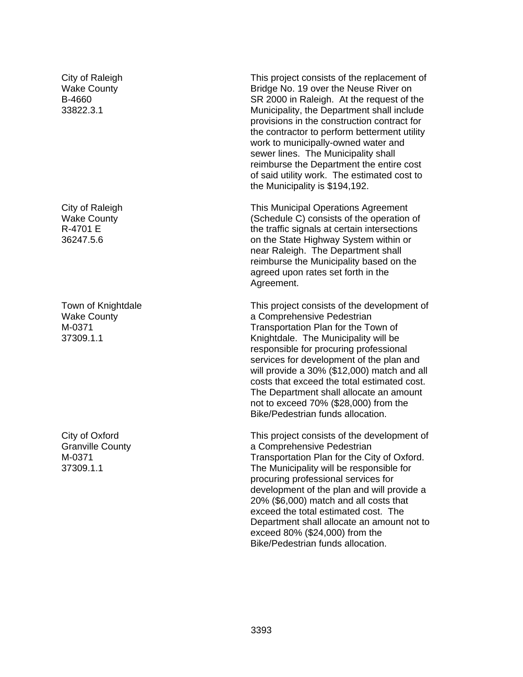City of Raleigh Wake County B-4660 33822.3.1

City of Raleigh Wake County R-4701 E 36247.5.6

Town of Knightdale Wake County M-0371 37309.1.1

City of Oxford Granville County M-0371 37309.1.1

This project consists of the replacement of Bridge No. 19 over the Neuse River on SR 2000 in Raleigh. At the request of the Municipality, the Department shall include provisions in the construction contract for the contractor to perform betterment utility work to municipally-owned water and sewer lines. The Municipality shall reimburse the Department the entire cost of said utility work. The estimated cost to the Municipality is \$194,192.

This Municipal Operations Agreement (Schedule C) consists of the operation of the traffic signals at certain intersections on the State Highway System within or near Raleigh. The Department shall reimburse the Municipality based on the agreed upon rates set forth in the Agreement.

This project consists of the development of a Comprehensive Pedestrian Transportation Plan for the Town of Knightdale. The Municipality will be responsible for procuring professional services for development of the plan and will provide a 30% (\$12,000) match and all costs that exceed the total estimated cost. The Department shall allocate an amount not to exceed 70% (\$28,000) from the Bike/Pedestrian funds allocation.

This project consists of the development of a Comprehensive Pedestrian Transportation Plan for the City of Oxford. The Municipality will be responsible for procuring professional services for development of the plan and will provide a 20% (\$6,000) match and all costs that exceed the total estimated cost. The Department shall allocate an amount not to exceed 80% (\$24,000) from the Bike/Pedestrian funds allocation.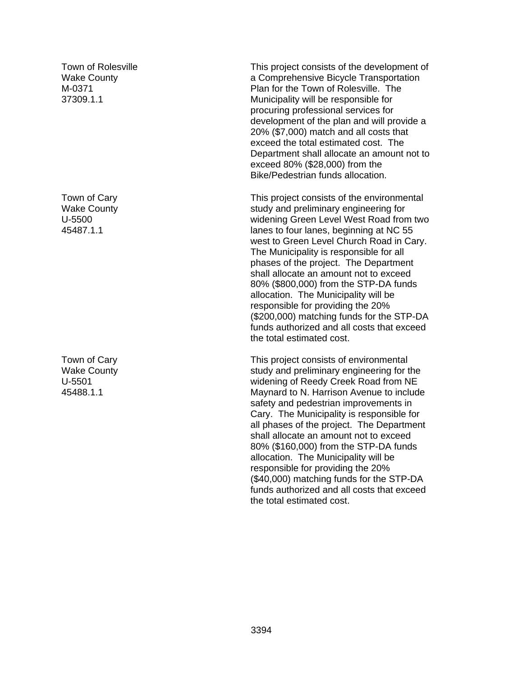Town of Rolesville Wake County M-0371 37309.1.1

Town of Cary Wake County U-5500 45487.1.1

Town of Cary Wake County U-5501 45488.1.1

This project consists of the development of a Comprehensive Bicycle Transportation Plan for the Town of Rolesville. The Municipality will be responsible for procuring professional services for development of the plan and will provide a 20% (\$7,000) match and all costs that exceed the total estimated cost. The Department shall allocate an amount not to exceed 80% (\$28,000) from the Bike/Pedestrian funds allocation.

This project consists of the environmental study and preliminary engineering for widening Green Level West Road from two lanes to four lanes, beginning at NC 55 west to Green Level Church Road in Cary. The Municipality is responsible for all phases of the project. The Department shall allocate an amount not to exceed 80% (\$800,000) from the STP-DA funds allocation. The Municipality will be responsible for providing the 20% (\$200,000) matching funds for the STP-DA funds authorized and all costs that exceed the total estimated cost.

This project consists of environmental study and preliminary engineering for the widening of Reedy Creek Road from NE Maynard to N. Harrison Avenue to include safety and pedestrian improvements in Cary. The Municipality is responsible for all phases of the project. The Department shall allocate an amount not to exceed 80% (\$160,000) from the STP-DA funds allocation. The Municipality will be responsible for providing the 20% (\$40,000) matching funds for the STP-DA funds authorized and all costs that exceed the total estimated cost.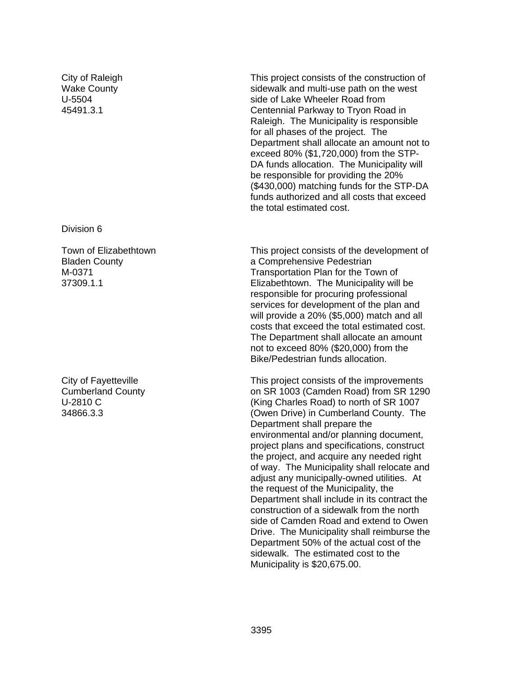City of Raleigh Wake County U-5504 45491.3.1

Division 6

Town of Elizabethtown Bladen County M-0371 37309.1.1

City of Fayetteville Cumberland County U-2810 C 34866.3.3

This project consists of the construction of sidewalk and multi-use path on the west side of Lake Wheeler Road from Centennial Parkway to Tryon Road in Raleigh. The Municipality is responsible for all phases of the project. The Department shall allocate an amount not to exceed 80% (\$1,720,000) from the STP-DA funds allocation. The Municipality will be responsible for providing the 20% (\$430,000) matching funds for the STP-DA funds authorized and all costs that exceed the total estimated cost.

This project consists of the development of a Comprehensive Pedestrian Transportation Plan for the Town of Elizabethtown. The Municipality will be responsible for procuring professional services for development of the plan and will provide a 20% (\$5,000) match and all costs that exceed the total estimated cost. The Department shall allocate an amount not to exceed 80% (\$20,000) from the Bike/Pedestrian funds allocation.

This project consists of the improvements on SR 1003 (Camden Road) from SR 1290 (King Charles Road) to north of SR 1007 (Owen Drive) in Cumberland County. The Department shall prepare the environmental and/or planning document, project plans and specifications, construct the project, and acquire any needed right of way. The Municipality shall relocate and adjust any municipally-owned utilities. At the request of the Municipality, the Department shall include in its contract the construction of a sidewalk from the north side of Camden Road and extend to Owen Drive. The Municipality shall reimburse the Department 50% of the actual cost of the sidewalk. The estimated cost to the Municipality is \$20,675.00.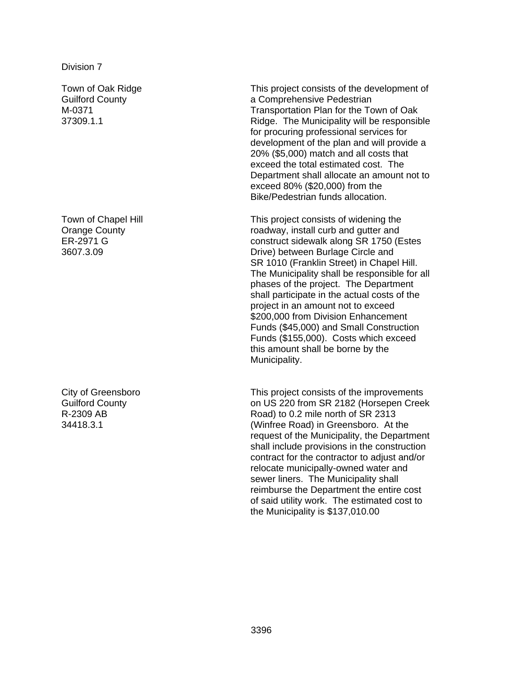Town of Oak Ridge Guilford County M-0371 37309.1.1

Town of Chapel Hill Orange County ER-2971 G 3607.3.09

City of Greensboro Guilford County R-2309 AB 34418.3.1

This project consists of the development of a Comprehensive Pedestrian Transportation Plan for the Town of Oak Ridge. The Municipality will be responsible for procuring professional services for development of the plan and will provide a 20% (\$5,000) match and all costs that exceed the total estimated cost. The Department shall allocate an amount not to exceed 80% (\$20,000) from the Bike/Pedestrian funds allocation.

This project consists of widening the roadway, install curb and gutter and construct sidewalk along SR 1750 (Estes Drive) between Burlage Circle and SR 1010 (Franklin Street) in Chapel Hill. The Municipality shall be responsible for all phases of the project. The Department shall participate in the actual costs of the project in an amount not to exceed \$200,000 from Division Enhancement Funds (\$45,000) and Small Construction Funds (\$155,000). Costs which exceed this amount shall be borne by the Municipality.

This project consists of the improvements on US 220 from SR 2182 (Horsepen Creek Road) to 0.2 mile north of SR 2313 (Winfree Road) in Greensboro. At the request of the Municipality, the Department shall include provisions in the construction contract for the contractor to adjust and/or relocate municipally-owned water and sewer liners. The Municipality shall reimburse the Department the entire cost of said utility work. The estimated cost to the Municipality is \$137,010.00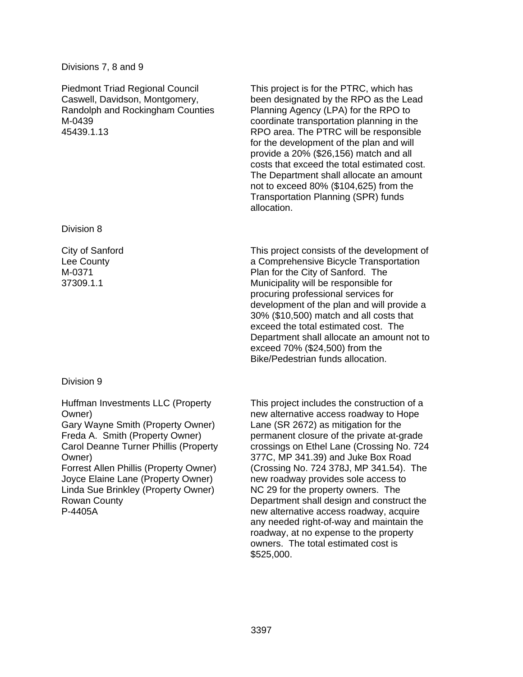## Divisions 7, 8 and 9

Piedmont Triad Regional Council Caswell, Davidson, Montgomery, Randolph and Rockingham Counties M-0439 45439.1.13

Division 8

City of Sanford Lee County M-0371 37309.1.1

# Division 9

Huffman Investments LLC (Property Owner)

Gary Wayne Smith (Property Owner) Freda A. Smith (Property Owner) Carol Deanne Turner Phillis (Property Owner)

Forrest Allen Phillis (Property Owner) Joyce Elaine Lane (Property Owner) Linda Sue Brinkley (Property Owner) Rowan County P-4405A

This project is for the PTRC, which has been designated by the RPO as the Lead Planning Agency (LPA) for the RPO to coordinate transportation planning in the RPO area. The PTRC will be responsible for the development of the plan and will provide a 20% (\$26,156) match and all costs that exceed the total estimated cost. The Department shall allocate an amount not to exceed 80% (\$104,625) from the Transportation Planning (SPR) funds allocation.

This project consists of the development of a Comprehensive Bicycle Transportation Plan for the City of Sanford. The Municipality will be responsible for procuring professional services for development of the plan and will provide a 30% (\$10,500) match and all costs that exceed the total estimated cost. The Department shall allocate an amount not to exceed 70% (\$24,500) from the Bike/Pedestrian funds allocation.

This project includes the construction of a new alternative access roadway to Hope Lane (SR 2672) as mitigation for the permanent closure of the private at-grade crossings on Ethel Lane (Crossing No. 724 377C, MP 341.39) and Juke Box Road (Crossing No. 724 378J, MP 341.54). The new roadway provides sole access to NC 29 for the property owners. The Department shall design and construct the new alternative access roadway, acquire any needed right-of-way and maintain the roadway, at no expense to the property owners. The total estimated cost is \$525,000.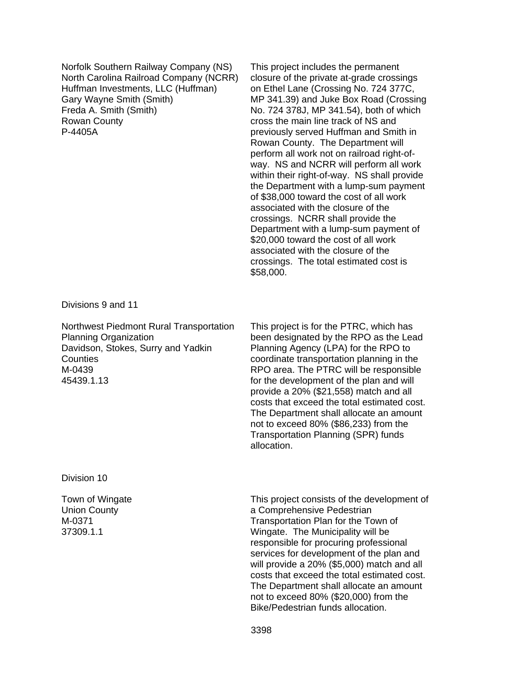Norfolk Southern Railway Company (NS) North Carolina Railroad Company (NCRR) Huffman Investments, LLC (Huffman) Gary Wayne Smith (Smith) Freda A. Smith (Smith) Rowan County P-4405A

This project includes the permanent closure of the private at-grade crossings on Ethel Lane (Crossing No. 724 377C, MP 341.39) and Juke Box Road (Crossing No. 724 378J, MP 341.54), both of which cross the main line track of NS and previously served Huffman and Smith in Rowan County. The Department will perform all work not on railroad right-ofway. NS and NCRR will perform all work within their right-of-way. NS shall provide the Department with a lump-sum payment of \$38,000 toward the cost of all work associated with the closure of the crossings. NCRR shall provide the Department with a lump-sum payment of \$20,000 toward the cost of all work associated with the closure of the crossings. The total estimated cost is \$58,000.

Divisions 9 and 11

Northwest Piedmont Rural Transportation Planning Organization Davidson, Stokes, Surry and Yadkin Counties M-0439 45439.1.13

This project is for the PTRC, which has been designated by the RPO as the Lead Planning Agency (LPA) for the RPO to coordinate transportation planning in the RPO area. The PTRC will be responsible for the development of the plan and will provide a 20% (\$21,558) match and all costs that exceed the total estimated cost. The Department shall allocate an amount not to exceed 80% (\$86,233) from the Transportation Planning (SPR) funds allocation.

Division 10

Town of Wingate Union County M-0371 37309.1.1

This project consists of the development of a Comprehensive Pedestrian Transportation Plan for the Town of Wingate. The Municipality will be responsible for procuring professional services for development of the plan and will provide a 20% (\$5,000) match and all costs that exceed the total estimated cost. The Department shall allocate an amount not to exceed 80% (\$20,000) from the Bike/Pedestrian funds allocation.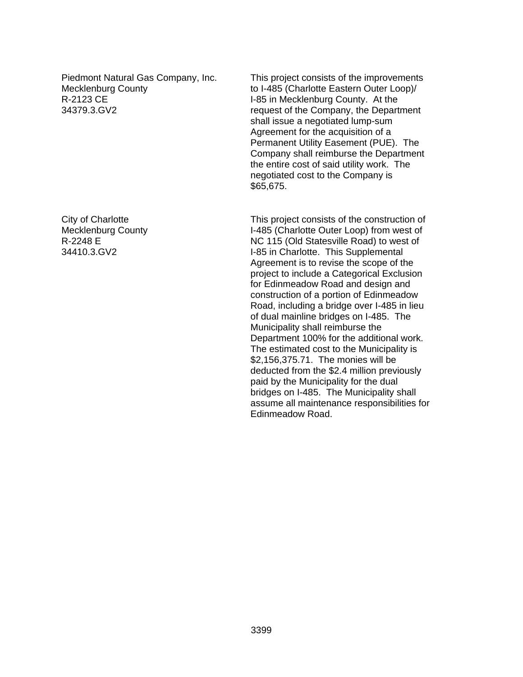Piedmont Natural Gas Company, Inc. Mecklenburg County R-2123 CE 34379.3.GV2

City of Charlotte Mecklenburg County R-2248 E 34410.3.GV2

This project consists of the improvements to I-485 (Charlotte Eastern Outer Loop)/ I-85 in Mecklenburg County. At the request of the Company, the Department shall issue a negotiated lump-sum Agreement for the acquisition of a Permanent Utility Easement (PUE). The Company shall reimburse the Department the entire cost of said utility work. The negotiated cost to the Company is \$65,675.

This project consists of the construction of I-485 (Charlotte Outer Loop) from west of NC 115 (Old Statesville Road) to west of I-85 in Charlotte. This Supplemental Agreement is to revise the scope of the project to include a Categorical Exclusion for Edinmeadow Road and design and construction of a portion of Edinmeadow Road, including a bridge over I-485 in lieu of dual mainline bridges on I-485. The Municipality shall reimburse the Department 100% for the additional work. The estimated cost to the Municipality is \$2,156,375.71. The monies will be deducted from the \$2.4 million previously paid by the Municipality for the dual bridges on I-485. The Municipality shall assume all maintenance responsibilities for Edinmeadow Road.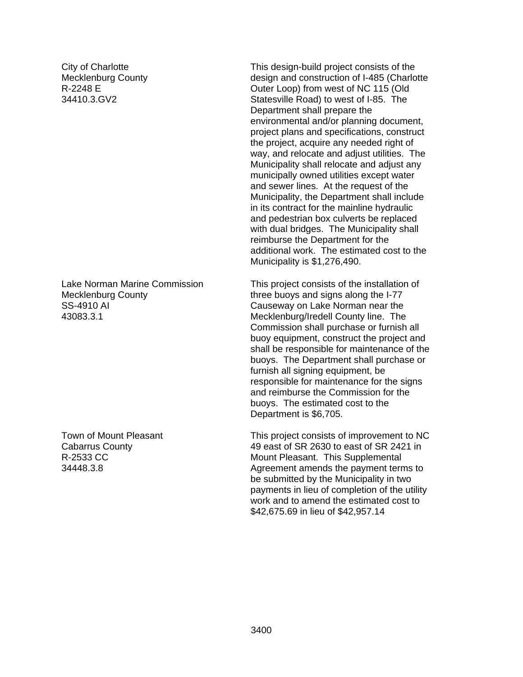City of Charlotte Mecklenburg County R-2248 E 34410.3.GV2

Lake Norman Marine Commission Mecklenburg County SS-4910 AI 43083.3.1

Town of Mount Pleasant Cabarrus County R-2533 CC 34448.3.8

This design-build project consists of the design and construction of I-485 (Charlotte Outer Loop) from west of NC 115 (Old Statesville Road) to west of I-85. The Department shall prepare the environmental and/or planning document, project plans and specifications, construct the project, acquire any needed right of way, and relocate and adjust utilities. The Municipality shall relocate and adjust any municipally owned utilities except water and sewer lines. At the request of the Municipality, the Department shall include in its contract for the mainline hydraulic and pedestrian box culverts be replaced with dual bridges. The Municipality shall reimburse the Department for the additional work. The estimated cost to the Municipality is \$1,276,490.

This project consists of the installation of three buoys and signs along the I-77 Causeway on Lake Norman near the Mecklenburg/Iredell County line. The Commission shall purchase or furnish all buoy equipment, construct the project and shall be responsible for maintenance of the buoys. The Department shall purchase or furnish all signing equipment, be responsible for maintenance for the signs and reimburse the Commission for the buoys. The estimated cost to the Department is \$6,705.

This project consists of improvement to NC 49 east of SR 2630 to east of SR 2421 in Mount Pleasant. This Supplemental Agreement amends the payment terms to be submitted by the Municipality in two payments in lieu of completion of the utility work and to amend the estimated cost to \$42,675.69 in lieu of \$42,957.14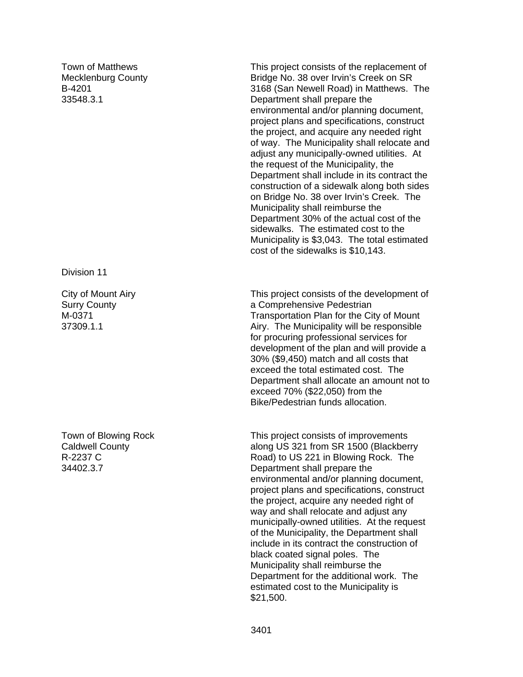Town of Matthews Mecklenburg County B-4201 33548.3.1

Division 11

City of Mount Airy Surry County M-0371 37309.1.1

Town of Blowing Rock Caldwell County R-2237 C 34402.3.7

This project consists of the replacement of Bridge No. 38 over Irvin's Creek on SR 3168 (San Newell Road) in Matthews. The Department shall prepare the environmental and/or planning document, project plans and specifications, construct the project, and acquire any needed right of way. The Municipality shall relocate and adjust any municipally-owned utilities. At the request of the Municipality, the Department shall include in its contract the construction of a sidewalk along both sides on Bridge No. 38 over Irvin's Creek. The Municipality shall reimburse the Department 30% of the actual cost of the sidewalks. The estimated cost to the Municipality is \$3,043. The total estimated cost of the sidewalks is \$10,143.

This project consists of the development of a Comprehensive Pedestrian Transportation Plan for the City of Mount Airy. The Municipality will be responsible for procuring professional services for development of the plan and will provide a 30% (\$9,450) match and all costs that exceed the total estimated cost. The Department shall allocate an amount not to exceed 70% (\$22,050) from the Bike/Pedestrian funds allocation.

This project consists of improvements along US 321 from SR 1500 (Blackberry Road) to US 221 in Blowing Rock. The Department shall prepare the environmental and/or planning document, project plans and specifications, construct the project, acquire any needed right of way and shall relocate and adjust any municipally-owned utilities. At the request of the Municipality, the Department shall include in its contract the construction of black coated signal poles. The Municipality shall reimburse the Department for the additional work. The estimated cost to the Municipality is \$21,500.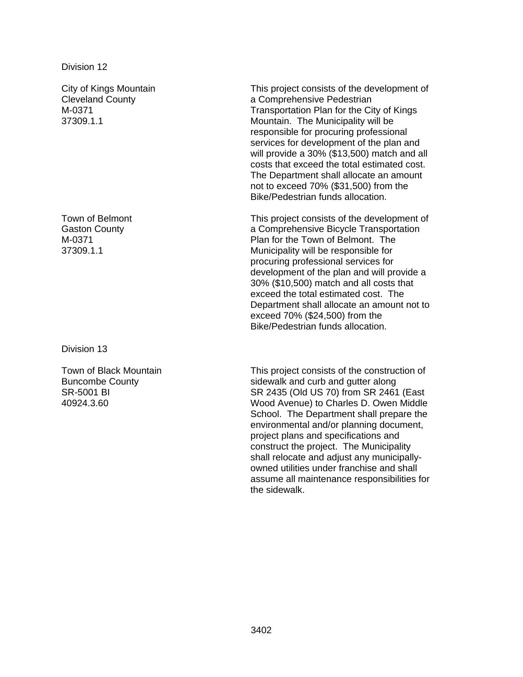City of Kings Mountain Cleveland County M-0371 37309.1.1

Town of Belmont Gaston County M-0371 37309.1.1

Division 13

Town of Black Mountain Buncombe County SR-5001 BI 40924.3.60

This project consists of the development of a Comprehensive Pedestrian Transportation Plan for the City of Kings Mountain. The Municipality will be responsible for procuring professional services for development of the plan and will provide a 30% (\$13,500) match and all costs that exceed the total estimated cost. The Department shall allocate an amount not to exceed 70% (\$31,500) from the Bike/Pedestrian funds allocation.

This project consists of the development of a Comprehensive Bicycle Transportation Plan for the Town of Belmont. The Municipality will be responsible for procuring professional services for development of the plan and will provide a 30% (\$10,500) match and all costs that exceed the total estimated cost. The Department shall allocate an amount not to exceed 70% (\$24,500) from the Bike/Pedestrian funds allocation.

This project consists of the construction of sidewalk and curb and gutter along SR 2435 (Old US 70) from SR 2461 (East Wood Avenue) to Charles D. Owen Middle School. The Department shall prepare the environmental and/or planning document, project plans and specifications and construct the project. The Municipality shall relocate and adjust any municipallyowned utilities under franchise and shall assume all maintenance responsibilities for the sidewalk.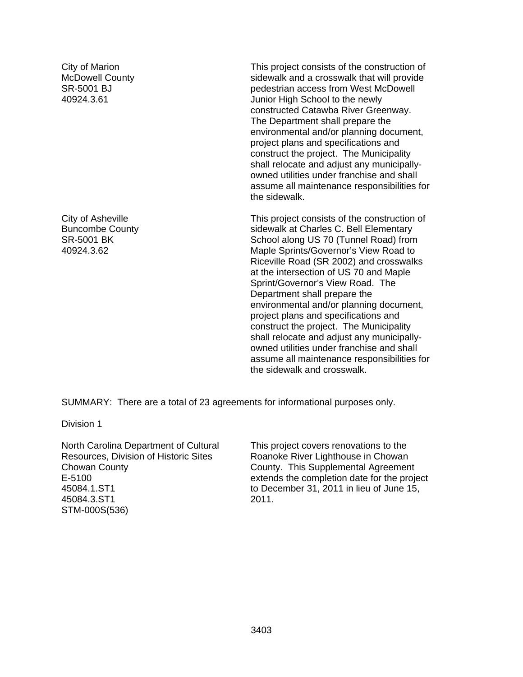City of Marion McDowell County SR-5001 BJ 40924.3.61

City of Asheville Buncombe County SR-5001 BK 40924.3.62

This project consists of the construction of sidewalk and a crosswalk that will provide pedestrian access from West McDowell Junior High School to the newly constructed Catawba River Greenway. The Department shall prepare the environmental and/or planning document, project plans and specifications and construct the project. The Municipality shall relocate and adjust any municipallyowned utilities under franchise and shall assume all maintenance responsibilities for the sidewalk.

This project consists of the construction of sidewalk at Charles C. Bell Elementary School along US 70 (Tunnel Road) from Maple Sprints/Governor's View Road to Riceville Road (SR 2002) and crosswalks at the intersection of US 70 and Maple Sprint/Governor's View Road. The Department shall prepare the environmental and/or planning document, project plans and specifications and construct the project. The Municipality shall relocate and adjust any municipallyowned utilities under franchise and shall assume all maintenance responsibilities for the sidewalk and crosswalk.

SUMMARY: There are a total of 23 agreements for informational purposes only.

Division 1

North Carolina Department of Cultural Resources, Division of Historic Sites Chowan County E-5100 45084.1.ST1 45084.3.ST1 STM-000S(536)

This project covers renovations to the Roanoke River Lighthouse in Chowan County. This Supplemental Agreement extends the completion date for the project to December 31, 2011 in lieu of June 15, 2011.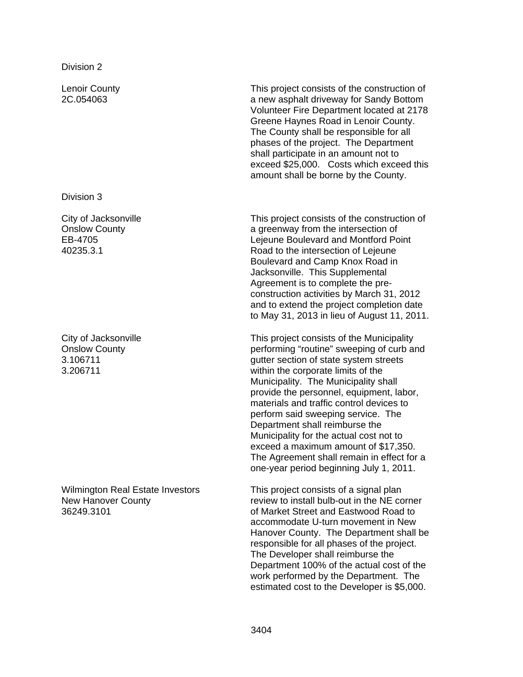Lenoir County 2C.054063

Division 3

City of Jacksonville Onslow County EB-4705 40235.3.1

City of Jacksonville Onslow County 3.106711 3.206711

Wilmington Real Estate Investors New Hanover County 36249.3101

This project consists of the construction of a new asphalt driveway for Sandy Bottom Volunteer Fire Department located at 2178 Greene Haynes Road in Lenoir County. The County shall be responsible for all phases of the project. The Department shall participate in an amount not to exceed \$25,000. Costs which exceed this amount shall be borne by the County.

This project consists of the construction of a greenway from the intersection of Lejeune Boulevard and Montford Point Road to the intersection of Lejeune Boulevard and Camp Knox Road in Jacksonville. This Supplemental Agreement is to complete the preconstruction activities by March 31, 2012 and to extend the project completion date to May 31, 2013 in lieu of August 11, 2011.

This project consists of the Municipality performing "routine" sweeping of curb and gutter section of state system streets within the corporate limits of the Municipality. The Municipality shall provide the personnel, equipment, labor, materials and traffic control devices to perform said sweeping service. The Department shall reimburse the Municipality for the actual cost not to exceed a maximum amount of \$17,350. The Agreement shall remain in effect for a one-year period beginning July 1, 2011.

This project consists of a signal plan review to install bulb-out in the NE corner of Market Street and Eastwood Road to accommodate U-turn movement in New Hanover County. The Department shall be responsible for all phases of the project. The Developer shall reimburse the Department 100% of the actual cost of the work performed by the Department. The estimated cost to the Developer is \$5,000.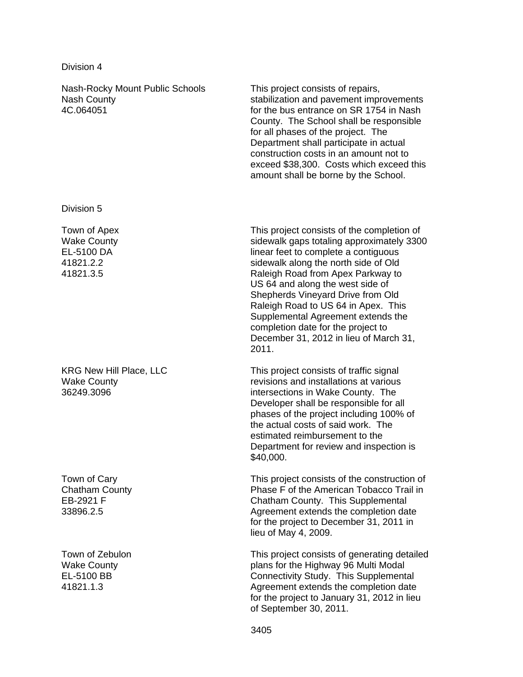Nash-Rocky Mount Public Schools Nash County 4C.064051 This project consists of repairs, stabilization and pavement improvements for the bus entrance on SR 1754 in Nash County. The School shall be responsible for all phases of the project. The Department shall participate in actual construction costs in an amount not to exceed \$38,300. Costs which exceed this amount shall be borne by the School. Division 5 Town of Apex Wake County EL-5100 DA 41821.2.2 41821.3.5 This project consists of the completion of sidewalk gaps totaling approximately 3300 linear feet to complete a contiguous sidewalk along the north side of Old Raleigh Road from Apex Parkway to US 64 and along the west side of Shepherds Vineyard Drive from Old Raleigh Road to US 64 in Apex. This Supplemental Agreement extends the

2011.

KRG New Hill Place, LLC Wake County 36249.3096

Town of Cary Chatham County EB-2921 F 33896.2.5

Town of Zebulon Wake County EL-5100 BB 41821.1.3

This project consists of traffic signal revisions and installations at various intersections in Wake County. The Developer shall be responsible for all phases of the project including 100% of the actual costs of said work. The estimated reimbursement to the Department for review and inspection is \$40,000.

December 31, 2012 in lieu of March 31,

completion date for the project to

This project consists of the construction of Phase F of the American Tobacco Trail in Chatham County. This Supplemental Agreement extends the completion date for the project to December 31, 2011 in lieu of May 4, 2009.

This project consists of generating detailed plans for the Highway 96 Multi Modal Connectivity Study. This Supplemental Agreement extends the completion date for the project to January 31, 2012 in lieu of September 30, 2011.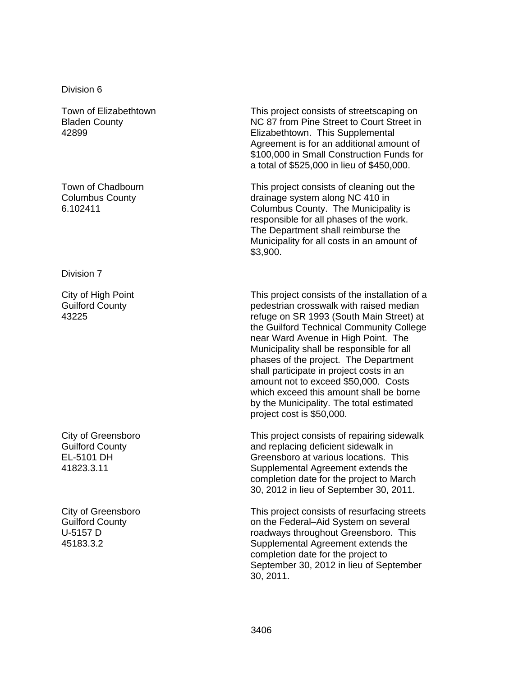Town of Elizabethtown Bladen County 42899

Town of Chadbourn Columbus County 6.102411

Division 7

City of High Point Guilford County 43225

City of Greensboro Guilford County EL-5101 DH 41823.3.11

City of Greensboro Guilford County U-5157 D 45183.3.2

This project consists of streetscaping on NC 87 from Pine Street to Court Street in Elizabethtown. This Supplemental Agreement is for an additional amount of \$100,000 in Small Construction Funds for a total of \$525,000 in lieu of \$450,000.

This project consists of cleaning out the drainage system along NC 410 in Columbus County. The Municipality is responsible for all phases of the work. The Department shall reimburse the Municipality for all costs in an amount of \$3,900.

This project consists of the installation of a pedestrian crosswalk with raised median refuge on SR 1993 (South Main Street) at the Guilford Technical Community College near Ward Avenue in High Point. The Municipality shall be responsible for all phases of the project. The Department shall participate in project costs in an amount not to exceed \$50,000. Costs which exceed this amount shall be borne by the Municipality. The total estimated project cost is \$50,000.

This project consists of repairing sidewalk and replacing deficient sidewalk in Greensboro at various locations. This Supplemental Agreement extends the completion date for the project to March 30, 2012 in lieu of September 30, 2011.

This project consists of resurfacing streets on the Federal–Aid System on several roadways throughout Greensboro. This Supplemental Agreement extends the completion date for the project to September 30, 2012 in lieu of September 30, 2011.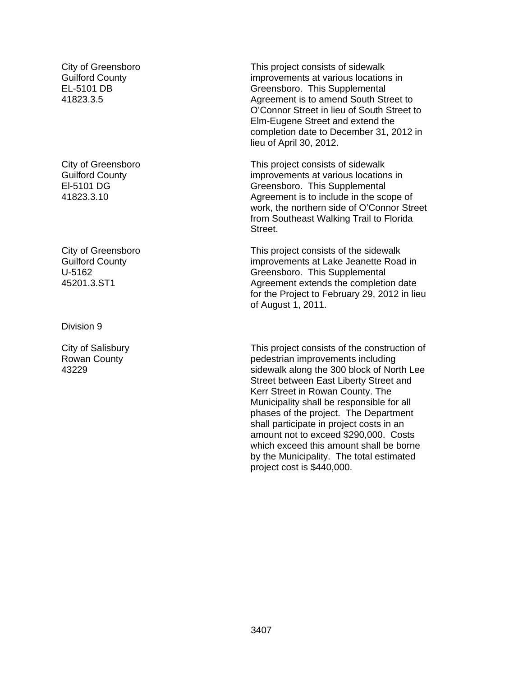City of Greensboro Guilford County EL-5101 DB 41823.3.5

City of Greensboro Guilford County El-5101 DG 41823.3.10

City of Greensboro Guilford County U-5162 45201.3.ST1

Division 9

City of Salisbury Rowan County 43229

This project consists of sidewalk improvements at various locations in Greensboro. This Supplemental Agreement is to amend South Street to O'Connor Street in lieu of South Street to Elm-Eugene Street and extend the completion date to December 31, 2012 in lieu of April 30, 2012.

This project consists of sidewalk improvements at various locations in Greensboro. This Supplemental Agreement is to include in the scope of work, the northern side of O'Connor Street from Southeast Walking Trail to Florida Street.

This project consists of the sidewalk improvements at Lake Jeanette Road in Greensboro. This Supplemental Agreement extends the completion date for the Project to February 29, 2012 in lieu of August 1, 2011.

This project consists of the construction of pedestrian improvements including sidewalk along the 300 block of North Lee Street between East Liberty Street and Kerr Street in Rowan County. The Municipality shall be responsible for all phases of the project. The Department shall participate in project costs in an amount not to exceed \$290,000. Costs which exceed this amount shall be borne by the Municipality. The total estimated project cost is \$440,000.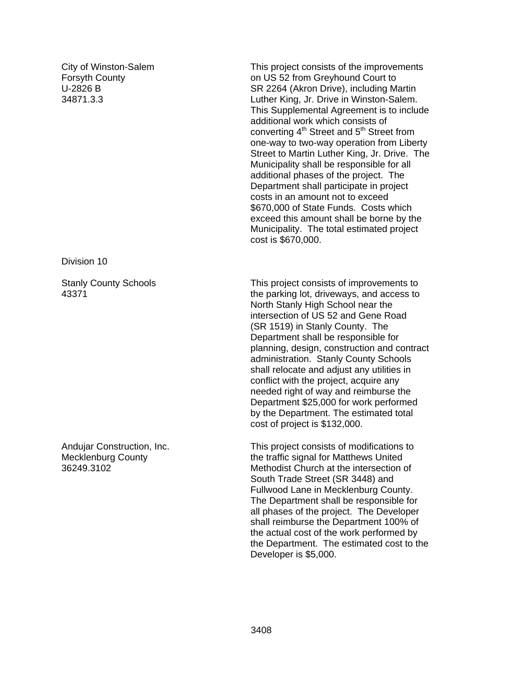City of Winston-Salem Forsyth County U-2826 B 34871.3.3

Division 10

Stanly County Schools 43371

Andujar Construction, Inc. Mecklenburg County 36249.3102

This project consists of the improvements on US 52 from Greyhound Court to SR 2264 (Akron Drive), including Martin Luther King, Jr. Drive in Winston-Salem. This Supplemental Agreement is to include additional work which consists of converting  $4<sup>th</sup>$  Street and  $5<sup>th</sup>$  Street from one-way to two-way operation from Liberty Street to Martin Luther King, Jr. Drive. The Municipality shall be responsible for all additional phases of the project. The Department shall participate in project costs in an amount not to exceed \$670,000 of State Funds. Costs which exceed this amount shall be borne by the Municipality. The total estimated project cost is \$670,000.

This project consists of improvements to the parking lot, driveways, and access to North Stanly High School near the intersection of US 52 and Gene Road (SR 1519) in Stanly County. The Department shall be responsible for planning, design, construction and contract administration. Stanly County Schools shall relocate and adjust any utilities in conflict with the project, acquire any needed right of way and reimburse the Department \$25,000 for work performed by the Department. The estimated total cost of project is \$132,000.

This project consists of modifications to the traffic signal for Matthews United Methodist Church at the intersection of South Trade Street (SR 3448) and Fullwood Lane in Mecklenburg County. The Department shall be responsible for all phases of the project. The Developer shall reimburse the Department 100% of the actual cost of the work performed by the Department. The estimated cost to the Developer is \$5,000.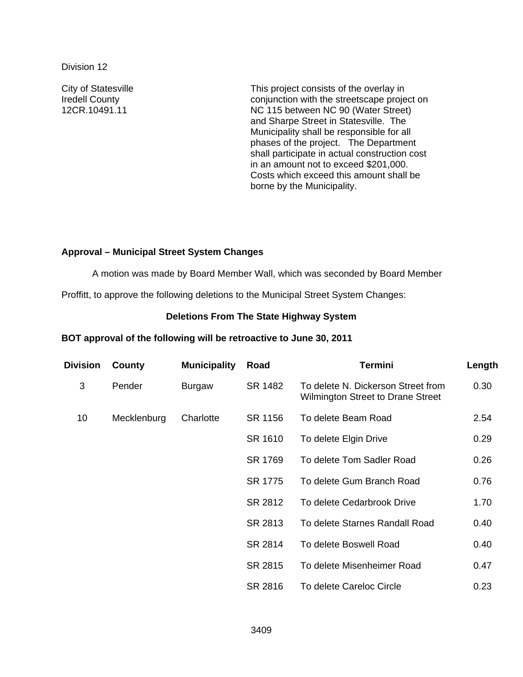City of Statesville Iredell County 12CR.10491.11

This project consists of the overlay in conjunction with the streetscape project on NC 115 between NC 90 (Water Street) and Sharpe Street in Statesville. The Municipality shall be responsible for all phases of the project. The Department shall participate in actual construction cost in an amount not to exceed \$201,000. Costs which exceed this amount shall be borne by the Municipality.

# **Approval – Municipal Street System Changes**

A motion was made by Board Member Wall, which was seconded by Board Member

Proffitt, to approve the following deletions to the Municipal Street System Changes:

### **Deletions From The State Highway System**

### **BOT approval of the following will be retroactive to June 30, 2011**

| <b>Division</b> | County      | <b>Municipality</b> | Road    | <b>Termini</b>                                                                 | Length |
|-----------------|-------------|---------------------|---------|--------------------------------------------------------------------------------|--------|
| 3               | Pender      | <b>Burgaw</b>       | SR 1482 | To delete N. Dickerson Street from<br><b>Wilmington Street to Drane Street</b> | 0.30   |
| 10              | Mecklenburg | Charlotte           | SR 1156 | To delete Beam Road                                                            | 2.54   |
|                 |             |                     | SR 1610 | To delete Elgin Drive                                                          | 0.29   |
|                 |             |                     | SR 1769 | To delete Tom Sadler Road                                                      | 0.26   |
|                 |             |                     | SR 1775 | To delete Gum Branch Road                                                      | 0.76   |
|                 |             |                     | SR 2812 | To delete Cedarbrook Drive                                                     | 1.70   |
|                 |             |                     | SR 2813 | To delete Starnes Randall Road                                                 | 0.40   |
|                 |             |                     | SR 2814 | To delete Boswell Road                                                         | 0.40   |
|                 |             |                     | SR 2815 | To delete Misenheimer Road                                                     | 0.47   |
|                 |             |                     | SR 2816 | To delete Careloc Circle                                                       | 0.23   |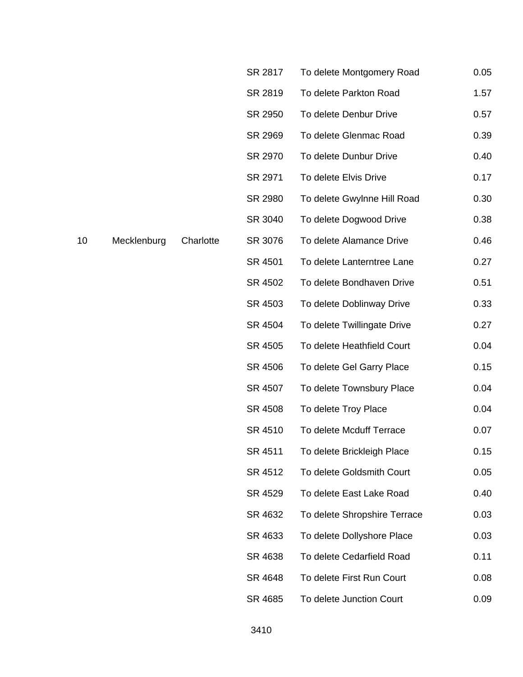|    |             |           | SR 2817 | To delete Montgomery Road    | 0.05 |
|----|-------------|-----------|---------|------------------------------|------|
|    |             |           | SR 2819 | To delete Parkton Road       | 1.57 |
|    |             |           | SR 2950 | To delete Denbur Drive       | 0.57 |
|    |             |           | SR 2969 | To delete Glenmac Road       | 0.39 |
|    |             |           | SR 2970 | To delete Dunbur Drive       | 0.40 |
|    |             |           | SR 2971 | To delete Elvis Drive        | 0.17 |
|    |             |           | SR 2980 | To delete Gwylnne Hill Road  | 0.30 |
|    |             |           | SR 3040 | To delete Dogwood Drive      | 0.38 |
| 10 | Mecklenburg | Charlotte | SR 3076 | To delete Alamance Drive     | 0.46 |
|    |             |           | SR 4501 | To delete Lanterntree Lane   | 0.27 |
|    |             |           | SR 4502 | To delete Bondhaven Drive    | 0.51 |
|    |             |           | SR 4503 | To delete Doblinway Drive    | 0.33 |
|    |             |           | SR 4504 | To delete Twillingate Drive  | 0.27 |
|    |             |           | SR 4505 | To delete Heathfield Court   | 0.04 |
|    |             |           | SR 4506 | To delete Gel Garry Place    | 0.15 |
|    |             |           | SR 4507 | To delete Townsbury Place    | 0.04 |
|    |             |           | SR 4508 | To delete Troy Place         | 0.04 |
|    |             |           | SR 4510 | To delete Mcduff Terrace     | 0.07 |
|    |             |           | SR 4511 | To delete Brickleigh Place   | 0.15 |
|    |             |           | SR 4512 | To delete Goldsmith Court    | 0.05 |
|    |             |           | SR 4529 | To delete East Lake Road     | 0.40 |
|    |             |           | SR 4632 | To delete Shropshire Terrace | 0.03 |
|    |             |           | SR 4633 | To delete Dollyshore Place   | 0.03 |
|    |             |           | SR 4638 | To delete Cedarfield Road    | 0.11 |
|    |             |           | SR 4648 | To delete First Run Court    | 0.08 |
|    |             |           | SR 4685 | To delete Junction Court     | 0.09 |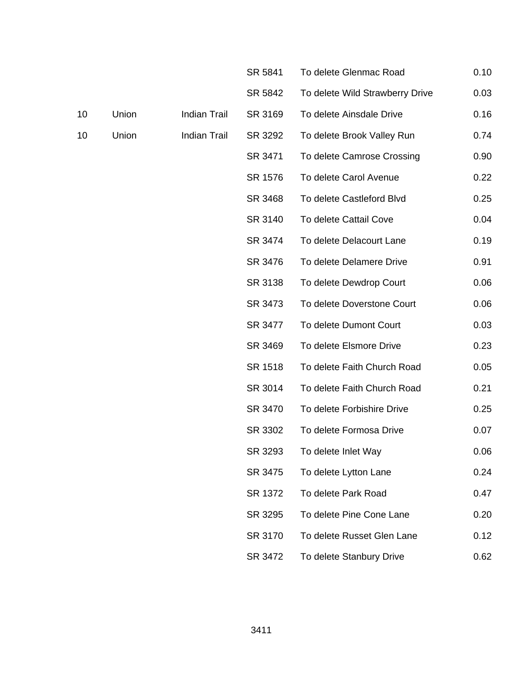|    |       |                     | SR 5841 | To delete Glenmac Road          | 0.10 |
|----|-------|---------------------|---------|---------------------------------|------|
|    |       |                     | SR 5842 | To delete Wild Strawberry Drive | 0.03 |
| 10 | Union | <b>Indian Trail</b> | SR 3169 | To delete Ainsdale Drive        | 0.16 |
| 10 | Union | <b>Indian Trail</b> | SR 3292 | To delete Brook Valley Run      | 0.74 |
|    |       |                     | SR 3471 | To delete Camrose Crossing      | 0.90 |
|    |       |                     | SR 1576 | To delete Carol Avenue          | 0.22 |
|    |       |                     | SR 3468 | To delete Castleford Blvd       | 0.25 |
|    |       |                     | SR 3140 | To delete Cattail Cove          | 0.04 |
|    |       |                     | SR 3474 | To delete Delacourt Lane        | 0.19 |
|    |       |                     | SR 3476 | To delete Delamere Drive        | 0.91 |
|    |       |                     | SR 3138 | To delete Dewdrop Court         | 0.06 |
|    |       |                     | SR 3473 | To delete Doverstone Court      | 0.06 |
|    |       |                     | SR 3477 | To delete Dumont Court          | 0.03 |
|    |       |                     | SR 3469 | To delete Elsmore Drive         | 0.23 |
|    |       |                     | SR 1518 | To delete Faith Church Road     | 0.05 |
|    |       |                     | SR 3014 | To delete Faith Church Road     | 0.21 |
|    |       |                     | SR 3470 | To delete Forbishire Drive      | 0.25 |
|    |       |                     | SR 3302 | To delete Formosa Drive         | 0.07 |
|    |       |                     | SR 3293 | To delete Inlet Way             | 0.06 |
|    |       |                     | SR 3475 | To delete Lytton Lane           | 0.24 |
|    |       |                     | SR 1372 | To delete Park Road             | 0.47 |
|    |       |                     | SR 3295 | To delete Pine Cone Lane        | 0.20 |
|    |       |                     | SR 3170 | To delete Russet Glen Lane      | 0.12 |
|    |       |                     | SR 3472 | To delete Stanbury Drive        | 0.62 |
|    |       |                     |         |                                 |      |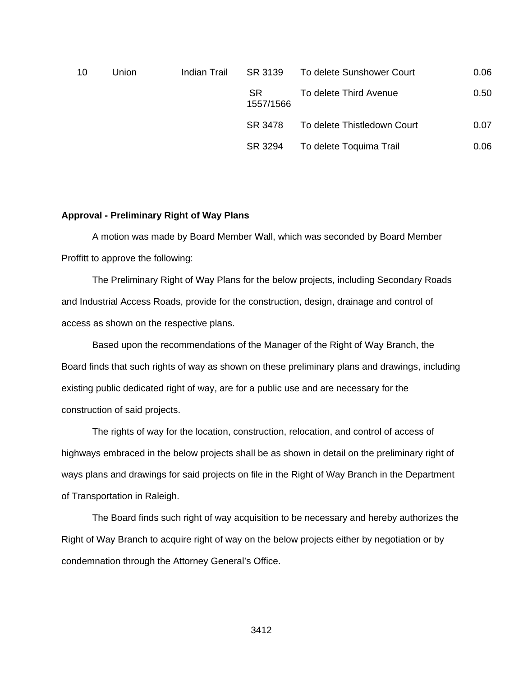| 10 | Union | Indian Trail | SR 3139          | To delete Sunshower Court   | 0.06 |
|----|-------|--------------|------------------|-----------------------------|------|
|    |       |              | SR.<br>1557/1566 | To delete Third Avenue      | 0.50 |
|    |       |              | SR 3478          | To delete Thistledown Court | 0.07 |
|    |       |              | SR 3294          | To delete Toquima Trail     | 0.06 |

### **Approval - Preliminary Right of Way Plans**

 A motion was made by Board Member Wall, which was seconded by Board Member Proffitt to approve the following:

The Preliminary Right of Way Plans for the below projects, including Secondary Roads and Industrial Access Roads, provide for the construction, design, drainage and control of access as shown on the respective plans.

 Based upon the recommendations of the Manager of the Right of Way Branch, the Board finds that such rights of way as shown on these preliminary plans and drawings, including existing public dedicated right of way, are for a public use and are necessary for the construction of said projects.

 The rights of way for the location, construction, relocation, and control of access of highways embraced in the below projects shall be as shown in detail on the preliminary right of ways plans and drawings for said projects on file in the Right of Way Branch in the Department of Transportation in Raleigh.

The Board finds such right of way acquisition to be necessary and hereby authorizes the Right of Way Branch to acquire right of way on the below projects either by negotiation or by condemnation through the Attorney General's Office.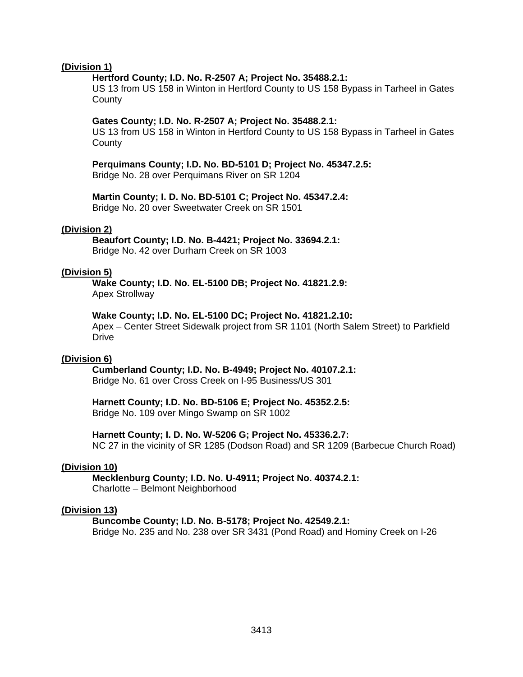### **(Division 1)**

### **Hertford County; I.D. No. R-2507 A; Project No. 35488.2.1:**

US 13 from US 158 in Winton in Hertford County to US 158 Bypass in Tarheel in Gates **County** 

### **Gates County; I.D. No. R-2507 A; Project No. 35488.2.1:**

US 13 from US 158 in Winton in Hertford County to US 158 Bypass in Tarheel in Gates **County** 

### **Perquimans County; I.D. No. BD-5101 D; Project No. 45347.2.5:**

Bridge No. 28 over Perquimans River on SR 1204

### **Martin County; I. D. No. BD-5101 C; Project No. 45347.2.4:**

Bridge No. 20 over Sweetwater Creek on SR 1501

### **(Division 2)**

 **Beaufort County; I.D. No. B-4421; Project No. 33694.2.1:**  Bridge No. 42 over Durham Creek on SR 1003

### **(Division 5)**

 **Wake County; I.D. No. EL-5100 DB; Project No. 41821.2.9:** 

Apex Strollway

### **Wake County; I.D. No. EL-5100 DC; Project No. 41821.2.10:**

Apex – Center Street Sidewalk project from SR 1101 (North Salem Street) to Parkfield Drive

### **(Division 6)**

### **Cumberland County; I.D. No. B-4949; Project No. 40107.2.1:**

Bridge No. 61 over Cross Creek on I-95 Business/US 301

### **Harnett County; I.D. No. BD-5106 E; Project No. 45352.2.5:**

Bridge No. 109 over Mingo Swamp on SR 1002

### **Harnett County; I. D. No. W-5206 G; Project No. 45336.2.7:**

NC 27 in the vicinity of SR 1285 (Dodson Road) and SR 1209 (Barbecue Church Road)

### **(Division 10)**

 **Mecklenburg County; I.D. No. U-4911; Project No. 40374.2.1:**  Charlotte – Belmont Neighborhood

### **(Division 13)**

# **Buncombe County; I.D. No. B-5178; Project No. 42549.2.1:**

Bridge No. 235 and No. 238 over SR 3431 (Pond Road) and Hominy Creek on I-26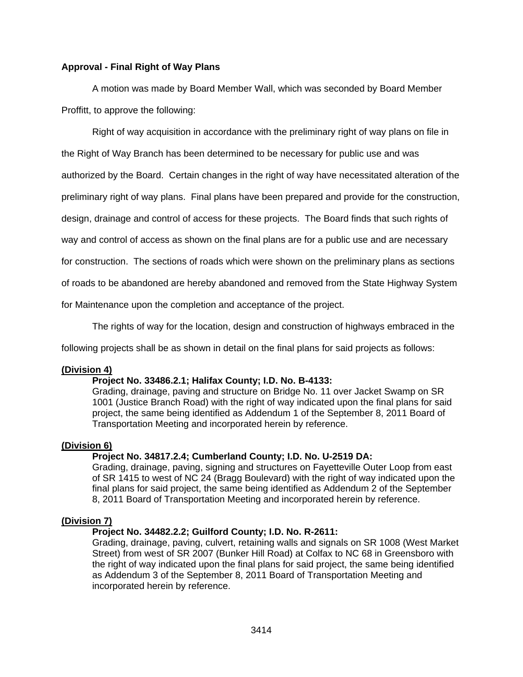# **Approval - Final Right of Way Plans**

A motion was made by Board Member Wall, which was seconded by Board Member Proffitt, to approve the following:

Right of way acquisition in accordance with the preliminary right of way plans on file in

the Right of Way Branch has been determined to be necessary for public use and was

authorized by the Board. Certain changes in the right of way have necessitated alteration of the

preliminary right of way plans. Final plans have been prepared and provide for the construction,

design, drainage and control of access for these projects. The Board finds that such rights of

way and control of access as shown on the final plans are for a public use and are necessary

for construction. The sections of roads which were shown on the preliminary plans as sections

of roads to be abandoned are hereby abandoned and removed from the State Highway System

for Maintenance upon the completion and acceptance of the project.

The rights of way for the location, design and construction of highways embraced in the

following projects shall be as shown in detail on the final plans for said projects as follows:

### **(Division 4)**

### **Project No. 33486.2.1; Halifax County; I.D. No. B-4133:**

Grading, drainage, paving and structure on Bridge No. 11 over Jacket Swamp on SR 1001 (Justice Branch Road) with the right of way indicated upon the final plans for said project, the same being identified as Addendum 1 of the September 8, 2011 Board of Transportation Meeting and incorporated herein by reference.

### **(Division 6)**

### **Project No. 34817.2.4; Cumberland County; I.D. No. U-2519 DA:**

Grading, drainage, paving, signing and structures on Fayetteville Outer Loop from east of SR 1415 to west of NC 24 (Bragg Boulevard) with the right of way indicated upon the final plans for said project, the same being identified as Addendum 2 of the September 8, 2011 Board of Transportation Meeting and incorporated herein by reference.

# **(Division 7)**

## **Project No. 34482.2.2; Guilford County; I.D. No. R-2611:**

Grading, drainage, paving, culvert, retaining walls and signals on SR 1008 (West Market Street) from west of SR 2007 (Bunker Hill Road) at Colfax to NC 68 in Greensboro with the right of way indicated upon the final plans for said project, the same being identified as Addendum 3 of the September 8, 2011 Board of Transportation Meeting and incorporated herein by reference.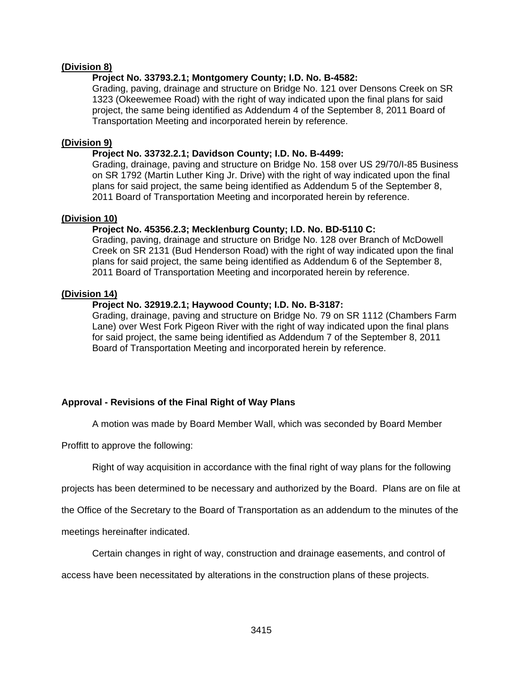### **(Division 8)**

## **Project No. 33793.2.1; Montgomery County; I.D. No. B-4582:**

Grading, paving, drainage and structure on Bridge No. 121 over Densons Creek on SR 1323 (Okeewemee Road) with the right of way indicated upon the final plans for said project, the same being identified as Addendum 4 of the September 8, 2011 Board of Transportation Meeting and incorporated herein by reference.

### **(Division 9)**

### **Project No. 33732.2.1; Davidson County; I.D. No. B-4499:**

Grading, drainage, paving and structure on Bridge No. 158 over US 29/70/I-85 Business on SR 1792 (Martin Luther King Jr. Drive) with the right of way indicated upon the final plans for said project, the same being identified as Addendum 5 of the September 8, 2011 Board of Transportation Meeting and incorporated herein by reference.

## **(Division 10)**

## **Project No. 45356.2.3; Mecklenburg County; I.D. No. BD-5110 C:**

Grading, paving, drainage and structure on Bridge No. 128 over Branch of McDowell Creek on SR 2131 (Bud Henderson Road) with the right of way indicated upon the final plans for said project, the same being identified as Addendum 6 of the September 8, 2011 Board of Transportation Meeting and incorporated herein by reference.

## **(Division 14)**

## **Project No. 32919.2.1; Haywood County; I.D. No. B-3187:**

Grading, drainage, paving and structure on Bridge No. 79 on SR 1112 (Chambers Farm Lane) over West Fork Pigeon River with the right of way indicated upon the final plans for said project, the same being identified as Addendum 7 of the September 8, 2011 Board of Transportation Meeting and incorporated herein by reference.

# **Approval - Revisions of the Final Right of Way Plans**

A motion was made by Board Member Wall, which was seconded by Board Member

Proffitt to approve the following:

Right of way acquisition in accordance with the final right of way plans for the following

projects has been determined to be necessary and authorized by the Board. Plans are on file at

the Office of the Secretary to the Board of Transportation as an addendum to the minutes of the

meetings hereinafter indicated.

Certain changes in right of way, construction and drainage easements, and control of

access have been necessitated by alterations in the construction plans of these projects.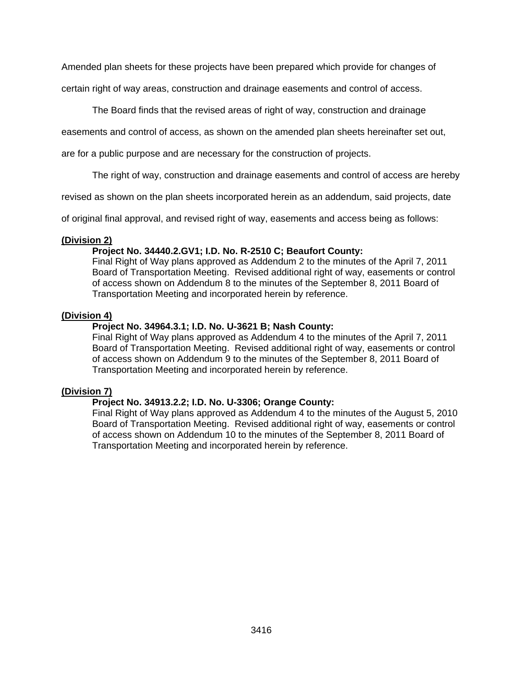Amended plan sheets for these projects have been prepared which provide for changes of

certain right of way areas, construction and drainage easements and control of access.

The Board finds that the revised areas of right of way, construction and drainage

easements and control of access, as shown on the amended plan sheets hereinafter set out,

are for a public purpose and are necessary for the construction of projects.

The right of way, construction and drainage easements and control of access are hereby

revised as shown on the plan sheets incorporated herein as an addendum, said projects, date

of original final approval, and revised right of way, easements and access being as follows:

## **(Division 2)**

# **Project No. 34440.2.GV1; I.D. No. R-2510 C; Beaufort County:**

Final Right of Way plans approved as Addendum 2 to the minutes of the April 7, 2011 Board of Transportation Meeting. Revised additional right of way, easements or control of access shown on Addendum 8 to the minutes of the September 8, 2011 Board of Transportation Meeting and incorporated herein by reference.

## **(Division 4)**

# **Project No. 34964.3.1; I.D. No. U-3621 B; Nash County:**

Final Right of Way plans approved as Addendum 4 to the minutes of the April 7, 2011 Board of Transportation Meeting. Revised additional right of way, easements or control of access shown on Addendum 9 to the minutes of the September 8, 2011 Board of Transportation Meeting and incorporated herein by reference.

# **(Division 7)**

# **Project No. 34913.2.2; I.D. No. U-3306; Orange County:**

Final Right of Way plans approved as Addendum 4 to the minutes of the August 5, 2010 Board of Transportation Meeting. Revised additional right of way, easements or control of access shown on Addendum 10 to the minutes of the September 8, 2011 Board of Transportation Meeting and incorporated herein by reference.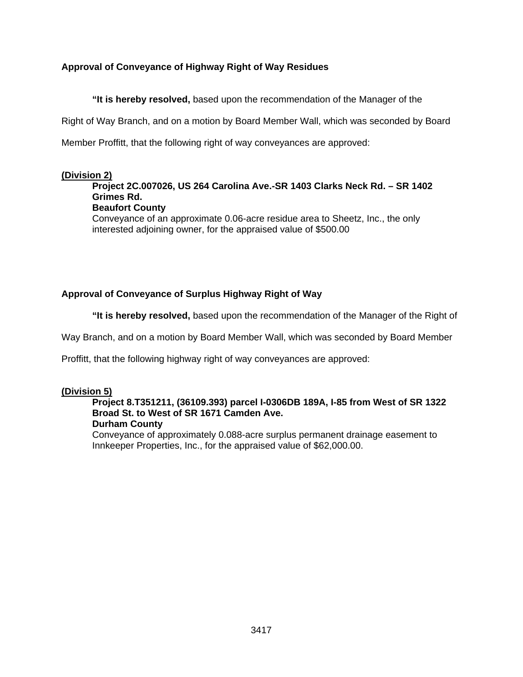# **Approval of Conveyance of Highway Right of Way Residues**

 **"It is hereby resolved,** based upon the recommendation of the Manager of the

Right of Way Branch, and on a motion by Board Member Wall, which was seconded by Board

Member Proffitt, that the following right of way conveyances are approved:

### **(Division 2)**

# **Project 2C.007026, US 264 Carolina Ave.-SR 1403 Clarks Neck Rd. – SR 1402 Grimes Rd.**

# **Beaufort County**

Conveyance of an approximate 0.06-acre residue area to Sheetz, Inc., the only interested adjoining owner, for the appraised value of \$500.00

# **Approval of Conveyance of Surplus Highway Right of Way**

 **"It is hereby resolved,** based upon the recommendation of the Manager of the Right of

Way Branch, and on a motion by Board Member Wall, which was seconded by Board Member

Proffitt, that the following highway right of way conveyances are approved:

### **(Division 5)**

# **Project 8.T351211, (36109.393) parcel I-0306DB 189A, I-85 from West of SR 1322 Broad St. to West of SR 1671 Camden Ave.**

## **Durham County**

Conveyance of approximately 0.088-acre surplus permanent drainage easement to Innkeeper Properties, Inc., for the appraised value of \$62,000.00.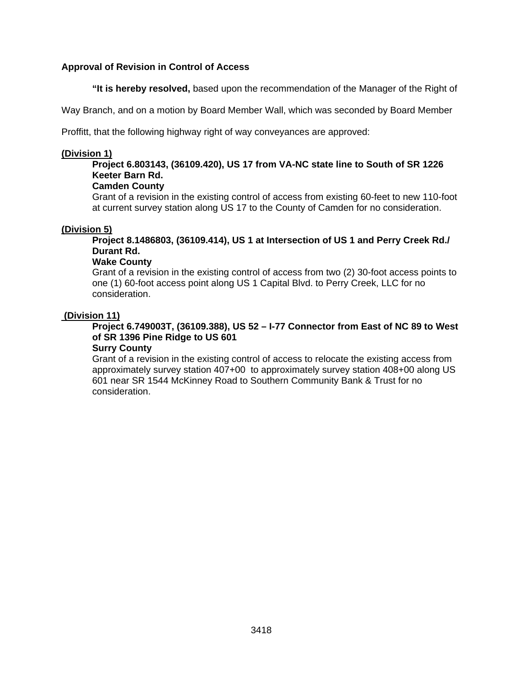# **Approval of Revision in Control of Access**

 **"It is hereby resolved,** based upon the recommendation of the Manager of the Right of

Way Branch, and on a motion by Board Member Wall, which was seconded by Board Member

Proffitt, that the following highway right of way conveyances are approved:

## **(Division 1)**

# **Project 6.803143, (36109.420), US 17 from VA-NC state line to South of SR 1226 Keeter Barn Rd.**

## **Camden County**

Grant of a revision in the existing control of access from existing 60-feet to new 110-foot at current survey station along US 17 to the County of Camden for no consideration.

# **(Division 5)**

**Project 8.1486803, (36109.414), US 1 at Intersection of US 1 and Perry Creek Rd./ Durant Rd.** 

## **Wake County**

Grant of a revision in the existing control of access from two (2) 30-foot access points to one (1) 60-foot access point along US 1 Capital Blvd. to Perry Creek, LLC for no consideration.

## **(Division 11)**

# **Project 6.749003T, (36109.388), US 52 – I-77 Connector from East of NC 89 to West of SR 1396 Pine Ridge to US 601**

# **Surry County**

Grant of a revision in the existing control of access to relocate the existing access from approximately survey station 407+00 to approximately survey station 408+00 along US 601 near SR 1544 McKinney Road to Southern Community Bank & Trust for no consideration.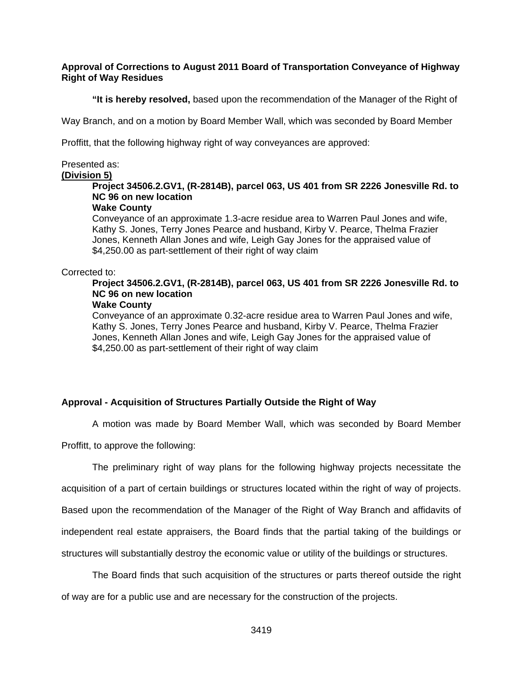## **Approval of Corrections to August 2011 Board of Transportation Conveyance of Highway Right of Way Residues**

 **"It is hereby resolved,** based upon the recommendation of the Manager of the Right of

Way Branch, and on a motion by Board Member Wall, which was seconded by Board Member

Proffitt, that the following highway right of way conveyances are approved:

# Presented as:

# **(Division 5)**

# **Project 34506.2.GV1, (R-2814B), parcel 063, US 401 from SR 2226 Jonesville Rd. to NC 96 on new location**

# **Wake County**

Conveyance of an approximate 1.3-acre residue area to Warren Paul Jones and wife, Kathy S. Jones, Terry Jones Pearce and husband, Kirby V. Pearce, Thelma Frazier Jones, Kenneth Allan Jones and wife, Leigh Gay Jones for the appraised value of \$4,250.00 as part-settlement of their right of way claim

## Corrected to:

# **Project 34506.2.GV1, (R-2814B), parcel 063, US 401 from SR 2226 Jonesville Rd. to NC 96 on new location**

# **Wake County**

Conveyance of an approximate 0.32-acre residue area to Warren Paul Jones and wife, Kathy S. Jones, Terry Jones Pearce and husband, Kirby V. Pearce, Thelma Frazier Jones, Kenneth Allan Jones and wife, Leigh Gay Jones for the appraised value of \$4,250.00 as part-settlement of their right of way claim

# **Approval - Acquisition of Structures Partially Outside the Right of Way**

A motion was made by Board Member Wall, which was seconded by Board Member

Proffitt, to approve the following:

The preliminary right of way plans for the following highway projects necessitate the acquisition of a part of certain buildings or structures located within the right of way of projects. Based upon the recommendation of the Manager of the Right of Way Branch and affidavits of independent real estate appraisers, the Board finds that the partial taking of the buildings or structures will substantially destroy the economic value or utility of the buildings or structures.

 The Board finds that such acquisition of the structures or parts thereof outside the right of way are for a public use and are necessary for the construction of the projects.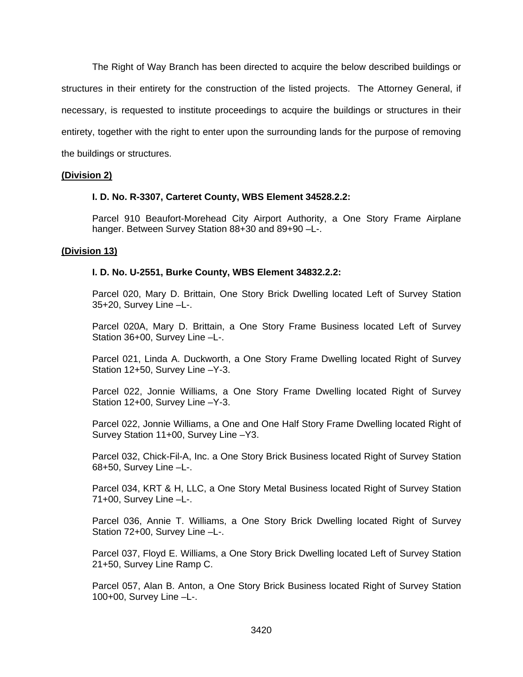The Right of Way Branch has been directed to acquire the below described buildings or structures in their entirety for the construction of the listed projects. The Attorney General, if necessary, is requested to institute proceedings to acquire the buildings or structures in their entirety, together with the right to enter upon the surrounding lands for the purpose of removing the buildings or structures.

## **(Division 2)**

# **I. D. No. R-3307, Carteret County, WBS Element 34528.2.2:**

Parcel 910 Beaufort-Morehead City Airport Authority, a One Story Frame Airplane hanger. Between Survey Station 88+30 and 89+90 –L-.

### **(Division 13)**

## **I. D. No. U-2551, Burke County, WBS Element 34832.2.2:**

Parcel 020, Mary D. Brittain, One Story Brick Dwelling located Left of Survey Station 35+20, Survey Line –L-.

Parcel 020A, Mary D. Brittain, a One Story Frame Business located Left of Survey Station 36+00, Survey Line –L-.

Parcel 021, Linda A. Duckworth, a One Story Frame Dwelling located Right of Survey Station 12+50, Survey Line –Y-3.

Parcel 022, Jonnie Williams, a One Story Frame Dwelling located Right of Survey Station 12+00, Survey Line –Y-3.

Parcel 022, Jonnie Williams, a One and One Half Story Frame Dwelling located Right of Survey Station 11+00, Survey Line –Y3.

Parcel 032, Chick-Fil-A, Inc. a One Story Brick Business located Right of Survey Station 68+50, Survey Line –L-.

Parcel 034, KRT & H, LLC, a One Story Metal Business located Right of Survey Station 71+00, Survey Line –L-.

Parcel 036, Annie T. Williams, a One Story Brick Dwelling located Right of Survey Station 72+00, Survey Line –L-.

Parcel 037, Floyd E. Williams, a One Story Brick Dwelling located Left of Survey Station 21+50, Survey Line Ramp C.

Parcel 057, Alan B. Anton, a One Story Brick Business located Right of Survey Station 100+00, Survey Line –L-.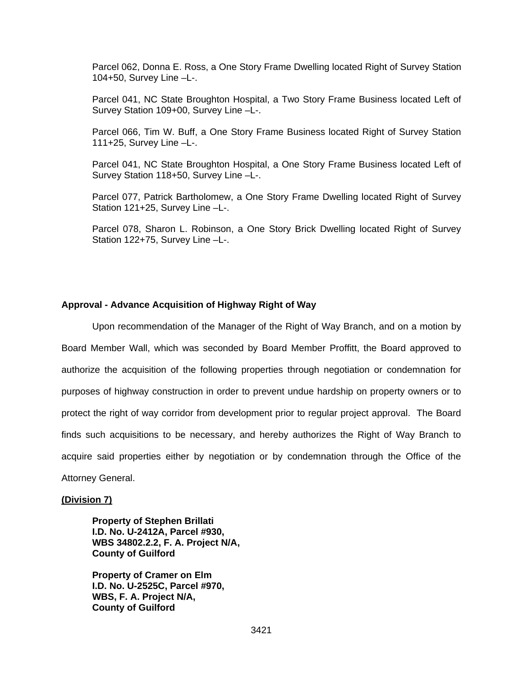Parcel 062, Donna E. Ross, a One Story Frame Dwelling located Right of Survey Station 104+50, Survey Line –L-.

Parcel 041, NC State Broughton Hospital, a Two Story Frame Business located Left of Survey Station 109+00, Survey Line –L-.

Parcel 066, Tim W. Buff, a One Story Frame Business located Right of Survey Station 111+25, Survey Line –L-.

Parcel 041, NC State Broughton Hospital, a One Story Frame Business located Left of Survey Station 118+50, Survey Line –L-.

Parcel 077, Patrick Bartholomew, a One Story Frame Dwelling located Right of Survey Station 121+25, Survey Line –L-.

Parcel 078, Sharon L. Robinson, a One Story Brick Dwelling located Right of Survey Station 122+75, Survey Line –L-.

### **Approval - Advance Acquisition of Highway Right of Way**

 Upon recommendation of the Manager of the Right of Way Branch, and on a motion by Board Member Wall, which was seconded by Board Member Proffitt, the Board approved to authorize the acquisition of the following properties through negotiation or condemnation for purposes of highway construction in order to prevent undue hardship on property owners or to protect the right of way corridor from development prior to regular project approval. The Board finds such acquisitions to be necessary, and hereby authorizes the Right of Way Branch to acquire said properties either by negotiation or by condemnation through the Office of the Attorney General.

### **(Division 7)**

**Property of Stephen Brillati I.D. No. U-2412A, Parcel #930, WBS 34802.2.2, F. A. Project N/A, County of Guilford** 

**Property of Cramer on Elm I.D. No. U-2525C, Parcel #970, WBS, F. A. Project N/A, County of Guilford**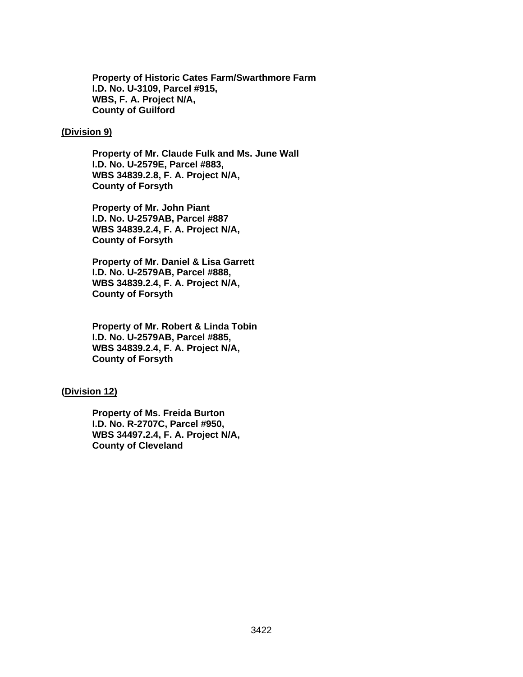**Property of Historic Cates Farm/Swarthmore Farm I.D. No. U-3109, Parcel #915, WBS, F. A. Project N/A, County of Guilford** 

### **(Division 9)**

**Property of Mr. Claude Fulk and Ms. June Wall I.D. No. U-2579E, Parcel #883, WBS 34839.2.8, F. A. Project N/A, County of Forsyth** 

**Property of Mr. John Piant I.D. No. U-2579AB, Parcel #887 WBS 34839.2.4, F. A. Project N/A, County of Forsyth** 

**Property of Mr. Daniel & Lisa Garrett I.D. No. U-2579AB, Parcel #888, WBS 34839.2.4, F. A. Project N/A, County of Forsyth** 

**Property of Mr. Robert & Linda Tobin I.D. No. U-2579AB, Parcel #885, WBS 34839.2.4, F. A. Project N/A, County of Forsyth** 

### **(Division 12)**

**Property of Ms. Freida Burton I.D. No. R-2707C, Parcel #950, WBS 34497.2.4, F. A. Project N/A, County of Cleveland**